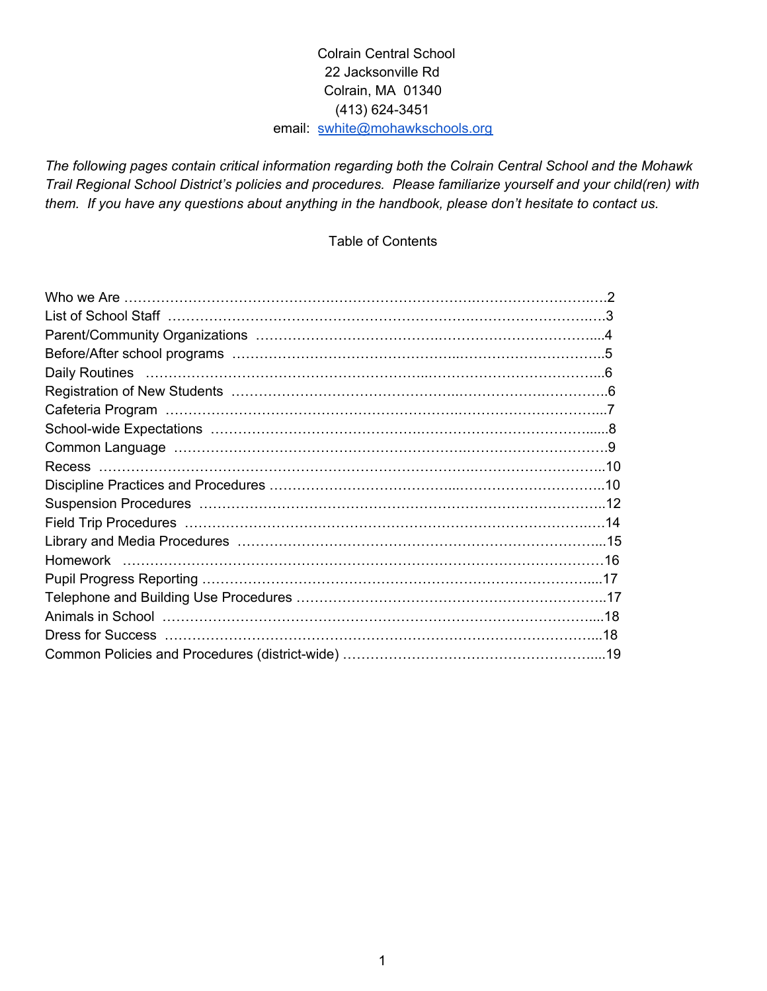# Colrain, MA 01340 email: [swhite@mohawkschools.org](mailto:swhite@mohawkschools.org) Colrain Central School 22 Jacksonville Rd (413) 624-3451

 *The following pages contain critical information regarding both the Colrain Central School and the Mohawk Trail Regional School District's policies and procedures. Please familiarize yourself and your child(ren) with* them. If you have any questions about anything in the handbook, please don't hesitate to contact us.

# Table of Contents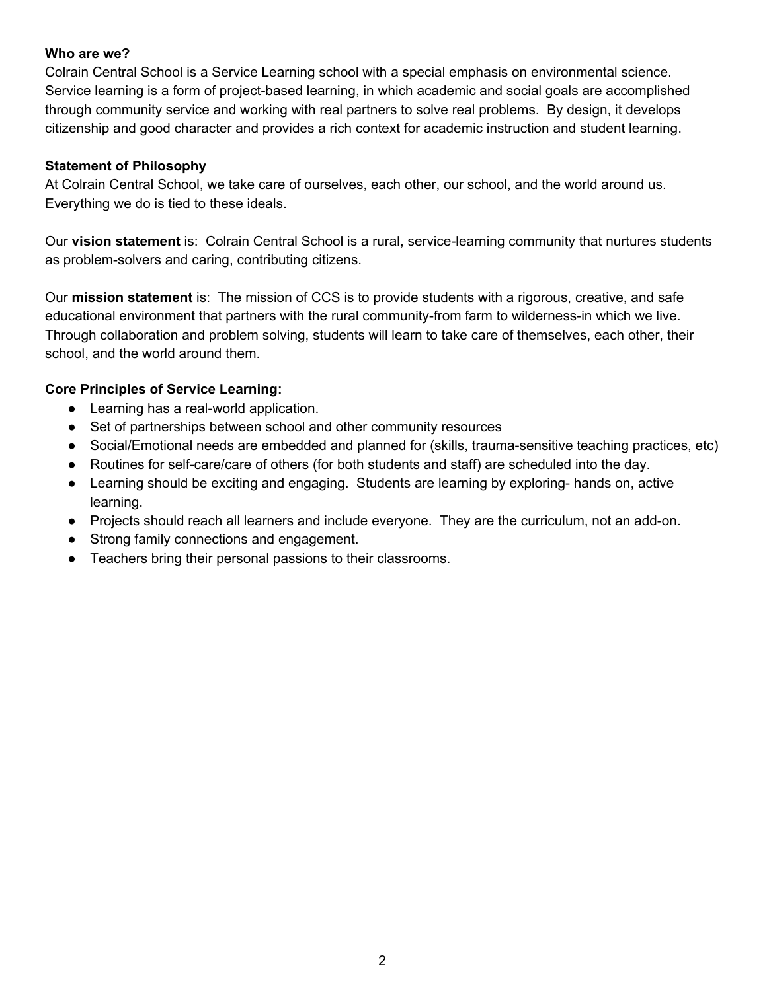# **Who are we?**

 Colrain Central School is a Service Learning school with a special emphasis on environmental science. Service learning is a form of project-based learning, in which academic and social goals are accomplished through community service and working with real partners to solve real problems. By design, it develops citizenship and good character and provides a rich context for academic instruction and student learning.

# **Statement of Philosophy**

 At Colrain Central School, we take care of ourselves, each other, our school, and the world around us. Everything we do is tied to these ideals.

 Our **vision statement** is: Colrain Central School is a rural, service-learning community that nurtures students as problem-solvers and caring, contributing citizens.

 Our **mission statement** is: The mission of CCS is to provide students with a rigorous, creative, and safe educational environment that partners with the rural community-from farm to wilderness-in which we live. Through collaboration and problem solving, students will learn to take care of themselves, each other, their school, and the world around them.

# **Core Principles of Service Learning:**

- Learning has a real-world application.
- Set of partnerships between school and other community resources
- Social/Emotional needs are embedded and planned for (skills, trauma-sensitive teaching practices, etc)
- Routines for self-care/care of others (for both students and staff) are scheduled into the day.
- ● Learning should be exciting and engaging. Students are learning by exploring- hands on, active learning.
- Projects should reach all learners and include everyone. They are the curriculum, not an add-on.
- Strong family connections and engagement.
- Teachers bring their personal passions to their classrooms.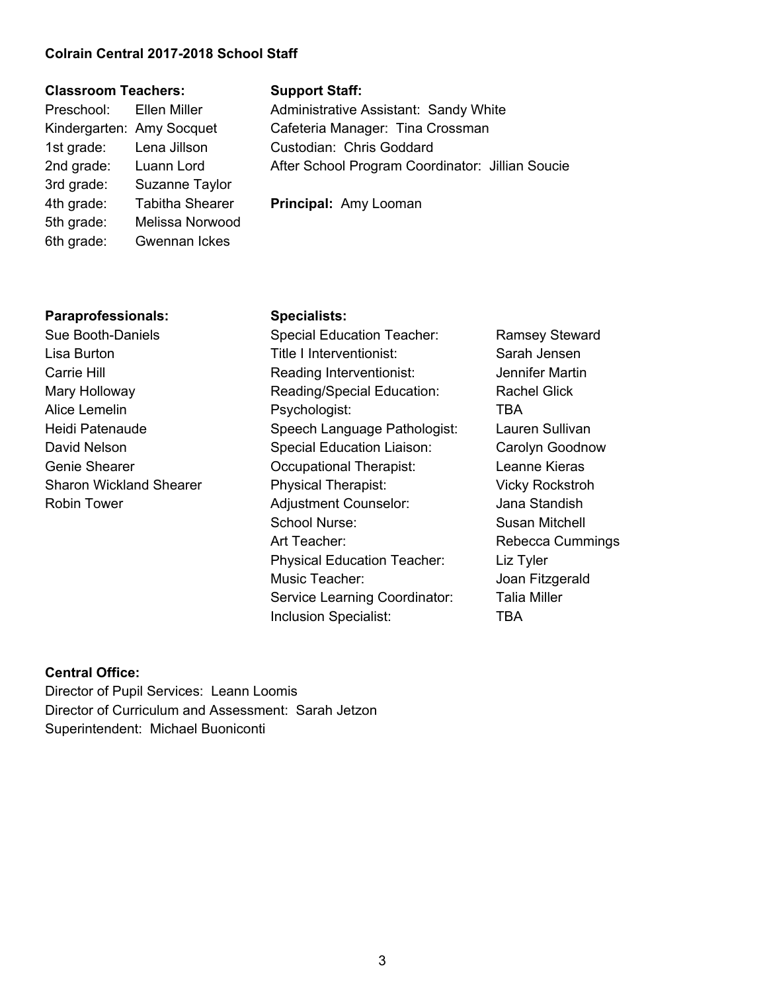## **Colrain Central 2017-2018 School Staff**

# **Classroom Teachers:**

| Preschool: | <b>Ellen Miller</b>       |
|------------|---------------------------|
|            | Kindergarten: Amy Socquet |
| 1st grade: | Lena Jillson              |
| 2nd grade: | Luann Lord                |
| 3rd grade: | Suzanne Taylor            |
| 4th grade: | <b>Tabitha Shearer</b>    |
| 5th grade: | Melissa Norwood           |
| 6th grade: | Gwennan Ickes             |
|            |                           |

## **Support Staff:**

 Administrative Assistant: Sandy White Cafeteria Manager: Tina Crossman Custodian: Chris Goddard After School Program Coordinator: Jillian Soucie

**Principal:** Amy Looman

#### **Paraprofessionals:**

 Sharon Wickland Shearer Sue Booth-Daniels Lisa Burton Carrie Hill Mary Holloway Alice Lemelin Heidi Patenaude David Nelson Genie Shearer Robin Tower

#### **Specialists:**

 Special Education Teacher: Title I Interventionist: Speech Language Pathologist: Special Education Liaison: Physical Education Teacher: Service Learning Coordinator: Reading Interventionist: Reading/Special Education: Psychologist: Occupational Therapist: Physical Therapist: Adjustment Counselor: School Nurse: Art Teacher: Music Teacher: Inclusion Specialist:

Ramsey Steward Sarah Jensen Jennifer Martin Rachel Glick TBA Lauren Sullivan Carolyn Goodnow Leanne Kieras Vicky Rockstroh Jana Standish Susan Mitchell Rebecca Cummings Liz Tyler Joan Fitzgerald Talia Miller TBA

#### **Central Office:**

 Director of Pupil Services: Leann Loomis Director of Curriculum and Assessment: Sarah Jetzon Superintendent: Michael Buoniconti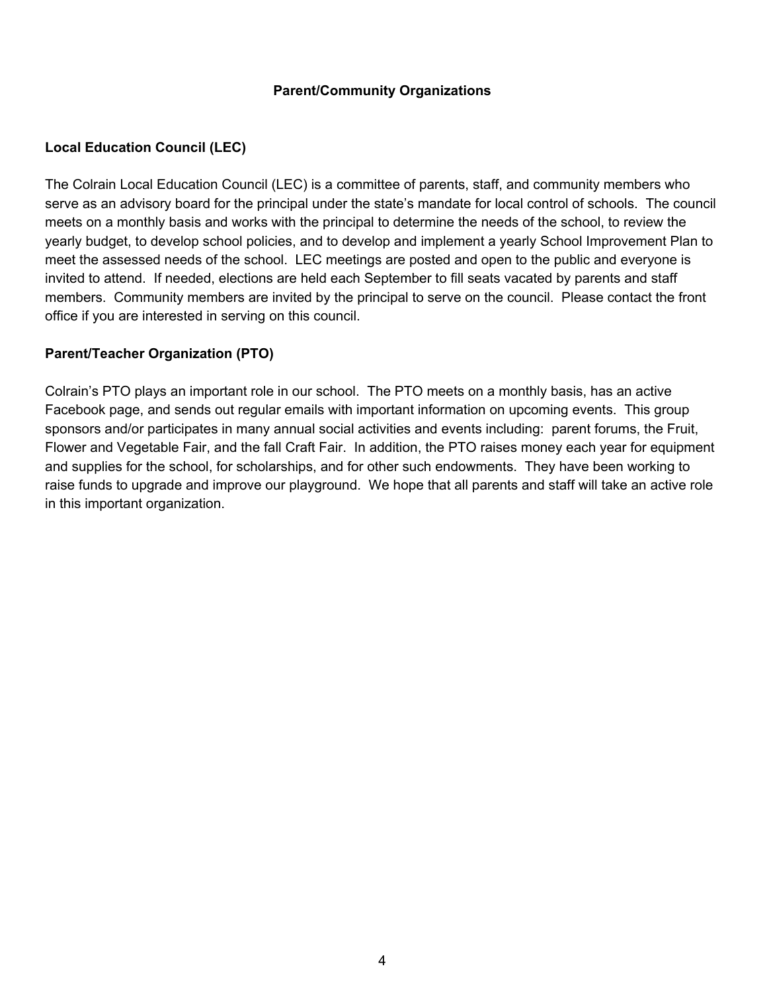# **Parent/Community Organizations**

# <span id="page-3-0"></span> **Local Education Council (LEC)**

 The Colrain Local Education Council (LEC) is a committee of parents, staff, and community members who serve as an advisory board for the principal under the state's mandate for local control of schools. The council meets on a monthly basis and works with the principal to determine the needs of the school, to review the yearly budget, to develop school policies, and to develop and implement a yearly School Improvement Plan to meet the assessed needs of the school. LEC meetings are posted and open to the public and everyone is invited to attend. If needed, elections are held each September to fill seats vacated by parents and staff members. Community members are invited by the principal to serve on the council. Please contact the front office if you are interested in serving on this council.

# **Parent/Teacher Organization (PTO)**

 Colrain's PTO plays an important role in our school. The PTO meets on a monthly basis, has an active Facebook page, and sends out regular emails with important information on upcoming events. This group sponsors and/or participates in many annual social activities and events including: parent forums, the Fruit, Flower and Vegetable Fair, and the fall Craft Fair. In addition, the PTO raises money each year for equipment and supplies for the school, for scholarships, and for other such endowments. They have been working to raise funds to upgrade and improve our playground. We hope that all parents and staff will take an active role in this important organization.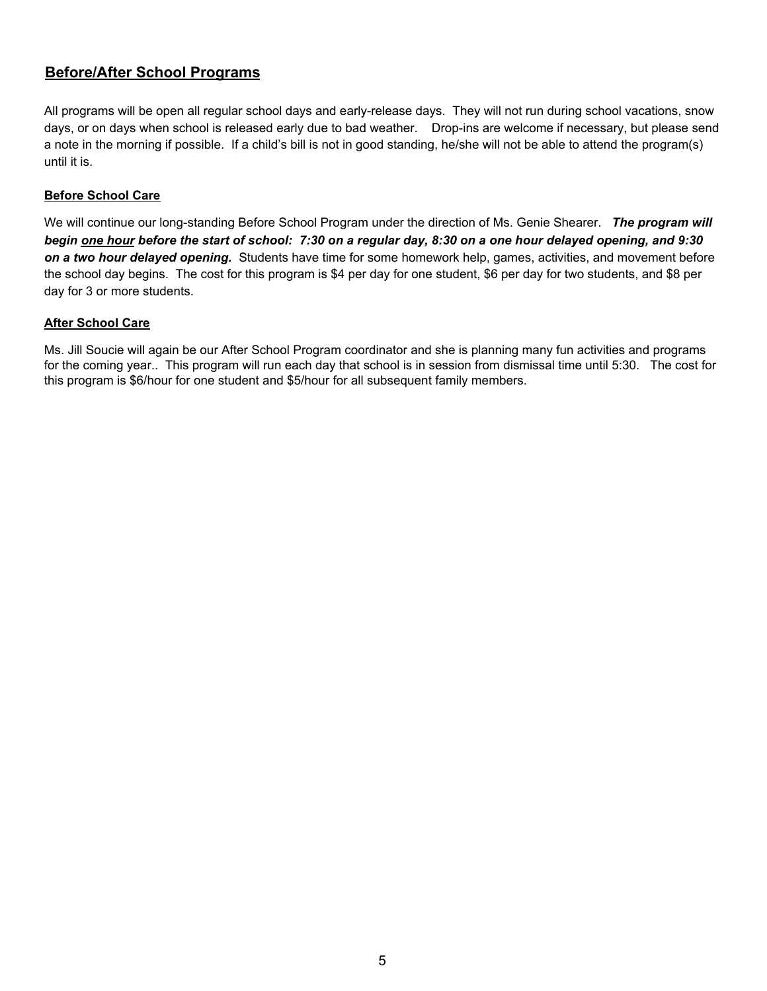# <span id="page-4-0"></span>**Before/After School Programs**

 All programs will be open all regular school days and early-release days. They will not run during school vacations, snow days, or on days when school is released early due to bad weather. Drop-ins are welcome if necessary, but please send a note in the morning if possible. If a child's bill is not in good standing, he/she will not be able to attend the program(s) until it is.

# **Before School Care**

 We will continue our long-standing Before School Program under the direction of Ms. Genie Shearer. *The program will* begin <u>one hour</u> before the start of school: 7:30 on a regular day, 8:30 on a one hour delayed opening, and 9:30  *on a two hour delayed opening.* Students have time for some homework help, games, activities, and movement before the school day begins. The cost for this program is \$4 per day for one student, \$6 per day for two students, and \$8 per day for 3 or more students.

# **After School Care**

 Ms. Jill Soucie will again be our After School Program coordinator and she is planning many fun activities and programs for the coming year.. This program will run each day that school is in session from dismissal time until 5:30. The cost for this program is \$6/hour for one student and \$5/hour for all subsequent family members.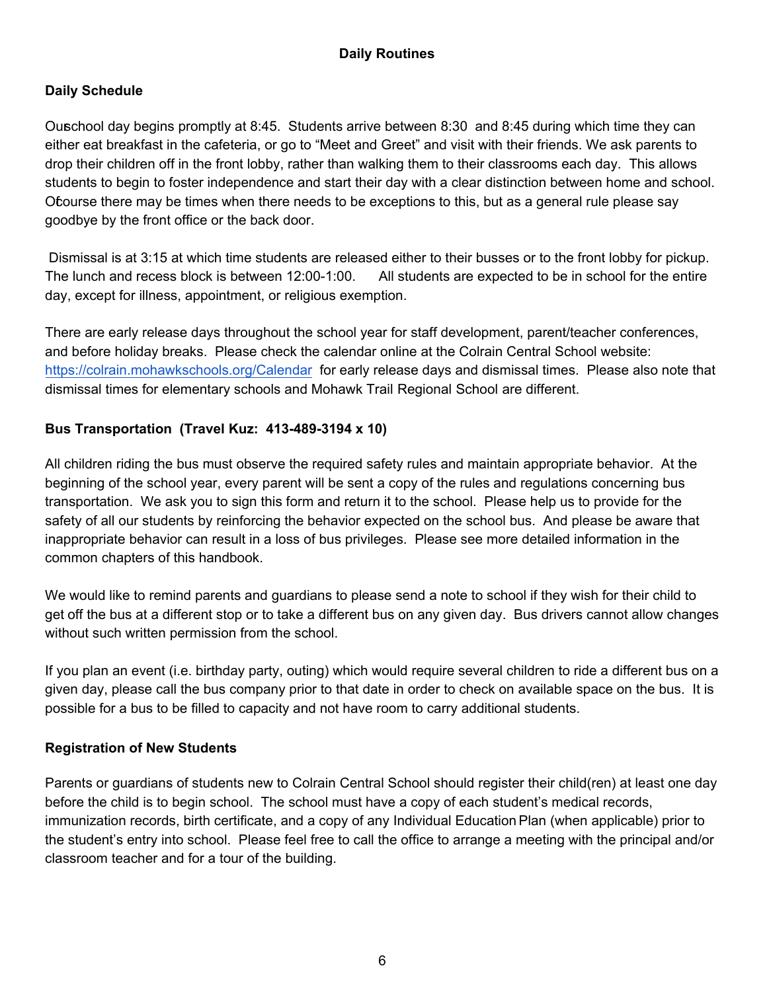# **Daily Routines**

# <span id="page-5-0"></span>**Daily Schedule**

Ouschool day begins promptly at 8:45. Students arrive between 8:30 and 8:45 during which time they can either eat breakfast in the cafeteria, or go to "Meet and Greet" and visit with their friends. We ask parents to drop their children off in the front lobby, rather than walking them to their classrooms each day. This allows students to begin to foster independence and start their day with a clear distinction between home and school. Ofcourse there may be times when there needs to be exceptions to this, but as a general rule please say goodbye by the front office or the back door.

 Dismissal is at 3:15 at which time students are released either to their busses or to the front lobby for pickup. The lunch and recess block is between 12:00-1:00. day, except for illness, appointment, or religious exemption. All students are expected to be in school for the entire

 There are early release days throughout the school year for staff development, parent/teacher conferences, and before holiday breaks. Please check the calendar online at the Colrain Central School website: <https://colrain.mohawkschools.org/Calendar> for early release days and dismissal times. Please also note that dismissal times for elementary schools and Mohawk Trail Regional School are different.

# **Bus Transportation (Travel Kuz: 413-489-3194 x 10)**

 All children riding the bus must observe the required safety rules and maintain appropriate behavior. At the beginning of the school year, every parent will be sent a copy of the rules and regulations concerning bus transportation. We ask you to sign this form and return it to the school. Please help us to provide for the safety of all our students by reinforcing the behavior expected on the school bus. And please be aware that inappropriate behavior can result in a loss of bus privileges. Please see more detailed information in the common chapters of this handbook.

 We would like to remind parents and guardians to please send a note to school if they wish for their child to get off the bus at a different stop or to take a different bus on any given day. Bus drivers cannot allow changes without such written permission from the school.

 If you plan an event (i.e. birthday party, outing) which would require several children to ride a different bus on a given day, please call the bus company prior to that date in order to check on available space on the bus. It is possible for a bus to be filled to capacity and not have room to carry additional students.

# **Registration of New Students**

 Parents or guardians of students new to Colrain Central School should register their child(ren) at least one day before the child is to begin school. The school must have a copy of each student's medical records, immunization records, birth certificate, and a copy of any Individual Education Plan (when applicable) prior to the student's entry into school. Please feel free to call the office to arrange a meeting with the principal and/or classroom teacher and for a tour of the building.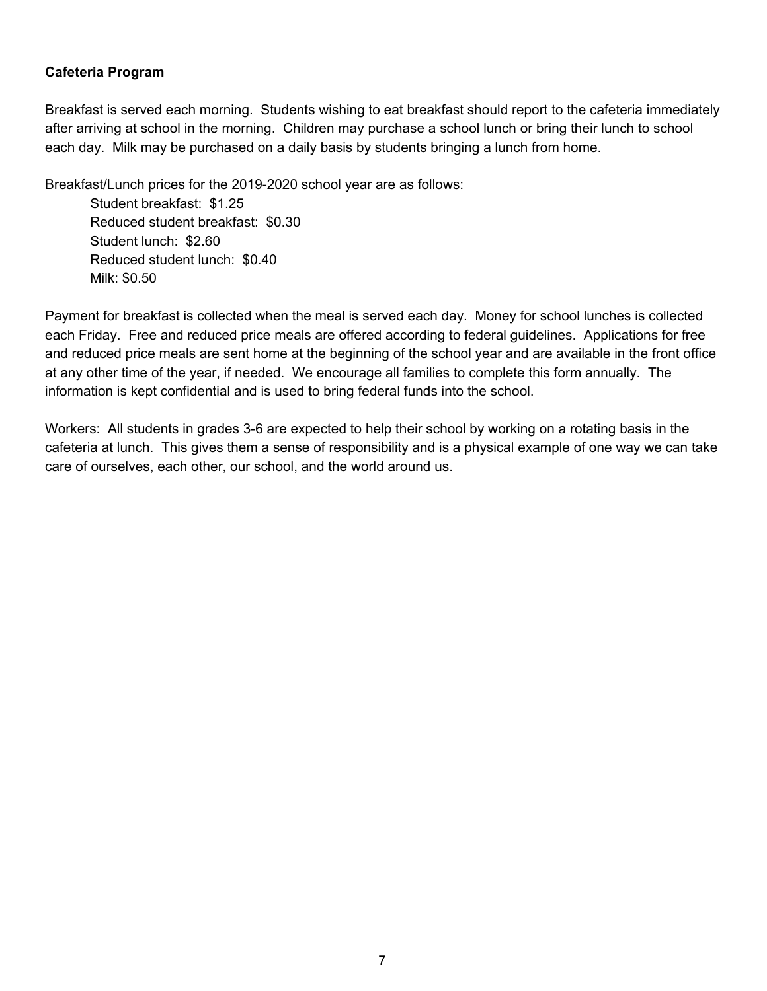# <span id="page-6-0"></span>**Cafeteria Program**

 Breakfast is served each morning. Students wishing to eat breakfast should report to the cafeteria immediately after arriving at school in the morning. Children may purchase a school lunch or bring their lunch to school each day. Milk may be purchased on a daily basis by students bringing a lunch from home.

Breakfast/Lunch prices for the 2019-2020 school year are as follows:

 Student breakfast: \$1.25 Reduced student breakfast: \$0.30 Student lunch: \$2.60 Reduced student lunch: \$0.40 Milk: \$0.50

 Payment for breakfast is collected when the meal is served each day. Money for school lunches is collected each Friday. Free and reduced price meals are offered according to federal guidelines. Applications for free and reduced price meals are sent home at the beginning of the school year and are available in the front office at any other time of the year, if needed. We encourage all families to complete this form annually. The information is kept confidential and is used to bring federal funds into the school.

 Workers: All students in grades 3-6 are expected to help their school by working on a rotating basis in the cafeteria at lunch. This gives them a sense of responsibility and is a physical example of one way we can take care of ourselves, each other, our school, and the world around us.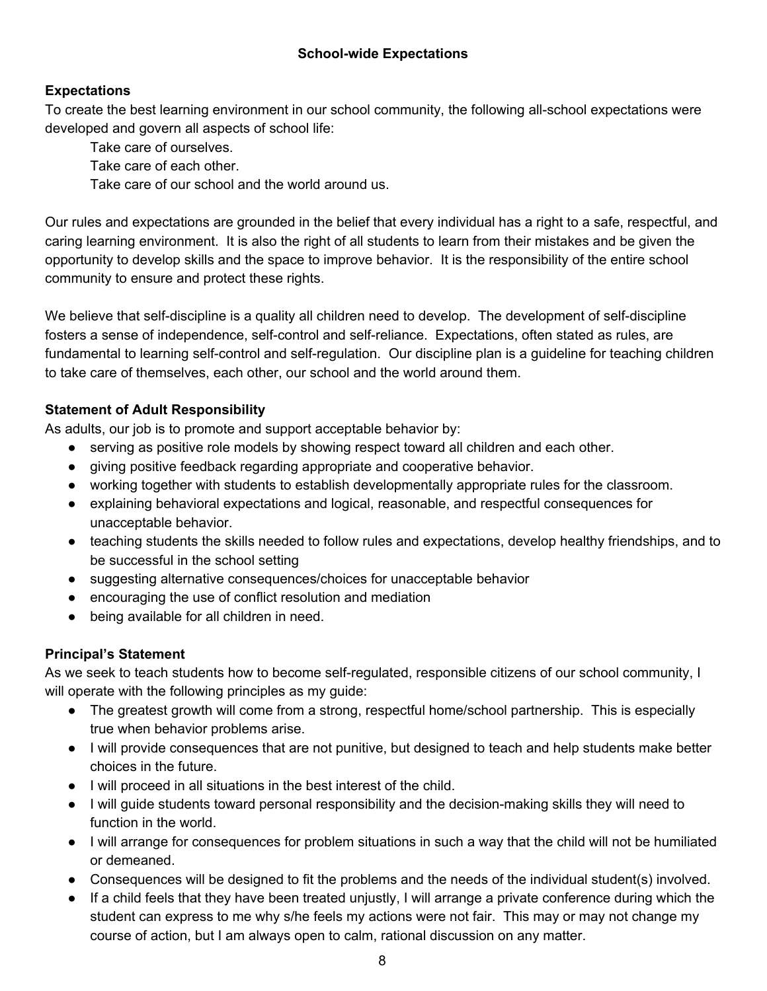# <span id="page-7-0"></span>**Expectations**

 To create the best learning environment in our school community, the following all-school expectations were developed and govern all aspects of school life:

Take care of ourselves.

Take care of each other.

Take care of our school and the world around us.

 Our rules and expectations are grounded in the belief that every individual has a right to a safe, respectful, and caring learning environment. It is also the right of all students to learn from their mistakes and be given the opportunity to develop skills and the space to improve behavior. It is the responsibility of the entire school community to ensure and protect these rights.

 We believe that self-discipline is a quality all children need to develop. The development of self-discipline fosters a sense of independence, self-control and self-reliance. Expectations, often stated as rules, are fundamental to learning self-control and self-regulation. Our discipline plan is a guideline for teaching children to take care of themselves, each other, our school and the world around them.

# **Statement of Adult Responsibility**

As adults, our job is to promote and support acceptable behavior by:

- serving as positive role models by showing respect toward all children and each other.
- giving positive feedback regarding appropriate and cooperative behavior.
- working together with students to establish developmentally appropriate rules for the classroom.
- ● explaining behavioral expectations and logical, reasonable, and respectful consequences for unacceptable behavior.
- ● teaching students the skills needed to follow rules and expectations, develop healthy friendships, and to be successful in the school setting
- suggesting alternative consequences/choices for unacceptable behavior
- encouraging the use of conflict resolution and mediation
- being available for all children in need.

# **Principal's Statement**

 As we seek to teach students how to become self-regulated, responsible citizens of our school community, I will operate with the following principles as my guide:

- ● The greatest growth will come from a strong, respectful home/school partnership. This is especially true when behavior problems arise.
- ● I will provide consequences that are not punitive, but designed to teach and help students make better choices in the future.
- I will proceed in all situations in the best interest of the child.
- ● I will guide students toward personal responsibility and the decision-making skills they will need to function in the world.
- ● I will arrange for consequences for problem situations in such a way that the child will not be humiliated or demeaned.
- Consequences will be designed to fit the problems and the needs of the individual student(s) involved.
- ● If a child feels that they have been treated unjustly, I will arrange a private conference during which the student can express to me why s/he feels my actions were not fair. This may or may not change my course of action, but I am always open to calm, rational discussion on any matter.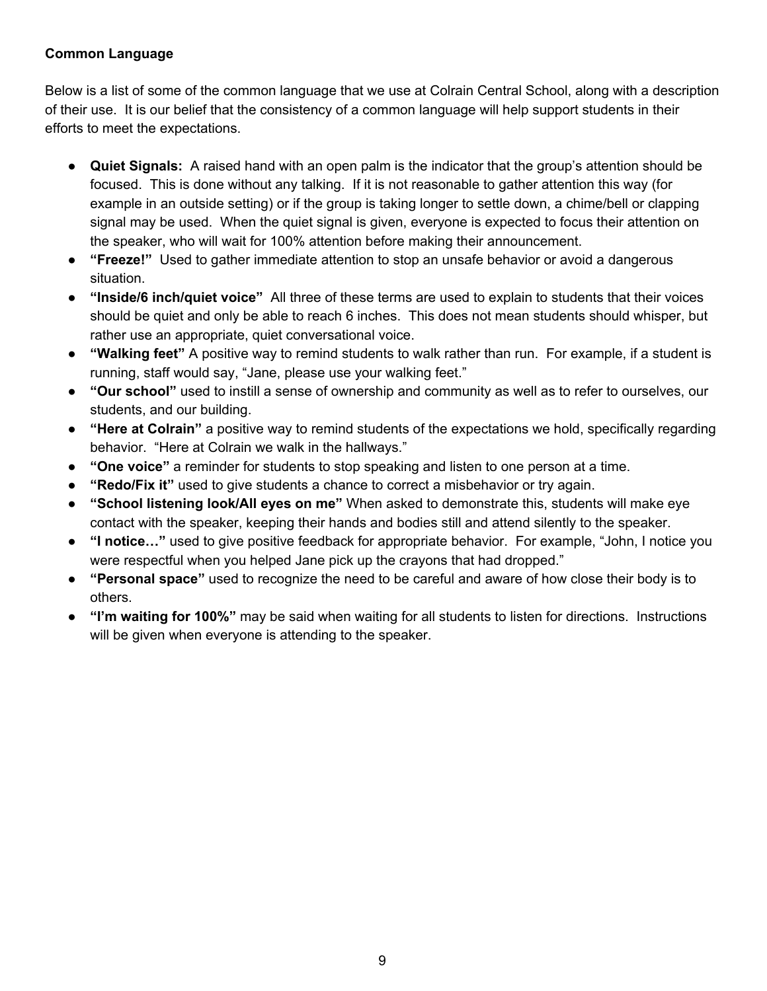# **Common Language**

 Below is a list of some of the common language that we use at Colrain Central School, along with a description of their use. It is our belief that the consistency of a common language will help support students in their efforts to meet the expectations.

- **● Quiet Signals:** A raised hand with an open palm is the indicator that the group's attention should be focused. This is done without any talking. If it is not reasonable to gather attention this way (for example in an outside setting) or if the group is taking longer to settle down, a chime/bell or clapping signal may be used. When the quiet signal is given, everyone is expected to focus their attention on the speaker, who will wait for 100% attention before making their announcement.
- **● "Freeze!"** Used to gather immediate attention to stop an unsafe behavior or avoid a dangerous situation.
- **● "Inside/6 inch/quiet voice"** All three of these terms are used to explain to students that their voices should be quiet and only be able to reach 6 inches. This does not mean students should whisper, but rather use an appropriate, quiet conversational voice.
- **● "Walking feet"** A positive way to remind students to walk rather than run. For example, if a student is running, staff would say, "Jane, please use your walking feet."
- **● "Our school"** used to instill a sense of ownership and community as well as to refer to ourselves, our students, and our building.
- **● "Here at Colrain"** a positive way to remind students of the expectations we hold, specifically regarding behavior. "Here at Colrain we walk in the hallways."
- **● "One voice"** a reminder for students to stop speaking and listen to one person at a time.
- **● "Redo/Fix it"** used to give students a chance to correct a misbehavior or try again.
- **● "School listening look/All eyes on me"** When asked to demonstrate this, students will make eye contact with the speaker, keeping their hands and bodies still and attend silently to the speaker.
- **● "I notice…"** used to give positive feedback for appropriate behavior. For example, "John, I notice you were respectful when you helped Jane pick up the crayons that had dropped."
- **● "Personal space"** used to recognize the need to be careful and aware of how close their body is to others.
- **● "I'm waiting for 100%"** may be said when waiting for all students to listen for directions. Instructions will be given when everyone is attending to the speaker.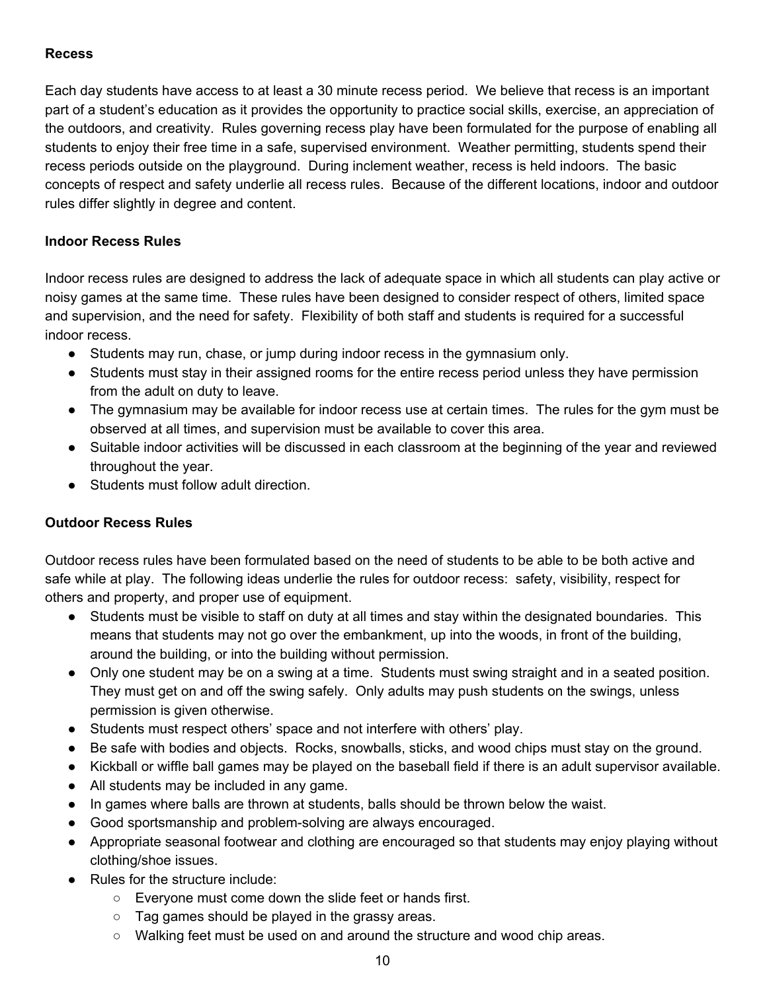# <span id="page-9-0"></span>**Recess**

 Each day students have access to at least a 30 minute recess period. We believe that recess is an important part of a student's education as it provides the opportunity to practice social skills, exercise, an appreciation of the outdoors, and creativity. Rules governing recess play have been formulated for the purpose of enabling all students to enjoy their free time in a safe, supervised environment. Weather permitting, students spend their recess periods outside on the playground. During inclement weather, recess is held indoors. The basic concepts of respect and safety underlie all recess rules. Because of the different locations, indoor and outdoor rules differ slightly in degree and content.

# **Indoor Recess Rules**

 Indoor recess rules are designed to address the lack of adequate space in which all students can play active or noisy games at the same time. These rules have been designed to consider respect of others, limited space and supervision, and the need for safety. Flexibility of both staff and students is required for a successful indoor recess.

- Students may run, chase, or jump during indoor recess in the gymnasium only.
- ● Students must stay in their assigned rooms for the entire recess period unless they have permission from the adult on duty to leave.
- ● The gymnasium may be available for indoor recess use at certain times. The rules for the gym must be observed at all times, and supervision must be available to cover this area.
- ● Suitable indoor activities will be discussed in each classroom at the beginning of the year and reviewed throughout the year.
- Students must follow adult direction.

# **Outdoor Recess Rules**

 Outdoor recess rules have been formulated based on the need of students to be able to be both active and safe while at play. The following ideas underlie the rules for outdoor recess: safety, visibility, respect for others and property, and proper use of equipment.

- ● Students must be visible to staff on duty at all times and stay within the designated boundaries. This means that students may not go over the embankment, up into the woods, in front of the building, around the building, or into the building without permission.
- ● Only one student may be on a swing at a time. Students must swing straight and in a seated position. They must get on and off the swing safely. Only adults may push students on the swings, unless permission is given otherwise.
- Students must respect others' space and not interfere with others' play.
- Be safe with bodies and objects. Rocks, snowballs, sticks, and wood chips must stay on the ground.
- Kickball or wiffle ball games may be played on the baseball field if there is an adult supervisor available.
- All students may be included in any game.
- In games where balls are thrown at students, balls should be thrown below the waist.
- Good sportsmanship and problem-solving are always encouraged.
- ● Appropriate seasonal footwear and clothing are encouraged so that students may enjoy playing without clothing/shoe issues.
- ● Rules for the structure include:
	- Everyone must come down the slide feet or hands first.
	- Tag games should be played in the grassy areas.
	- Walking feet must be used on and around the structure and wood chip areas.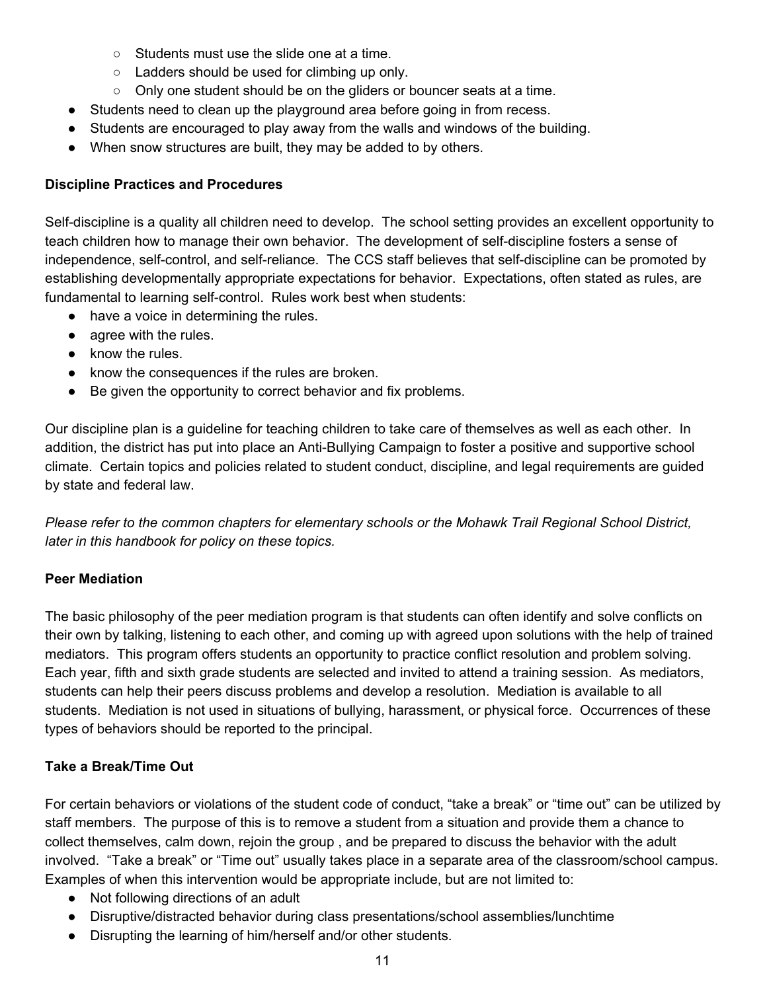- Students must use the slide one at a time.
- Ladders should be used for climbing up only.
- Only one student should be on the gliders or bouncer seats at a time.
- Students need to clean up the playground area before going in from recess.
- Students are encouraged to play away from the walls and windows of the building.
- When snow structures are built, they may be added to by others.

# **Discipline Practices and Procedures**

 Self-discipline is a quality all children need to develop. The school setting provides an excellent opportunity to teach children how to manage their own behavior. The development of self-discipline fosters a sense of independence, self-control, and self-reliance. The CCS staff believes that self-discipline can be promoted by establishing developmentally appropriate expectations for behavior. Expectations, often stated as rules, are fundamental to learning self-control. Rules work best when students:

- have a voice in determining the rules.
- agree with the rules.
- know the rules.
- know the consequences if the rules are broken.
- Be given the opportunity to correct behavior and fix problems.

 Our discipline plan is a guideline for teaching children to take care of themselves as well as each other. In addition, the district has put into place an Anti-Bullying Campaign to foster a positive and supportive school climate. Certain topics and policies related to student conduct, discipline, and legal requirements are guided by state and federal law.

Please refer to the common chapters for elementary schools or the Mohawk Trail Regional School District,  *later in this handbook for policy on these topics.*

# **Peer Mediation**

 The basic philosophy of the peer mediation program is that students can often identify and solve conflicts on their own by talking, listening to each other, and coming up with agreed upon solutions with the help of trained mediators. This program offers students an opportunity to practice conflict resolution and problem solving. Each year, fifth and sixth grade students are selected and invited to attend a training session. As mediators, students can help their peers discuss problems and develop a resolution. Mediation is available to all students. Mediation is not used in situations of bullying, harassment, or physical force. Occurrences of these types of behaviors should be reported to the principal.

# **Take a Break/Time Out**

 For certain behaviors or violations of the student code of conduct, "take a break" or "time out" can be utilized by staff members. The purpose of this is to remove a student from a situation and provide them a chance to collect themselves, calm down, rejoin the group , and be prepared to discuss the behavior with the adult involved. "Take a break" or "Time out" usually takes place in a separate area of the classroom/school campus. Examples of when this intervention would be appropriate include, but are not limited to:

- Not following directions of an adult
- Disruptive/distracted behavior during class presentations/school assemblies/lunchtime
- Disrupting the learning of him/herself and/or other students.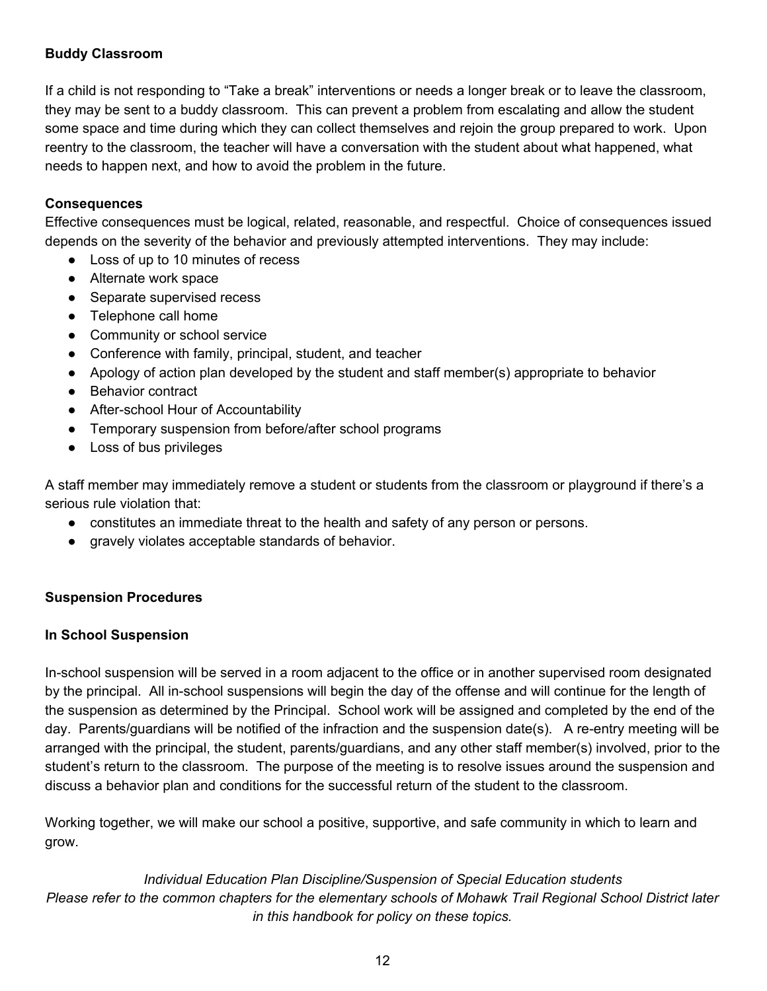# <span id="page-11-0"></span>**Buddy Classroom**

 If a child is not responding to "Take a break" interventions or needs a longer break or to leave the classroom, they may be sent to a buddy classroom. This can prevent a problem from escalating and allow the student some space and time during which they can collect themselves and rejoin the group prepared to work. Upon reentry to the classroom, the teacher will have a conversation with the student about what happened, what needs to happen next, and how to avoid the problem in the future.

# **Consequences**

 Effective consequences must be logical, related, reasonable, and respectful. Choice of consequences issued depends on the severity of the behavior and previously attempted interventions. They may include:

- Loss of up to 10 minutes of recess
- Alternate work space
- Separate supervised recess
- Telephone call home
- Community or school service
- Conference with family, principal, student, and teacher
- Apology of action plan developed by the student and staff member(s) appropriate to behavior
- Behavior contract
- After-school Hour of Accountability
- Temporary suspension from before/after school programs
- Loss of bus privileges

 A staff member may immediately remove a student or students from the classroom or playground if there's a serious rule violation that:

- constitutes an immediate threat to the health and safety of any person or persons.
- gravely violates acceptable standards of behavior.

# **Suspension Procedures**

# **In School Suspension**

 In-school suspension will be served in a room adjacent to the office or in another supervised room designated by the principal. All in-school suspensions will begin the day of the offense and will continue for the length of the suspension as determined by the Principal. School work will be assigned and completed by the end of the day. Parents/guardians will be notified of the infraction and the suspension date(s). A re-entry meeting will be arranged with the principal, the student, parents/guardians, and any other staff member(s) involved, prior to the student's return to the classroom. The purpose of the meeting is to resolve issues around the suspension and discuss a behavior plan and conditions for the successful return of the student to the classroom.

 Working together, we will make our school a positive, supportive, and safe community in which to learn and grow.

 *Individual Education Plan Discipline/Suspension of Special Education students* Please refer to the common chapters for the elementary schools of Mohawk Trail Regional School District later  *in this handbook for policy on these topics.*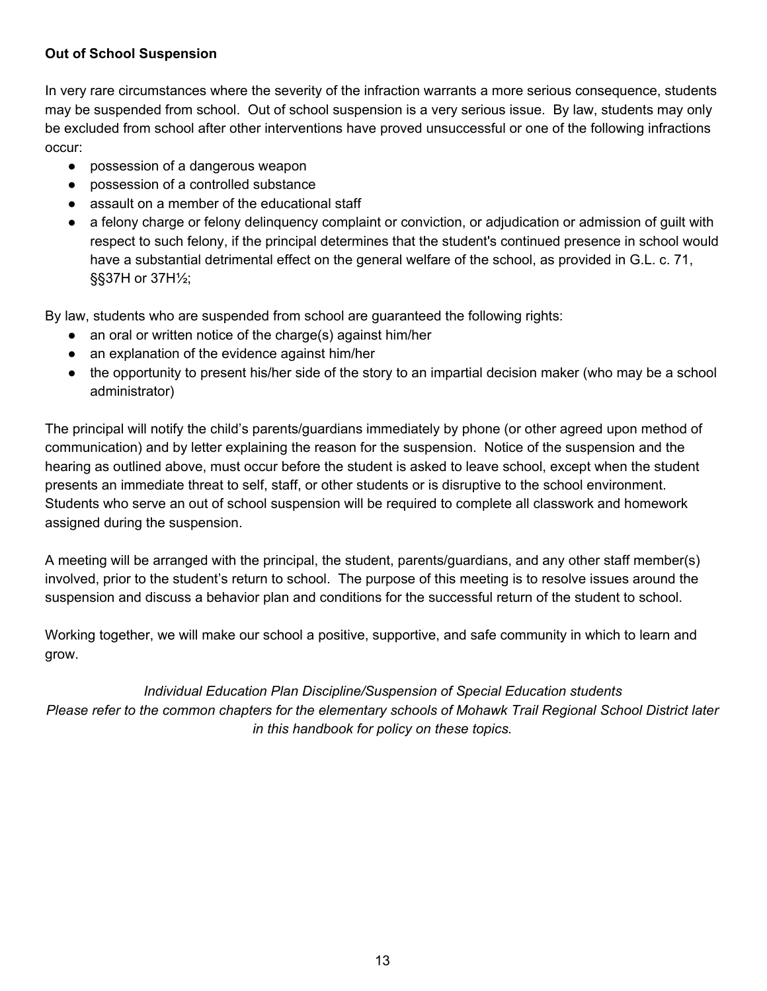# **Out of School Suspension**

 In very rare circumstances where the severity of the infraction warrants a more serious consequence, students may be suspended from school. Out of school suspension is a very serious issue. By law, students may only be excluded from school after other interventions have proved unsuccessful or one of the following infractions occur:

- possession of a dangerous weapon
- possession of a controlled substance
- assault on a member of the educational staff
- ● a felony charge or felony delinquency complaint or conviction, or adjudication or admission of guilt with respect to such felony, if the principal determines that the student's continued presence in school would have a substantial detrimental effect on the general welfare of the school, as provided in G.L. c. 71, §§37H or 37H½;

By law, students who are suspended from school are guaranteed the following rights:

- an oral or written notice of the charge(s) against him/her
- an explanation of the evidence against him/her
- the opportunity to present his/her side of the story to an impartial decision maker (who may be a school administrator)

 The principal will notify the child's parents/guardians immediately by phone (or other agreed upon method of communication) and by letter explaining the reason for the suspension. Notice of the suspension and the hearing as outlined above, must occur before the student is asked to leave school, except when the student presents an immediate threat to self, staff, or other students or is disruptive to the school environment. Students who serve an out of school suspension will be required to complete all classwork and homework assigned during the suspension.

 A meeting will be arranged with the principal, the student, parents/guardians, and any other staff member(s) involved, prior to the student's return to school. The purpose of this meeting is to resolve issues around the suspension and discuss a behavior plan and conditions for the successful return of the student to school.

 Working together, we will make our school a positive, supportive, and safe community in which to learn and grow.

 *Individual Education Plan Discipline/Suspension of Special Education students* Please refer to the common chapters for the elementary schools of Mohawk Trail Regional School District later  *in this handbook for policy on these topics.*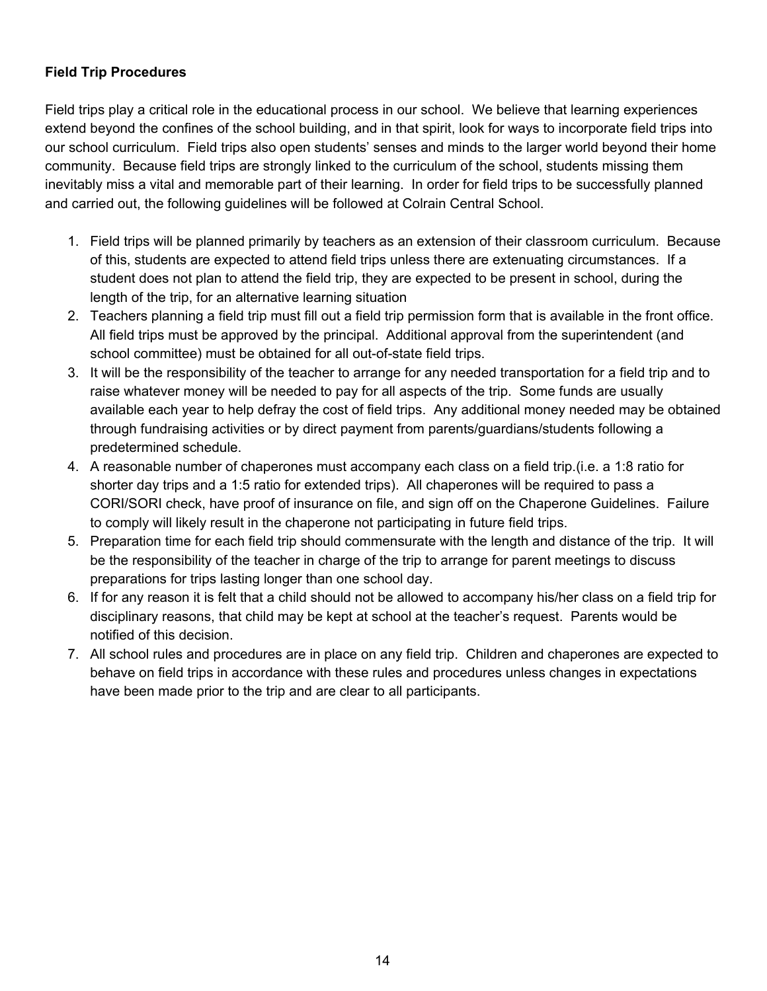# **Field Trip Procedures**

 Field trips play a critical role in the educational process in our school. We believe that learning experiences extend beyond the confines of the school building, and in that spirit, look for ways to incorporate field trips into our school curriculum. Field trips also open students' senses and minds to the larger world beyond their home community. Because field trips are strongly linked to the curriculum of the school, students missing them inevitably miss a vital and memorable part of their learning. In order for field trips to be successfully planned and carried out, the following guidelines will be followed at Colrain Central School.

- 1. Field trips will be planned primarily by teachers as an extension of their classroom curriculum. Because of this, students are expected to attend field trips unless there are extenuating circumstances. If a student does not plan to attend the field trip, they are expected to be present in school, during the length of the trip, for an alternative learning situation
- 2. Teachers planning a field trip must fill out a field trip permission form that is available in the front office. All field trips must be approved by the principal. Additional approval from the superintendent (and school committee) must be obtained for all out-of-state field trips.
- 3. It will be the responsibility of the teacher to arrange for any needed transportation for a field trip and to raise whatever money will be needed to pay for all aspects of the trip. Some funds are usually available each year to help defray the cost of field trips. Any additional money needed may be obtained through fundraising activities or by direct payment from parents/guardians/students following a predetermined schedule.
- 4. A reasonable number of chaperones must accompany each class on a field trip.(i.e. a 1:8 ratio for shorter day trips and a 1:5 ratio for extended trips). All chaperones will be required to pass a CORI/SORI check, have proof of insurance on file, and sign off on the Chaperone Guidelines. Failure to comply will likely result in the chaperone not participating in future field trips.
- 5. Preparation time for each field trip should commensurate with the length and distance of the trip. It will be the responsibility of the teacher in charge of the trip to arrange for parent meetings to discuss preparations for trips lasting longer than one school day.
- 6. If for any reason it is felt that a child should not be allowed to accompany his/her class on a field trip for disciplinary reasons, that child may be kept at school at the teacher's request. Parents would be notified of this decision.
- 7. All school rules and procedures are in place on any field trip. Children and chaperones are expected to behave on field trips in accordance with these rules and procedures unless changes in expectations have been made prior to the trip and are clear to all participants.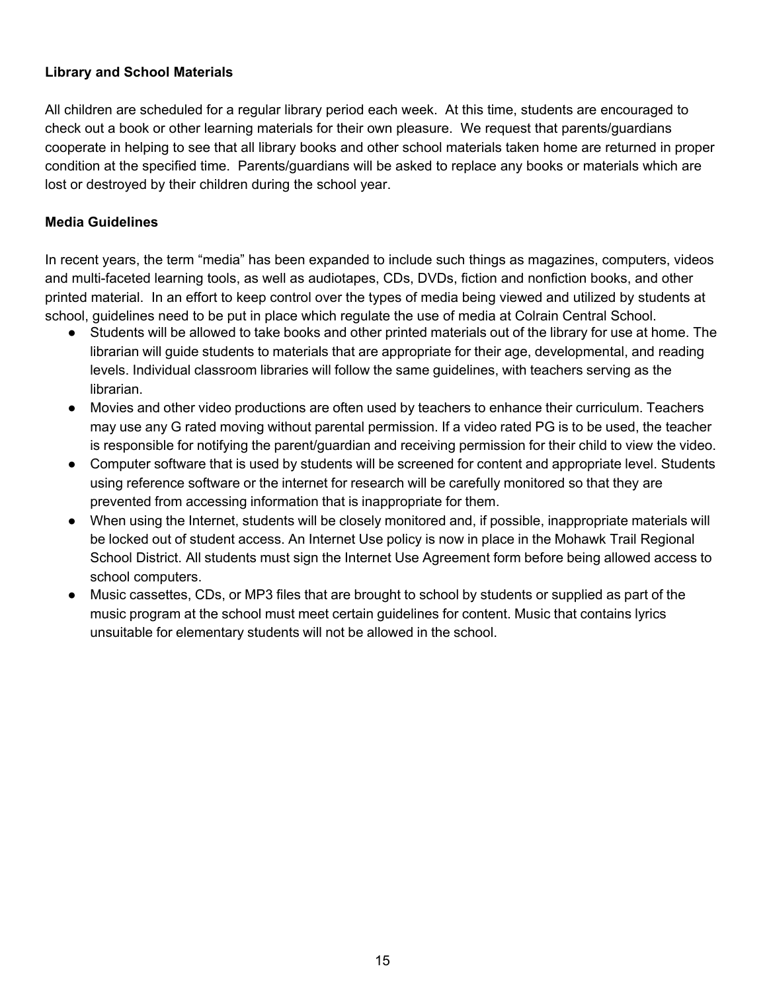# <span id="page-14-0"></span> **Library and School Materials**

 All children are scheduled for a regular library period each week. At this time, students are encouraged to check out a book or other learning materials for their own pleasure. We request that parents/guardians cooperate in helping to see that all library books and other school materials taken home are returned in proper condition at the specified time. Parents/guardians will be asked to replace any books or materials which are lost or destroyed by their children during the school year.

# **Media Guidelines**

 In recent years, the term "media" has been expanded to include such things as magazines, computers, videos and multi-faceted learning tools, as well as audiotapes, CDs, DVDs, fiction and nonfiction books, and other printed material. In an effort to keep control over the types of media being viewed and utilized by students at school, guidelines need to be put in place which regulate the use of media at Colrain Central School.

- ● Students will be allowed to take books and other printed materials out of the library for use at home. The librarian will guide students to materials that are appropriate for their age, developmental, and reading levels. Individual classroom libraries will follow the same guidelines, with teachers serving as the librarian.
- ● Movies and other video productions are often used by teachers to enhance their curriculum. Teachers may use any G rated moving without parental permission. If a video rated PG is to be used, the teacher is responsible for notifying the parent/guardian and receiving permission for their child to view the video.
- using reference software or the internet for research will be carefully monitored so that they are prevented from accessing information that is inappropriate for them. • Computer software that is used by students will be screened for content and appropriate level. Students
- ● When using the Internet, students will be closely monitored and, if possible, inappropriate materials will be locked out of student access. An Internet Use policy is now in place in the Mohawk Trail Regional School District. All students must sign the Internet Use Agreement form before being allowed access to school computers.
- music program at the school must meet certain guidelines for content. Music that contains lyrics unsuitable for elementary students will not be allowed in the school. Music cassettes, CDs, or MP3 files that are brought to school by students or supplied as part of the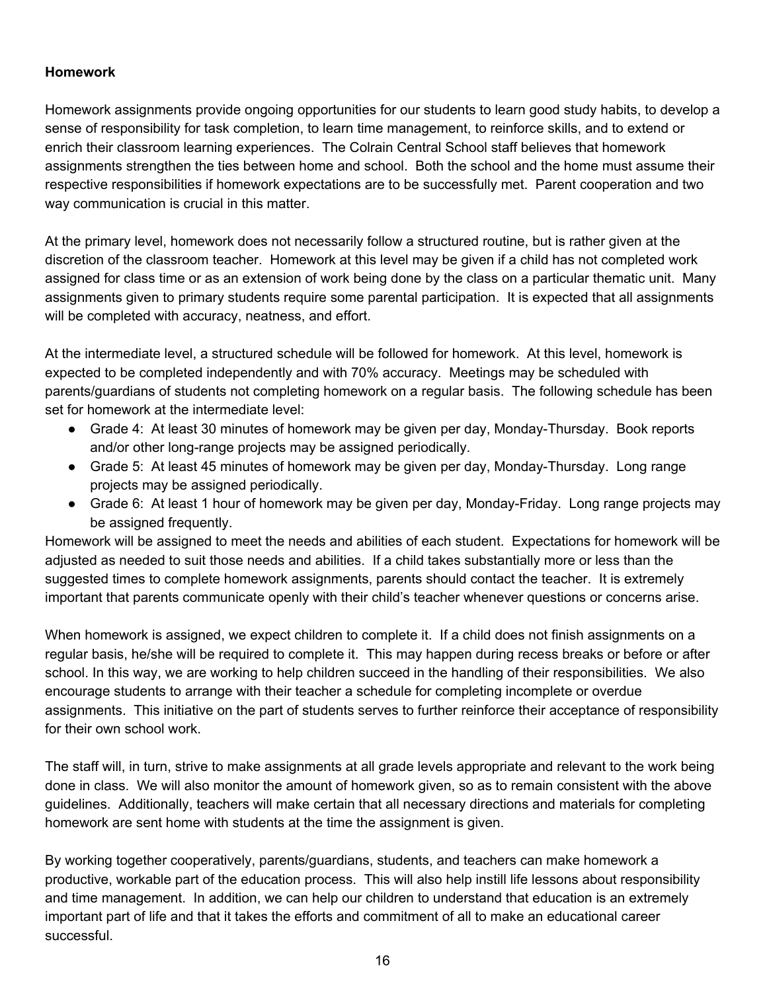# **Homework**

 Homework assignments provide ongoing opportunities for our students to learn good study habits, to develop a sense of responsibility for task completion, to learn time management, to reinforce skills, and to extend or enrich their classroom learning experiences. The Colrain Central School staff believes that homework assignments strengthen the ties between home and school. Both the school and the home must assume their respective responsibilities if homework expectations are to be successfully met. Parent cooperation and two way communication is crucial in this matter.

 At the primary level, homework does not necessarily follow a structured routine, but is rather given at the discretion of the classroom teacher. Homework at this level may be given if a child has not completed work assigned for class time or as an extension of work being done by the class on a particular thematic unit. Many assignments given to primary students require some parental participation. It is expected that all assignments will be completed with accuracy, neatness, and effort.

 At the intermediate level, a structured schedule will be followed for homework. At this level, homework is expected to be completed independently and with 70% accuracy. Meetings may be scheduled with parents/guardians of students not completing homework on a regular basis. The following schedule has been set for homework at the intermediate level:

- ● Grade 4: At least 30 minutes of homework may be given per day, Monday-Thursday. Book reports and/or other long-range projects may be assigned periodically.
- ● Grade 5: At least 45 minutes of homework may be given per day, Monday-Thursday. Long range projects may be assigned periodically.
- ● Grade 6: At least 1 hour of homework may be given per day, Monday-Friday. Long range projects may be assigned frequently.

 Homework will be assigned to meet the needs and abilities of each student. Expectations for homework will be adjusted as needed to suit those needs and abilities. If a child takes substantially more or less than the suggested times to complete homework assignments, parents should contact the teacher. It is extremely important that parents communicate openly with their child's teacher whenever questions or concerns arise.

 When homework is assigned, we expect children to complete it. If a child does not finish assignments on a regular basis, he/she will be required to complete it. This may happen during recess breaks or before or after school. In this way, we are working to help children succeed in the handling of their responsibilities. We also encourage students to arrange with their teacher a schedule for completing incomplete or overdue assignments. This initiative on the part of students serves to further reinforce their acceptance of responsibility for their own school work.

 The staff will, in turn, strive to make assignments at all grade levels appropriate and relevant to the work being done in class. We will also monitor the amount of homework given, so as to remain consistent with the above guidelines. Additionally, teachers will make certain that all necessary directions and materials for completing homework are sent home with students at the time the assignment is given.

 By working together cooperatively, parents/guardians, students, and teachers can make homework a productive, workable part of the education process. This will also help instill life lessons about responsibility and time management. In addition, we can help our children to understand that education is an extremely important part of life and that it takes the efforts and commitment of all to make an educational career successful.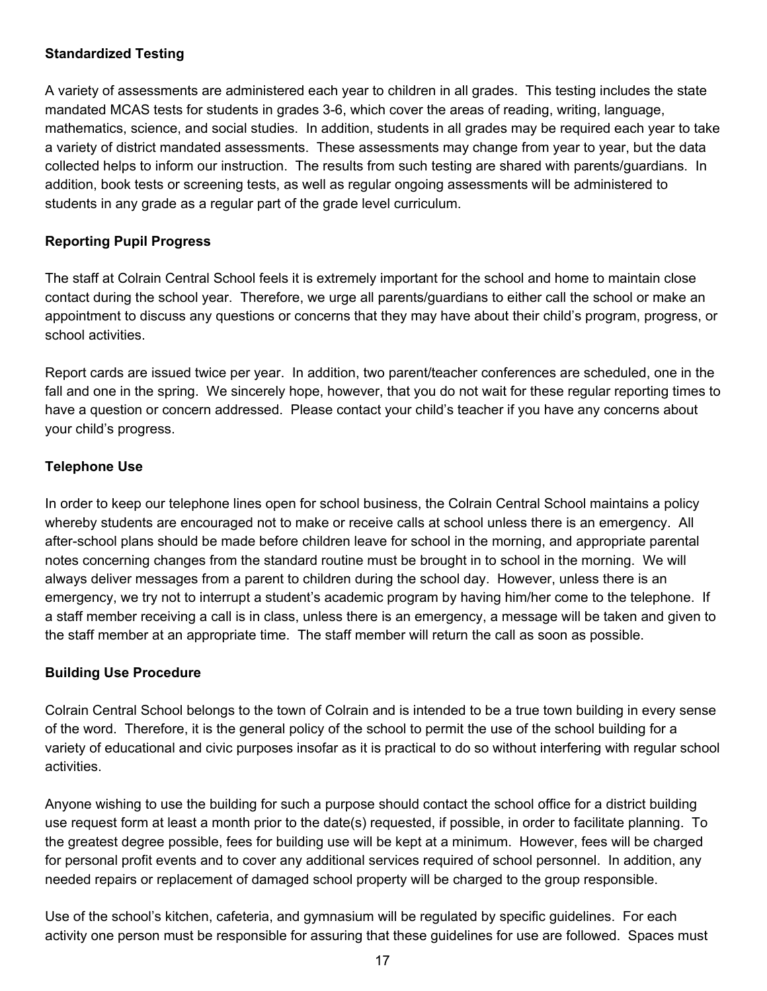# <span id="page-16-0"></span>**Standardized Testing**

 A variety of assessments are administered each year to children in all grades. This testing includes the state mandated MCAS tests for students in grades 3-6, which cover the areas of reading, writing, language, mathematics, science, and social studies. In addition, students in all grades may be required each year to take a variety of district mandated assessments. These assessments may change from year to year, but the data collected helps to inform our instruction. The results from such testing are shared with parents/guardians. In addition, book tests or screening tests, as well as regular ongoing assessments will be administered to students in any grade as a regular part of the grade level curriculum.

# **Reporting Pupil Progress**

 The staff at Colrain Central School feels it is extremely important for the school and home to maintain close contact during the school year. Therefore, we urge all parents/guardians to either call the school or make an appointment to discuss any questions or concerns that they may have about their child's program, progress, or school activities.

 Report cards are issued twice per year. In addition, two parent/teacher conferences are scheduled, one in the fall and one in the spring. We sincerely hope, however, that you do not wait for these regular reporting times to have a question or concern addressed. Please contact your child's teacher if you have any concerns about your child's progress.

# **Telephone Use**

 In order to keep our telephone lines open for school business, the Colrain Central School maintains a policy whereby students are encouraged not to make or receive calls at school unless there is an emergency. All after-school plans should be made before children leave for school in the morning, and appropriate parental notes concerning changes from the standard routine must be brought in to school in the morning. We will always deliver messages from a parent to children during the school day. However, unless there is an emergency, we try not to interrupt a student's academic program by having him/her come to the telephone. If a staff member receiving a call is in class, unless there is an emergency, a message will be taken and given to the staff member at an appropriate time. The staff member will return the call as soon as possible.

# **Building Use Procedure**

 Colrain Central School belongs to the town of Colrain and is intended to be a true town building in every sense of the word. Therefore, it is the general policy of the school to permit the use of the school building for a variety of educational and civic purposes insofar as it is practical to do so without interfering with regular school activities.

 Anyone wishing to use the building for such a purpose should contact the school office for a district building use request form at least a month prior to the date(s) requested, if possible, in order to facilitate planning. To the greatest degree possible, fees for building use will be kept at a minimum. However, fees will be charged for personal profit events and to cover any additional services required of school personnel. In addition, any needed repairs or replacement of damaged school property will be charged to the group responsible.

 Use of the school's kitchen, cafeteria, and gymnasium will be regulated by specific guidelines. For each activity one person must be responsible for assuring that these guidelines for use are followed. Spaces must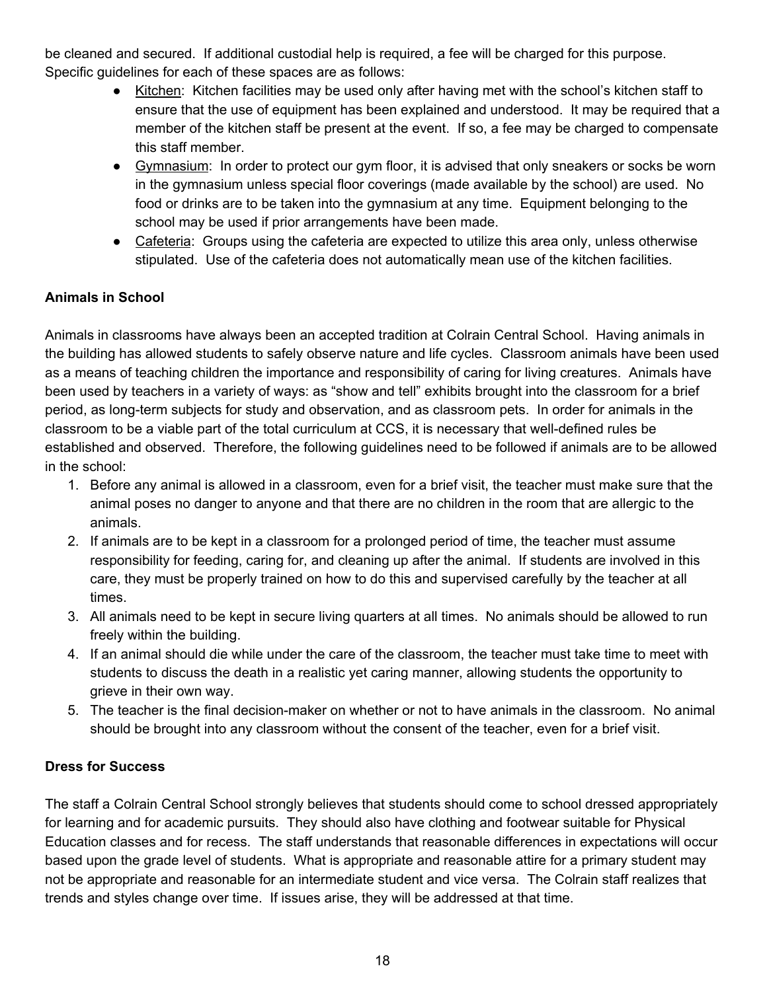<span id="page-17-0"></span> be cleaned and secured. If additional custodial help is required, a fee will be charged for this purpose. Specific guidelines for each of these spaces are as follows:

- Kitchen: Kitchen facilities may be used only after having met with the school's kitchen staff to ensure that the use of equipment has been explained and understood. It may be required that a member of the kitchen staff be present at the event. If so, a fee may be charged to compensate this staff member.
- Gymnasium: In order to protect our gym floor, it is advised that only sneakers or socks be worn in the gymnasium unless special floor coverings (made available by the school) are used. No food or drinks are to be taken into the gymnasium at any time. Equipment belonging to the school may be used if prior arrangements have been made.
- Cafeteria: Groups using the cafeteria are expected to utilize this area only, unless otherwise stipulated. Use of the cafeteria does not automatically mean use of the kitchen facilities.

# **Animals in School**

 Animals in classrooms have always been an accepted tradition at Colrain Central School. Having animals in the building has allowed students to safely observe nature and life cycles. Classroom animals have been used as a means of teaching children the importance and responsibility of caring for living creatures. Animals have been used by teachers in a variety of ways: as "show and tell" exhibits brought into the classroom for a brief period, as long-term subjects for study and observation, and as classroom pets. In order for animals in the classroom to be a viable part of the total curriculum at CCS, it is necessary that well-defined rules be established and observed. Therefore, the following guidelines need to be followed if animals are to be allowed in the school:

- 1. Before any animal is allowed in a classroom, even for a brief visit, the teacher must make sure that the animal poses no danger to anyone and that there are no children in the room that are allergic to the animals.
- 2. If animals are to be kept in a classroom for a prolonged period of time, the teacher must assume responsibility for feeding, caring for, and cleaning up after the animal. If students are involved in this care, they must be properly trained on how to do this and supervised carefully by the teacher at all times.
- 3. All animals need to be kept in secure living quarters at all times. No animals should be allowed to run freely within the building.
- 4. If an animal should die while under the care of the classroom, the teacher must take time to meet with students to discuss the death in a realistic yet caring manner, allowing students the opportunity to grieve in their own way.
- 5. The teacher is the final decision-maker on whether or not to have animals in the classroom. No animal should be brought into any classroom without the consent of the teacher, even for a brief visit.

# **Dress for Success**

 The staff a Colrain Central School strongly believes that students should come to school dressed appropriately for learning and for academic pursuits. They should also have clothing and footwear suitable for Physical Education classes and for recess. The staff understands that reasonable differences in expectations will occur based upon the grade level of students. What is appropriate and reasonable attire for a primary student may not be appropriate and reasonable for an intermediate student and vice versa. The Colrain staff realizes that trends and styles change over time. If issues arise, they will be addressed at that time.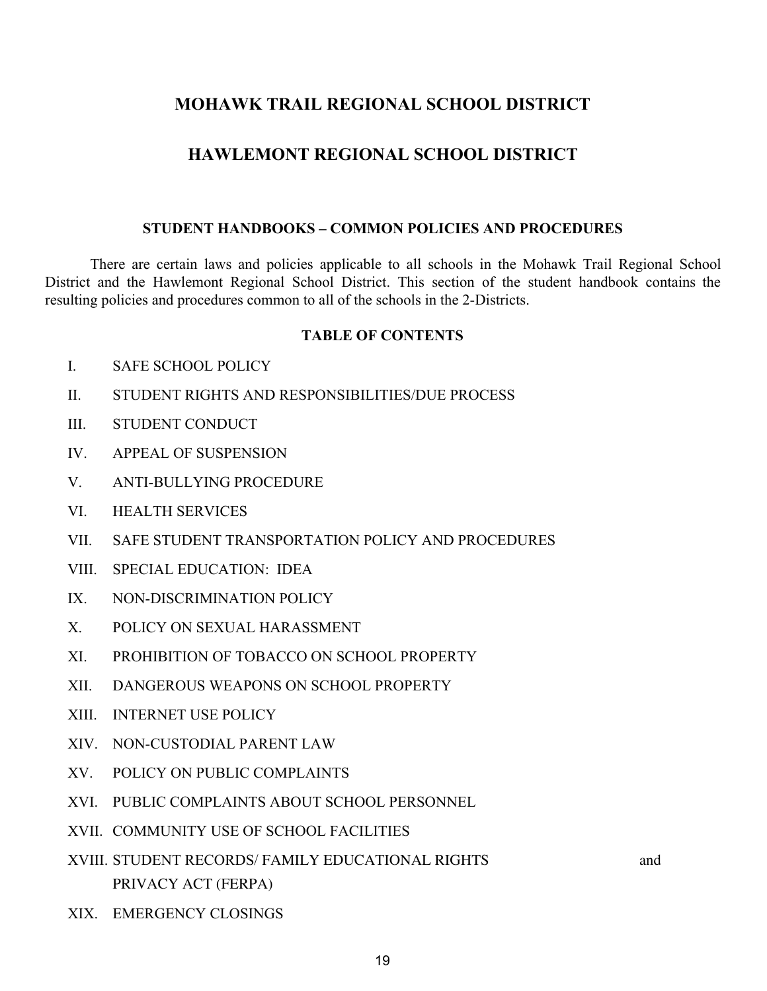# <span id="page-18-0"></span> **MOHAWK TRAIL REGIONAL SCHOOL DISTRICT**

# **HAWLEMONT REGIONAL SCHOOL DISTRICT**

# **STUDENT HANDBOOKS – COMMON POLICIES AND PROCEDURES**

There are certain laws and policies applicable to all schools in the Mohawk Trail Regional School District and the Hawlemont Regional School District. This section of the student handbook contains the resulting policies and procedures common to all of the schools in the 2-Districts.

## **TABLE OF CONTENTS**

- I. SAFE SCHOOL POLICY
- II. STUDENT RIGHTS AND RESPONSIBILITIES/DUE PROCESS
- III. STUDENT CONDUCT
- IV. APPEAL OF SUSPENSION
- V. ANTI-BULLYING PROCEDURE
- VI. HEALTH SERVICES
- VII. SAFE STUDENT TRANSPORTATION POLICY AND PROCEDURES
- VIII. SPECIAL EDUCATION: IDEA
- IX. NON-DISCRIMINATION POLICY
- X. POLICY ON SEXUAL HARASSMENT
- XI. PROHIBITION OF TOBACCO ON SCHOOL PROPERTY
- XII. DANGEROUS WEAPONS ON SCHOOL PROPERTY
- XIII. INTERNET USE POLICY
- XIV. NON-CUSTODIAL PARENT LAW
- XV. POLICY ON PUBLIC COMPLAINTS
- XVI. PUBLIC COMPLAINTS ABOUT SCHOOL PERSONNEL
- XVII. COMMUNITY USE OF SCHOOL FACILITIES
- PRIVACY ACT (FERPA) XVIII. STUDENT RECORDS/ FAMILY EDUCATIONAL RIGHTS and
- XIX. EMERGENCY CLOSINGS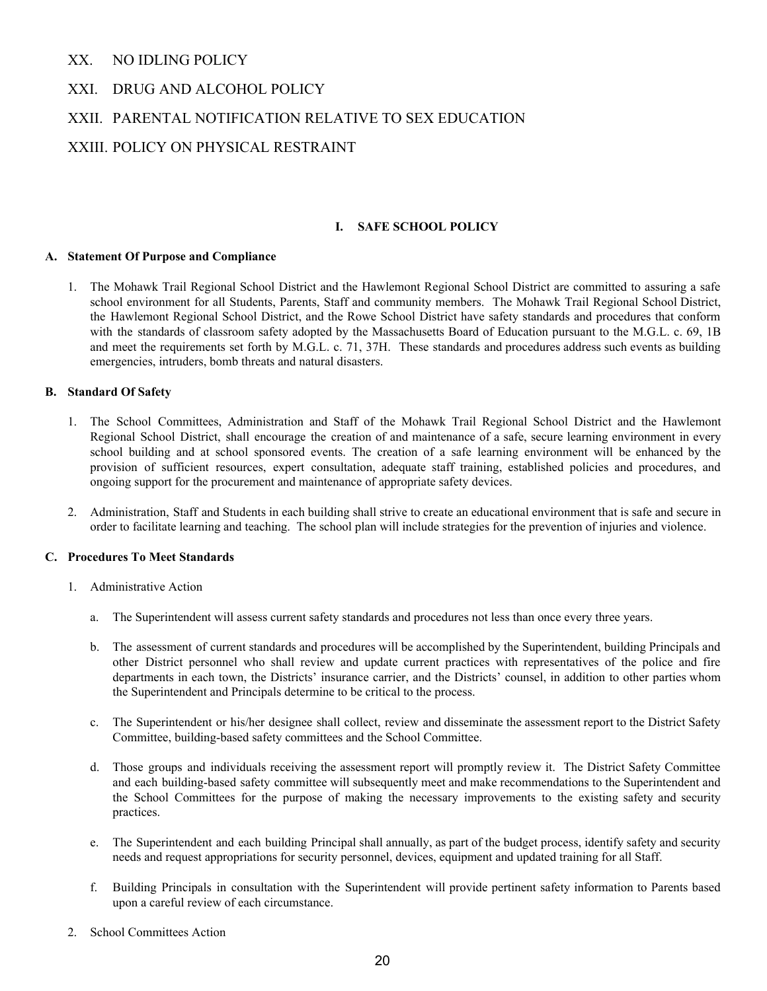# XX. NO IDLING POLICY

# XXI. DRUG AND ALCOHOL POLICY

# XXII. PARENTAL NOTIFICATION RELATIVE TO SEX EDUCATION

# XXIII. POLICY ON PHYSICAL RESTRAINT

## **I. SAFE SCHOOL POLICY**

#### **A. Statement Of Purpose and Compliance**

 emergencies, intruders, bomb threats and natural disasters. 1. The Mohawk Trail Regional School District and the Hawlemont Regional School District are committed to assuring a safe school environment for all Students, Parents, Staff and community members. The Mohawk Trail Regional School District, the Hawlemont Regional School District, and the Rowe School District have safety standards and procedures that conform with the standards of classroom safety adopted by the Massachusetts Board of Education pursuant to the M.G.L. c. 69, 1B and meet the requirements set forth by M.G.L. c. 71, 37H. These standards and procedures address such events as building

#### **B. Standard Of Safety**

- ongoing support for the procurement and maintenance of appropriate safety devices. 1. The School Committees, Administration and Staff of the Mohawk Trail Regional School District and the Hawlemont Regional School District, shall encourage the creation of and maintenance of a safe, secure learning environment in every school building and at school sponsored events. The creation of a safe learning environment will be enhanced by the provision of sufficient resources, expert consultation, adequate staff training, established policies and procedures, and
- order to facilitate learning and teaching. The school plan will include strategies for the prevention of injuries and violence. 2. Administration, Staff and Students in each building shall strive to create an educational environment that is safe and secure in

## **C. Procedures To Meet Standards**

- 1. Administrative Action
	- a. The Superintendent will assess current safety standards and procedures not less than once every three years.
	- the Superintendent and Principals determine to be critical to the process. b. The assessment of current standards and procedures will be accomplished by the Superintendent, building Principals and other District personnel who shall review and update current practices with representatives of the police and fire departments in each town, the Districts' insurance carrier, and the Districts' counsel, in addition to other parties whom
	- Committee, building-based safety committees and the School Committee. c. The Superintendent or his/her designee shall collect, review and disseminate the assessment report to the District Safety
	- d. Those groups and individuals receiving the assessment report will promptly review it. The District Safety Committee and each building-based safety committee will subsequently meet and make recommendations to the Superintendent and the School Committees for the purpose of making the necessary improvements to the existing safety and security practices.
	- needs and request appropriations for security personnel, devices, equipment and updated training for all Staff. e. The Superintendent and each building Principal shall annually, as part of the budget process, identify safety and security
	- upon a careful review of each circumstance. f. Building Principals in consultation with the Superintendent will provide pertinent safety information to Parents based
- 2. School Committees Action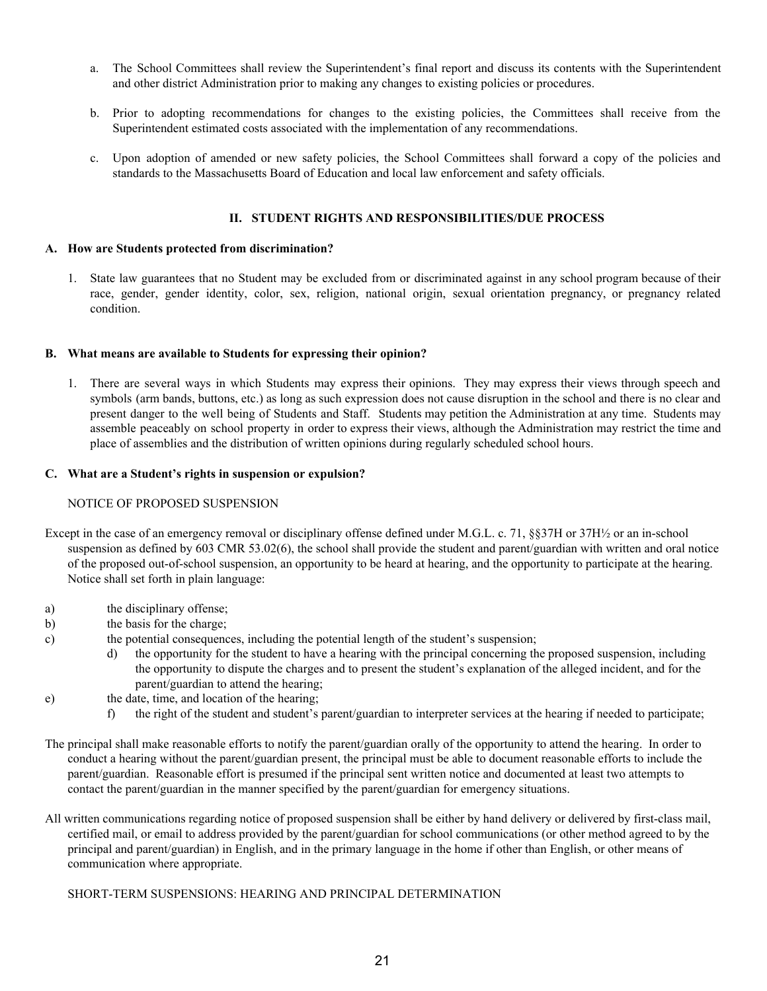- and other district Administration prior to making any changes to existing policies or procedures. a. The School Committees shall review the Superintendent's final report and discuss its contents with the Superintendent
- Superintendent estimated costs associated with the implementation of any recommendations. b. Prior to adopting recommendations for changes to the existing policies, the Committees shall receive from the
- standards to the Massachusetts Board of Education and local law enforcement and safety officials. c. Upon adoption of amended or new safety policies, the School Committees shall forward a copy of the policies and

#### **II. STUDENT RIGHTS AND RESPONSIBILITIES/DUE PROCESS**

#### **A. How are Students protected from discrimination?**

1. State law guarantees that no Student may be excluded from or discriminated against in any school program because of their race, gender, gender identity, color, sex, religion, national origin, sexual orientation pregnancy, or pregnancy related condition.

#### **B. What means are available to Students for expressing their opinion?**

 place of assemblies and the distribution of written opinions during regularly scheduled school hours. 1. There are several ways in which Students may express their opinions. They may express their views through speech and symbols (arm bands, buttons, etc.) as long as such expression does not cause disruption in the school and there is no clear and present danger to the well being of Students and Staff. Students may petition the Administration at any time. Students may assemble peaceably on school property in order to express their views, although the Administration may restrict the time and

#### **C. What are a Student's rights in suspension or expulsion?**

#### NOTICE OF PROPOSED SUSPENSION

- Except in the case of an emergency removal or disciplinary offense defined under M.G.L. c. 71, §§37H or 37H½ or an in-school suspension as defined by 603 CMR 53.02(6), the school shall provide the student and parent/guardian with written and oral notice of the proposed out-of-school suspension, an opportunity to be heard at hearing, and the opportunity to participate at the hearing. Notice shall set forth in plain language:
- a) the disciplinary offense;
- b) the basis for the charge;
- c) the potential consequences, including the potential length of the student's suspension;
	- d) the opportunity for the student to have a hearing with the principal concerning the proposed suspension, including the opportunity to dispute the charges and to present the student's explanation of the alleged incident, and for the parent/guardian to attend the hearing;
- e) the date, time, and location of the hearing;
	- f) the right of the student and student's parent/guardian to interpreter services at the hearing if needed to participate;
- The principal shall make reasonable efforts to notify the parent/guardian orally of the opportunity to attend the hearing. In order to conduct a hearing without the parent/guardian present, the principal must be able to document reasonable efforts to include the parent/guardian. Reasonable effort is presumed if the principal sent written notice and documented at least two attempts to contact the parent/guardian in the manner specified by the parent/guardian for emergency situations.
- All written communications regarding notice of proposed suspension shall be either by hand delivery or delivered by first-class mail, certified mail, or email to address provided by the parent/guardian for school communications (or other method agreed to by the principal and parent/guardian) in English, and in the primary language in the home if other than English, or other means of communication where appropriate.

#### SHORT-TERM SUSPENSIONS: HEARING AND PRINCIPAL DETERMINATION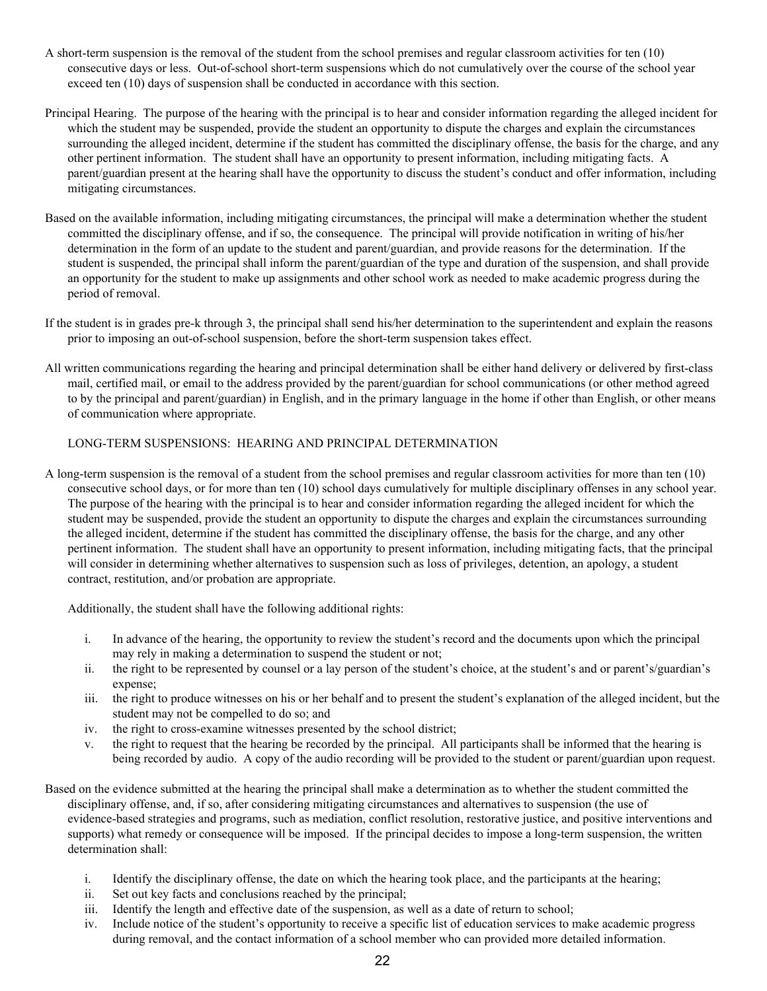- A short-term suspension is the removal of the student from the school premises and regular classroom activities for ten (10) consecutive days or less. Out-of-school short-term suspensions which do not cumulatively over the course of the school year exceed ten (10) days of suspension shall be conducted in accordance with this section.
- Principal Hearing. The purpose of the hearing with the principal is to hear and consider information regarding the alleged incident for which the student may be suspended, provide the student an opportunity to dispute the charges and explain the circumstances surrounding the alleged incident, determine if the student has committed the disciplinary offense, the basis for the charge, and any other pertinent information. The student shall have an opportunity to present information, including mitigating facts. A parent/guardian present at the hearing shall have the opportunity to discuss the student's conduct and offer information, including mitigating circumstances.
- Based on the available information, including mitigating circumstances, the principal will make a determination whether the student committed the disciplinary offense, and if so, the consequence. The principal will provide notification in writing of his/her determination in the form of an update to the student and parent/guardian, and provide reasons for the determination. If the student is suspended, the principal shall inform the parent/guardian of the type and duration of the suspension, and shall provide an opportunity for the student to make up assignments and other school work as needed to make academic progress during the period of removal.
- If the student is in grades pre-k through 3, the principal shall send his/her determination to the superintendent and explain the reasons prior to imposing an out-of-school suspension, before the short-term suspension takes effect.
- All written communications regarding the hearing and principal determination shall be either hand delivery or delivered by first-class mail, certified mail, or email to the address provided by the parent/guardian for school communications (or other method agreed to by the principal and parent/guardian) in English, and in the primary language in the home if other than English, or other means of communication where appropriate.

#### LONG-TERM SUSPENSIONS: HEARING AND PRINCIPAL DETERMINATION

 A long-term suspension is the removal of a student from the school premises and regular classroom activities for more than ten (10) consecutive school days, or for more than ten (10) school days cumulatively for multiple disciplinary offenses in any school year. The purpose of the hearing with the principal is to hear and consider information regarding the alleged incident for which the student may be suspended, provide the student an opportunity to dispute the charges and explain the circumstances surrounding the alleged incident, determine if the student has committed the disciplinary offense, the basis for the charge, and any other pertinent information. The student shall have an opportunity to present information, including mitigating facts, that the principal will consider in determining whether alternatives to suspension such as loss of privileges, detention, an apology, a student contract, restitution, and/or probation are appropriate.

Additionally, the student shall have the following additional rights:

- i. In advance of the hearing, the opportunity to review the student's record and the documents upon which the principal may rely in making a determination to suspend the student or not;
- ii. the right to be represented by counsel or a lay person of the student's choice, at the student's and or parent's/guardian's expense;
- iii. the right to produce witnesses on his or her behalf and to present the student's explanation of the alleged incident, but the student may not be compelled to do so; and
- iv. the right to cross-examine witnesses presented by the school district;
- v. the right to request that the hearing be recorded by the principal. All participants shall be informed that the hearing is being recorded by audio. A copy of the audio recording will be provided to the student or parent/guardian upon request.
- Based on the evidence submitted at the hearing the principal shall make a determination as to whether the student committed the disciplinary offense, and, if so, after considering mitigating circumstances and alternatives to suspension (the use of evidence-based strategies and programs, such as mediation, conflict resolution, restorative justice, and positive interventions and supports) what remedy or consequence will be imposed. If the principal decides to impose a long-term suspension, the written determination shall:
	- i. Identify the disciplinary offense, the date on which the hearing took place, and the participants at the hearing;
	- ii. Set out key facts and conclusions reached by the principal;
	- iii. Identify the length and effective date of the suspension, as well as a date of return to school;
	- iv. Include notice of the student's opportunity to receive a specific list of education services to make academic progress during removal, and the contact information of a school member who can provided more detailed information.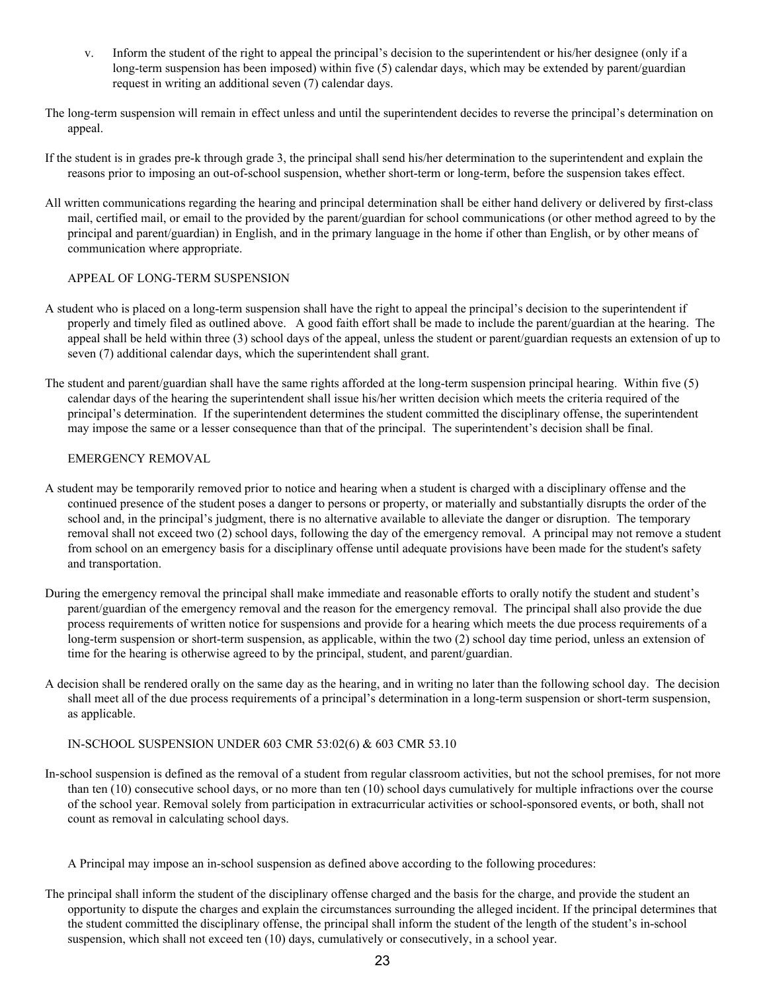- v. Inform the student of the right to appeal the principal's decision to the superintendent or his/her designee (only if a long-term suspension has been imposed) within five (5) calendar days, which may be extended by parent/guardian request in writing an additional seven (7) calendar days.
- The long-term suspension will remain in effect unless and until the superintendent decides to reverse the principal's determination on appeal.
- If the student is in grades pre-k through grade 3, the principal shall send his/her determination to the superintendent and explain the reasons prior to imposing an out-of-school suspension, whether short-term or long-term, before the suspension takes effect.
- All written communications regarding the hearing and principal determination shall be either hand delivery or delivered by first-class mail, certified mail, or email to the provided by the parent/guardian for school communications (or other method agreed to by the principal and parent/guardian) in English, and in the primary language in the home if other than English, or by other means of communication where appropriate.

#### APPEAL OF LONG-TERM SUSPENSION

- A student who is placed on a long-term suspension shall have the right to appeal the principal's decision to the superintendent if properly and timely filed as outlined above. A good faith effort shall be made to include the parent/guardian at the hearing. The appeal shall be held within three (3) school days of the appeal, unless the student or parent/guardian requests an extension of up to seven (7) additional calendar days, which the superintendent shall grant.
- The student and parent/guardian shall have the same rights afforded at the long-term suspension principal hearing. Within five (5) calendar days of the hearing the superintendent shall issue his/her written decision which meets the criteria required of the principal's determination. If the superintendent determines the student committed the disciplinary offense, the superintendent may impose the same or a lesser consequence than that of the principal. The superintendent's decision shall be final.

#### EMERGENCY REMOVAL

- A student may be temporarily removed prior to notice and hearing when a student is charged with a disciplinary offense and the continued presence of the student poses a danger to persons or property, or materially and substantially disrupts the order of the school and, in the principal's judgment, there is no alternative available to alleviate the danger or disruption. The temporary removal shall not exceed two (2) school days, following the day of the emergency removal. A principal may not remove a student from school on an emergency basis for a disciplinary offense until adequate provisions have been made for the student's safety and transportation.
- During the emergency removal the principal shall make immediate and reasonable efforts to orally notify the student and student's parent/guardian of the emergency removal and the reason for the emergency removal. The principal shall also provide the due process requirements of written notice for suspensions and provide for a hearing which meets the due process requirements of a long-term suspension or short-term suspension, as applicable, within the two (2) school day time period, unless an extension of time for the hearing is otherwise agreed to by the principal, student, and parent/guardian.
- A decision shall be rendered orally on the same day as the hearing, and in writing no later than the following school day. The decision shall meet all of the due process requirements of a principal's determination in a long-term suspension or short-term suspension, as applicable.

## IN-SCHOOL SUSPENSION UNDER 603 CMR 53:02(6) & 603 CMR 53.10

 In-school suspension is defined as the removal of a student from regular classroom activities, but not the school premises, for not more than ten (10) consecutive school days, or no more than ten (10) school days cumulatively for multiple infractions over the course of the school year. Removal solely from participation in extracurricular activities or school-sponsored events, or both, shall not count as removal in calculating school days.

A Principal may impose an in-school suspension as defined above according to the following procedures:

 The principal shall inform the student of the disciplinary offense charged and the basis for the charge, and provide the student an opportunity to dispute the charges and explain the circumstances surrounding the alleged incident. If the principal determines that the student committed the disciplinary offense, the principal shall inform the student of the length of the student's in-school suspension, which shall not exceed ten (10) days, cumulatively or consecutively, in a school year.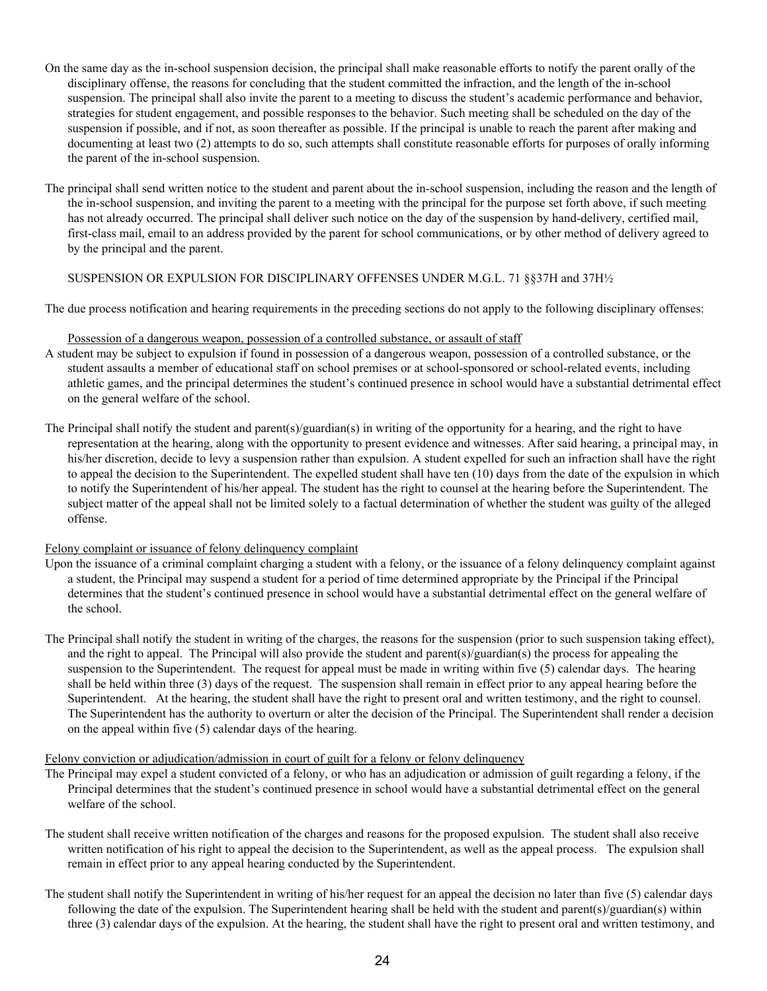- On the same day as the in-school suspension decision, the principal shall make reasonable efforts to notify the parent orally of the disciplinary offense, the reasons for concluding that the student committed the infraction, and the length of the in-school suspension. The principal shall also invite the parent to a meeting to discuss the student's academic performance and behavior, strategies for student engagement, and possible responses to the behavior. Such meeting shall be scheduled on the day of the suspension if possible, and if not, as soon thereafter as possible. If the principal is unable to reach the parent after making and documenting at least two (2) attempts to do so, such attempts shall constitute reasonable efforts for purposes of orally informing the parent of the in-school suspension.
- The principal shall send written notice to the student and parent about the in-school suspension, including the reason and the length of the in-school suspension, and inviting the parent to a meeting with the principal for the purpose set forth above, if such meeting has not already occurred. The principal shall deliver such notice on the day of the suspension by hand-delivery, certified mail, first-class mail, email to an address provided by the parent for school communications, or by other method of delivery agreed to by the principal and the parent.

#### SUSPENSION OR EXPULSION FOR DISCIPLINARY OFFENSES UNDER M.G.L. 71 §§37H and 37H½

The due process notification and hearing requirements in the preceding sections do not apply to the following disciplinary offenses:

#### Possession of a dangerous weapon, possession of a controlled substance, or assault of staff

- A student may be subject to expulsion if found in possession of a dangerous weapon, possession of a controlled substance, or the student assaults a member of educational staff on school premises or at school-sponsored or school-related events, including athletic games, and the principal determines the student's continued presence in school would have a substantial detrimental effect on the general welfare of the school.
- The Principal shall notify the student and parent(s)/guardian(s) in writing of the opportunity for a hearing, and the right to have representation at the hearing, along with the opportunity to present evidence and witnesses. After said hearing, a principal may, in his/her discretion, decide to levy a suspension rather than expulsion. A student expelled for such an infraction shall have the right to appeal the decision to the Superintendent. The expelled student shall have ten (10) days from the date of the expulsion in which to notify the Superintendent of his/her appeal. The student has the right to counsel at the hearing before the Superintendent. The subject matter of the appeal shall not be limited solely to a factual determination of whether the student was guilty of the alleged offense.

#### Felony complaint or issuance of felony delinquency complaint

- Upon the issuance of a criminal complaint charging a student with a felony, or the issuance of a felony delinquency complaint against a student, the Principal may suspend a student for a period of time determined appropriate by the Principal if the Principal determines that the student's continued presence in school would have a substantial detrimental effect on the general welfare of the school.
- The Principal shall notify the student in writing of the charges, the reasons for the suspension (prior to such suspension taking effect), and the right to appeal. The Principal will also provide the student and parent(s)/guardian(s) the process for appealing the suspension to the Superintendent. The request for appeal must be made in writing within five (5) calendar days. The hearing shall be held within three (3) days of the request. The suspension shall remain in effect prior to any appeal hearing before the Superintendent. At the hearing, the student shall have the right to present oral and written testimony, and the right to counsel. The Superintendent has the authority to overturn or alter the decision of the Principal. The Superintendent shall render a decision on the appeal within five (5) calendar days of the hearing.

#### Felony conviction or adjudication/admission in court of guilt for a felony or felony delinquency

- The Principal may expel a student convicted of a felony, or who has an adjudication or admission of guilt regarding a felony, if the Principal determines that the student's continued presence in school would have a substantial detrimental effect on the general welfare of the school.
- The student shall receive written notification of the charges and reasons for the proposed expulsion. The student shall also receive written notification of his right to appeal the decision to the Superintendent, as well as the appeal process. The expulsion shall remain in effect prior to any appeal hearing conducted by the Superintendent.
- The student shall notify the Superintendent in writing of his/her request for an appeal the decision no later than five (5) calendar days following the date of the expulsion. The Superintendent hearing shall be held with the student and parent(s)/guardian(s) within three (3) calendar days of the expulsion. At the hearing, the student shall have the right to present oral and written testimony, and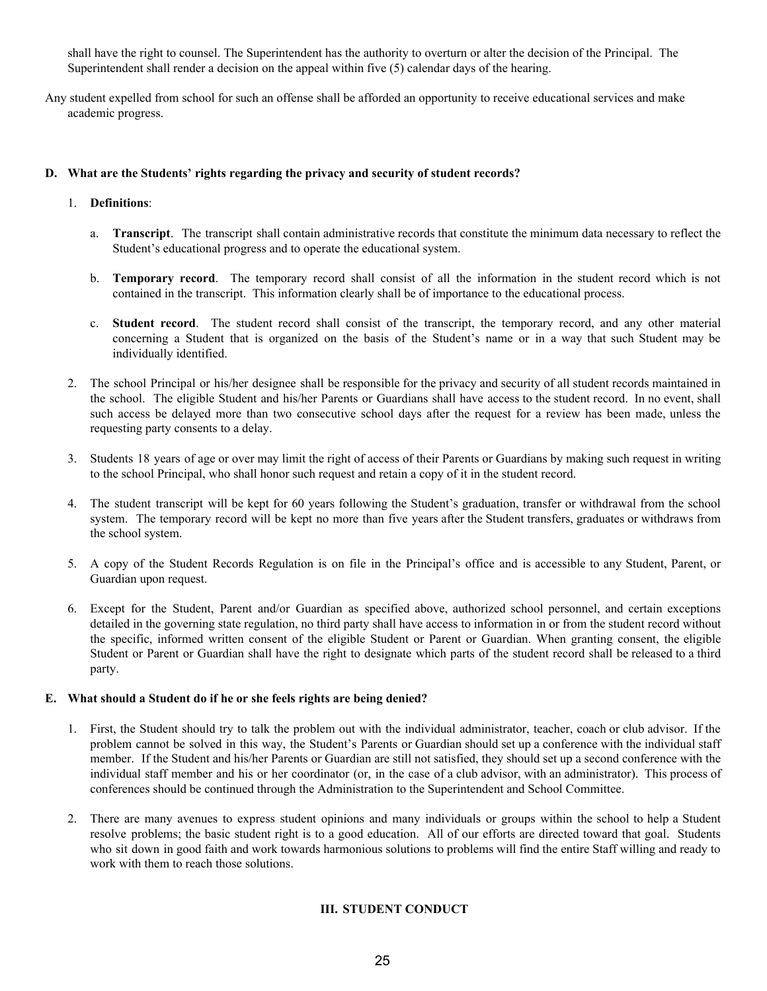shall have the right to counsel. The Superintendent has the authority to overturn or alter the decision of the Principal. The Superintendent shall render a decision on the appeal within five (5) calendar days of the hearing.

 Any student expelled from school for such an offense shall be afforded an opportunity to receive educational services and make academic progress.

#### **D. What are the Students' rights regarding the privacy and security of student records?**

#### 1. **Definitions**:

- Student's educational progress and to operate the educational system. a. **Transcript**. The transcript shall contain administrative records that constitute the minimum data necessary to reflect the
- contained in the transcript. This information clearly shall be of importance to the educational process. b. **Temporary record**. The temporary record shall consist of all the information in the student record which is not
- c. **Student record**. The student record shall consist of the transcript, the temporary record, and any other material concerning a Student that is organized on the basis of the Student's name or in a way that such Student may be individually identified.
- requesting party consents to a delay. 2. The school Principal or his/her designee shall be responsible for the privacy and security of all student records maintained in the school. The eligible Student and his/her Parents or Guardians shall have access to the student record. In no event, shall such access be delayed more than two consecutive school days after the request for a review has been made, unless the
- to the school Principal, who shall honor such request and retain a copy of it in the student record. 3. Students 18 years of age or over may limit the right of access of their Parents or Guardians by making such request in writing
- the school system. 4. The student transcript will be kept for 60 years following the Student's graduation, transfer or withdrawal from the school system. The temporary record will be kept no more than five years after the Student transfers, graduates or withdraws from
- Guardian upon request. 5. A copy of the Student Records Regulation is on file in the Principal's office and is accessible to any Student, Parent, or
- 6. Except for the Student, Parent and/or Guardian as specified above, authorized school personnel, and certain exceptions detailed in the governing state regulation, no third party shall have access to information in or from the student record without the specific, informed written consent of the eligible Student or Parent or Guardian. When granting consent, the eligible Student or Parent or Guardian shall have the right to designate which parts of the student record shall be released to a third party.

#### **E. What should a Student do if he or she feels rights are being denied?**

- conferences should be continued through the Administration to the Superintendent and School Committee. 1. First, the Student should try to talk the problem out with the individual administrator, teacher, coach or club advisor. If the problem cannot be solved in this way, the Student's Parents or Guardian should set up a conference with the individual staff member. If the Student and his/her Parents or Guardian are still not satisfied, they should set up a second conference with the individual staff member and his or her coordinator (or, in the case of a club advisor, with an administrator). This process of
- work with them to reach those solutions. 2. There are many avenues to express student opinions and many individuals or groups within the school to help a Student resolve problems; the basic student right is to a good education. All of our efforts are directed toward that goal. Students who sit down in good faith and work towards harmonious solutions to problems will find the entire Staff willing and ready to

## **III. STUDENT CONDUCT**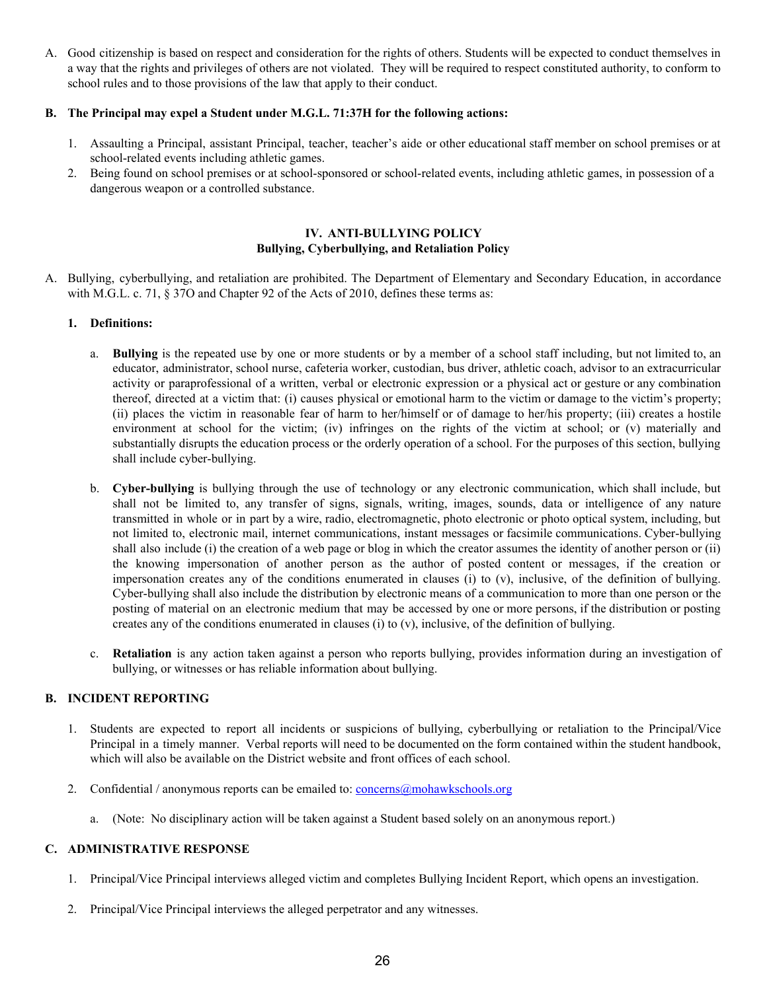school rules and to those provisions of the law that apply to their conduct. A. Good citizenship is based on respect and consideration for the rights of others. Students will be expected to conduct themselves in a way that the rights and privileges of others are not violated. They will be required to respect constituted authority, to conform to

#### **B. The Principal may expel a Student under M.G.L. 71:37H for the following actions:**

- school-related events including athletic games. 1. Assaulting a Principal, assistant Principal, teacher, teacher's aide or other educational staff member on school premises or at
- 2. Being found on school premises or at school-sponsored or school-related events, including athletic games, in possession of a dangerous weapon or a controlled substance.

#### **Bullying, Cyberbullying, and Retaliation Policy IV. ANTI-BULLYING POLICY**

with M.G.L. c. 71, § 37O and Chapter 92 of the Acts of 2010, defines these terms as: A. Bullying, cyberbullying, and retaliation are prohibited. The Department of Elementary and Secondary Education, in accordance

#### **1. Definitions:**

- shall include cyber-bullying. a. **Bullying** is the repeated use by one or more students or by a member of a school staff including, but not limited to, an educator, administrator, school nurse, cafeteria worker, custodian, bus driver, athletic coach, advisor to an extracurricular activity or paraprofessional of a written, verbal or electronic expression or a physical act or gesture or any combination thereof, directed at a victim that: (i) causes physical or emotional harm to the victim or damage to the victim's property; (ii) places the victim in reasonable fear of harm to her/himself or of damage to her/his property; (iii) creates a hostile environment at school for the victim; (iv) infringes on the rights of the victim at school; or (v) materially and substantially disrupts the education process or the orderly operation of a school. For the purposes of this section, bullying
- creates any of the conditions enumerated in clauses (i) to (v), inclusive, of the definition of bullying. b. **Cyber-bullying** is bullying through the use of technology or any electronic communication, which shall include, but shall not be limited to, any transfer of signs, signals, writing, images, sounds, data or intelligence of any nature transmitted in whole or in part by a wire, radio, electromagnetic, photo electronic or photo optical system, including, but not limited to, electronic mail, internet communications, instant messages or facsimile communications. Cyber-bullying shall also include (i) the creation of a web page or blog in which the creator assumes the identity of another person or (ii) the knowing impersonation of another person as the author of posted content or messages, if the creation or impersonation creates any of the conditions enumerated in clauses (i) to (v), inclusive, of the definition of bullying. Cyber-bullying shall also include the distribution by electronic means of a communication to more than one person or the posting of material on an electronic medium that may be accessed by one or more persons, if the distribution or posting
- bullying, or witnesses or has reliable information about bullying. c. **Retaliation** is any action taken against a person who reports bullying, provides information during an investigation of

## **B. INCIDENT REPORTING**

- which will also be available on the District website and front offices of each school. 1. Students are expected to report all incidents or suspicions of bullying, cyberbullying or retaliation to the Principal/Vice Principal in a timely manner. Verbal reports will need to be documented on the form contained within the student handbook,
- 2. Confidential / anonymous reports can be emailed to: **[concerns@mohawkschools.org](mailto:concerns@mohawkschools.org)** 
	- a. (Note: No disciplinary action will be taken against a Student based solely on an anonymous report.)

#### **C. ADMINISTRATIVE RESPONSE**

- 1. Principal/Vice Principal interviews alleged victim and completes Bullying Incident Report, which opens an investigation.
- 2. Principal/Vice Principal interviews the alleged perpetrator and any witnesses.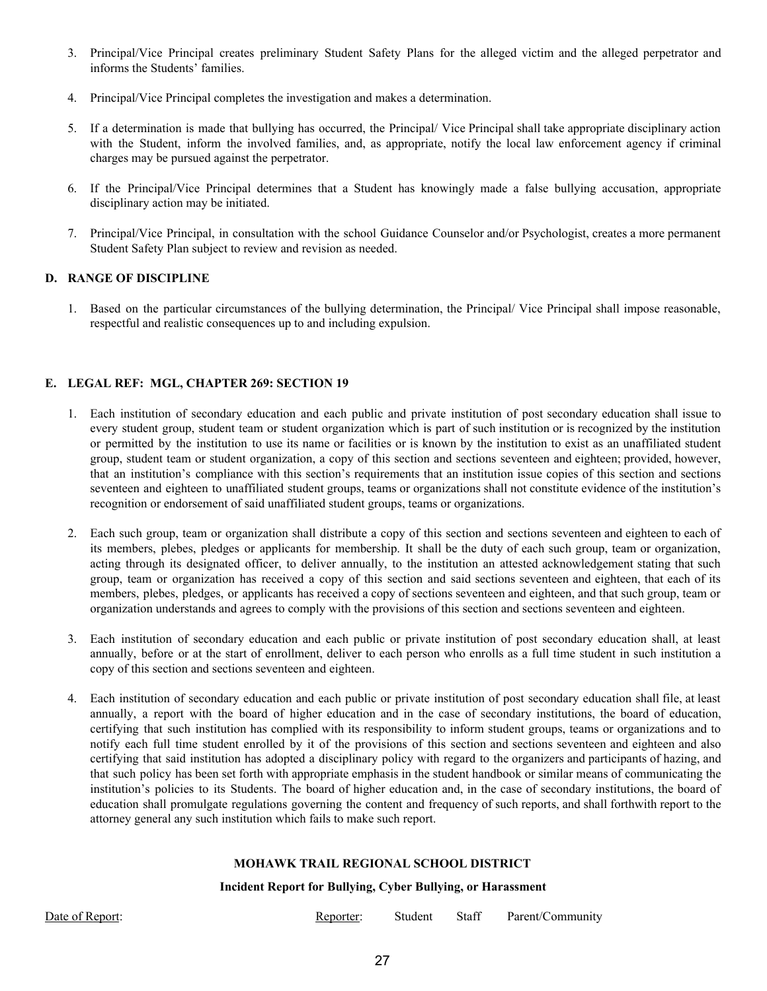- informs the Students' families. 3. Principal/Vice Principal creates preliminary Student Safety Plans for the alleged victim and the alleged perpetrator and
- 4. Principal/Vice Principal completes the investigation and makes a determination.
- charges may be pursued against the perpetrator. 5. If a determination is made that bullying has occurred, the Principal/ Vice Principal shall take appropriate disciplinary action with the Student, inform the involved families, and, as appropriate, notify the local law enforcement agency if criminal
- disciplinary action may be initiated. 6. If the Principal/Vice Principal determines that a Student has knowingly made a false bullying accusation, appropriate
- Student Safety Plan subject to review and revision as needed. 7. Principal/Vice Principal, in consultation with the school Guidance Counselor and/or Psychologist, creates a more permanent

## **D. RANGE OF DISCIPLINE**

 respectful and realistic consequences up to and including expulsion. 1. Based on the particular circumstances of the bullying determination, the Principal/ Vice Principal shall impose reasonable,

## **E. LEGAL REF: MGL, CHAPTER 269: SECTION 19**

- recognition or endorsement of said unaffiliated student groups, teams or organizations. 1. Each institution of secondary education and each public and private institution of post secondary education shall issue to every student group, student team or student organization which is part of such institution or is recognized by the institution or permitted by the institution to use its name or facilities or is known by the institution to exist as an unaffiliated student group, student team or student organization, a copy of this section and sections seventeen and eighteen; provided, however, that an institution's compliance with this section's requirements that an institution issue copies of this section and sections seventeen and eighteen to unaffiliated student groups, teams or organizations shall not constitute evidence of the institution's
- organization understands and agrees to comply with the provisions of this section and sections seventeen and eighteen. 2. Each such group, team or organization shall distribute a copy of this section and sections seventeen and eighteen to each of its members, plebes, pledges or applicants for membership. It shall be the duty of each such group, team or organization, acting through its designated officer, to deliver annually, to the institution an attested acknowledgement stating that such group, team or organization has received a copy of this section and said sections seventeen and eighteen, that each of its members, plebes, pledges, or applicants has received a copy of sections seventeen and eighteen, and that such group, team or
- copy of this section and sections seventeen and eighteen. 3. Each institution of secondary education and each public or private institution of post secondary education shall, at least annually, before or at the start of enrollment, deliver to each person who enrolls as a full time student in such institution a
- attorney general any such institution which fails to make such report. 4. Each institution of secondary education and each public or private institution of post secondary education shall file, at least annually, a report with the board of higher education and in the case of secondary institutions, the board of education, certifying that such institution has complied with its responsibility to inform student groups, teams or organizations and to notify each full time student enrolled by it of the provisions of this section and sections seventeen and eighteen and also certifying that said institution has adopted a disciplinary policy with regard to the organizers and participants of hazing, and that such policy has been set forth with appropriate emphasis in the student handbook or similar means of communicating the institution's policies to its Students. The board of higher education and, in the case of secondary institutions, the board of education shall promulgate regulations governing the content and frequency of such reports, and shall forthwith report to the

## **MOHAWK TRAIL REGIONAL SCHOOL DISTRICT**

#### **Incident Report for Bullying, Cyber Bullying, or Harassment**

| Date of Report: |  |  |
|-----------------|--|--|
|                 |  |  |

Reporter: Student Staff Parent/Community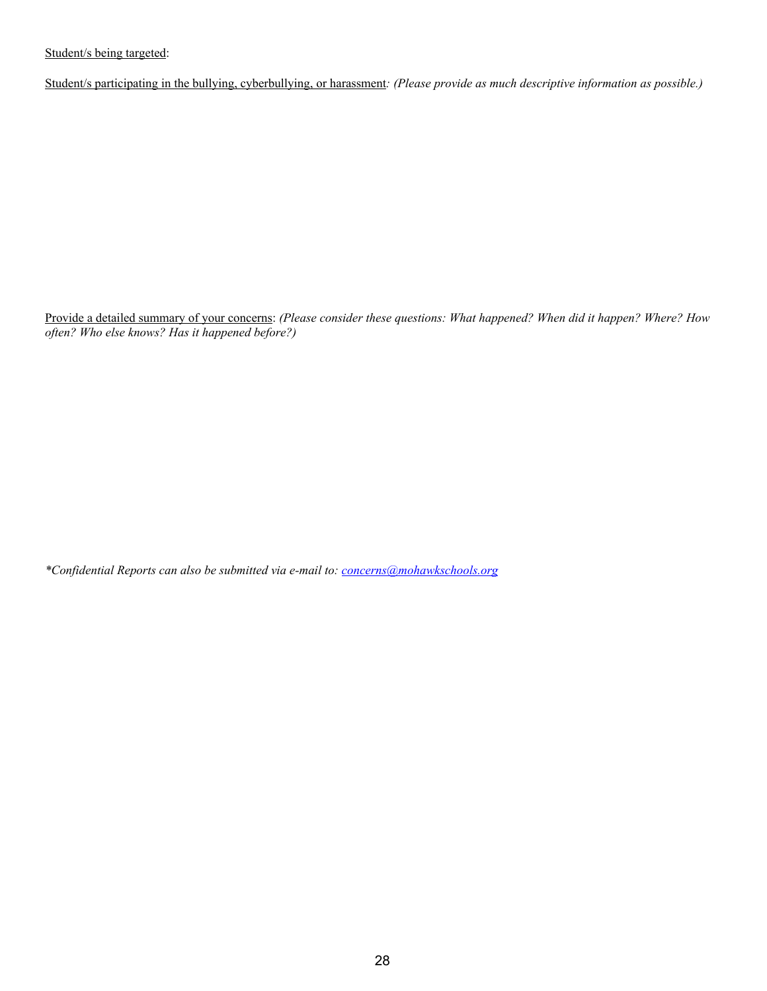#### Student/s being targeted:

Student/s participating in the bullying, cyberbullying, or harassment*: (Please provide as much descriptive information as possible.)*

 Provide a detailed summary of your concerns: *(Please consider these questions: What happened? When did it happen? Where? How often? Who else knows? Has it happened before?)*

 *\*Confidential Reports can also be submitted via e-mail to: [concerns@mohawkschools.org](mailto:concerns@mohawkschools.org)*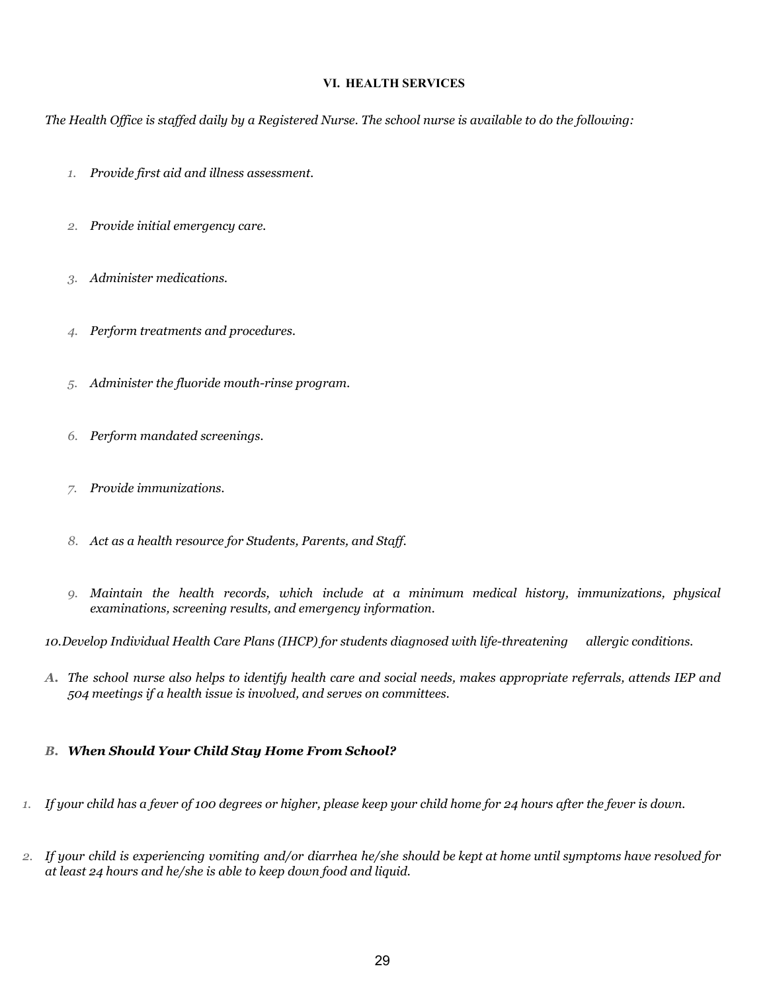## **VI. HEALTH SERVICES**

The Health Office is staffed daily by a Registered Nurse. The school nurse is available to do the following:

- *1. Provide first aid and illness assessment.*
- *2. Provide initial emergency care.*
- *3. Administer medications.*
- *4. Perform treatments and procedures.*
- *5. Administer the fluoride mouth-rinse program.*
- *6. Perform mandated screenings.*
- *7. Provide immunizations.*
- *8. Act as a health resource for Students, Parents, and Staff.*
- *examinations, screening results, and emergency information. 9. Maintain the health records, which include at a minimum medical history, immunizations, physical*

 *10.Develop Individual Health Care Plans (IHCP) for students diagnosed with life-threatening allergic conditions.*

- *504 meetings if a health issue is involved, and serves on committees.* A. The school nurse also helps to identify health care and social needs, makes appropriate referrals, attends IEP and
- *B. When Should Your Child Stay Home From School?*
- 1. If your child has a fever of 100 degrees or higher, please keep your child home for 24 hours after the fever is down.
- *at least 24 hours and he/she is able to keep down food and liquid.* 2. If your child is experiencing vomiting and/or diarrhea he/she should be kept at home until symptoms have resolved for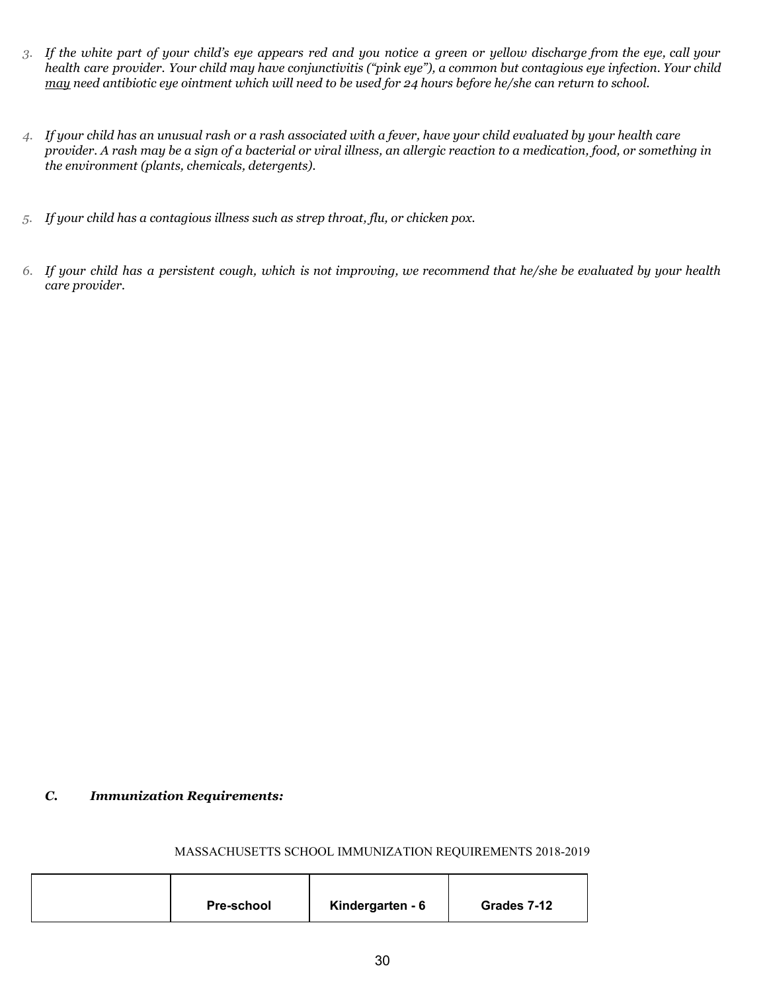- <u>may</u> need antibiotic eye ointment which will need to be used for 24 hours before he/she can return to school. 3. If the white part of your child's eye appears red and you notice a green or yellow discharge from the eye, call your health care provider. Your child may have conjunctivitis ("pink eye"), a common but contagious eye infection. Your child
- 4. If your child has an unusual rash or a rash associated with a fever, have your child evaluated by your health care provider. A rash may be a sign of a bacterial or viral illness, an allergic reaction to a medication, food, or something in  *the environment (plants, chemicals, detergents).*
- *5. If your child has a contagious illness such as strep throat, flu, or chicken pox.*
- 6. If your child has a persistent cough, which is not improving, we recommend that he/she be evaluated by your health *care provider.*

## *C. Immunization Requirements:*

#### MASSACHUSETTS SCHOOL IMMUNIZATION REQUIREMENTS 2018-2019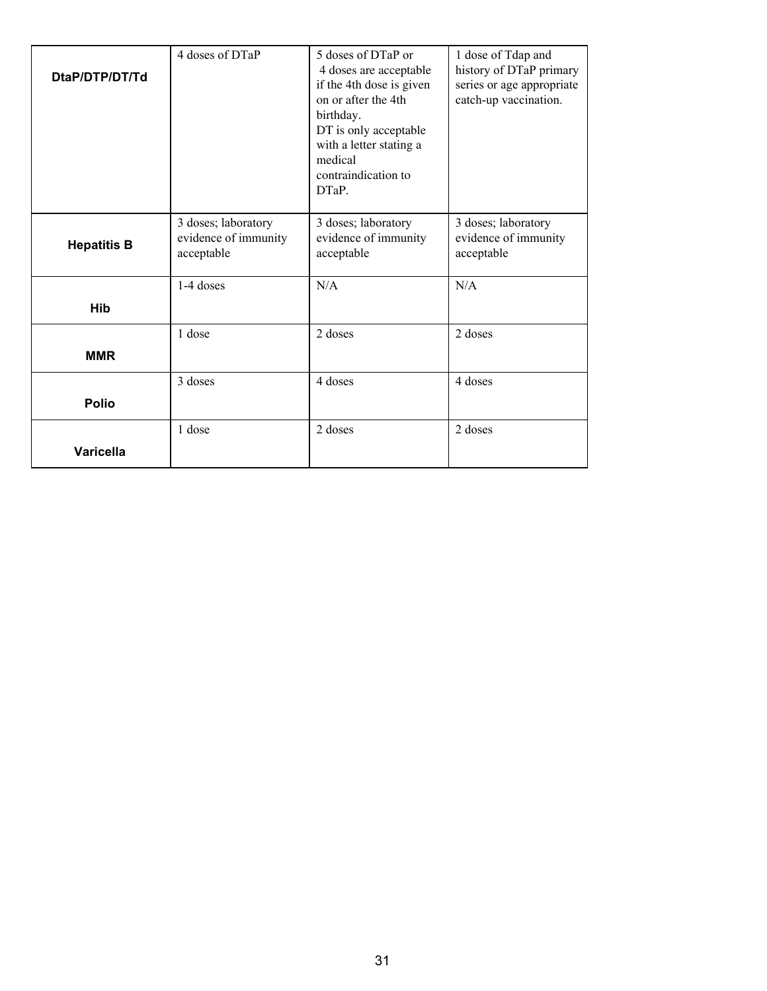| DtaP/DTP/DT/Td     | 4 doses of DTaP                                           | 5 doses of DTaP or<br>4 doses are acceptable<br>if the 4th dose is given<br>on or after the 4th<br>birthday.<br>DT is only acceptable<br>with a letter stating a<br>medical<br>contraindication to<br>DTaP. | 1 dose of Tdap and<br>history of DTaP primary<br>series or age appropriate<br>catch-up vaccination. |
|--------------------|-----------------------------------------------------------|-------------------------------------------------------------------------------------------------------------------------------------------------------------------------------------------------------------|-----------------------------------------------------------------------------------------------------|
| <b>Hepatitis B</b> | 3 doses; laboratory<br>evidence of immunity<br>acceptable | 3 doses; laboratory<br>evidence of immunity<br>acceptable                                                                                                                                                   | 3 doses; laboratory<br>evidence of immunity<br>acceptable                                           |
| Hib                | $1-4$ doses                                               | N/A                                                                                                                                                                                                         | N/A                                                                                                 |
| <b>MMR</b>         | 1 dose                                                    | 2 doses                                                                                                                                                                                                     | 2 doses                                                                                             |
| <b>Polio</b>       | 3 doses                                                   | 4 doses                                                                                                                                                                                                     | 4 doses                                                                                             |
| <b>Varicella</b>   | 1 dose                                                    | 2 doses                                                                                                                                                                                                     | 2 doses                                                                                             |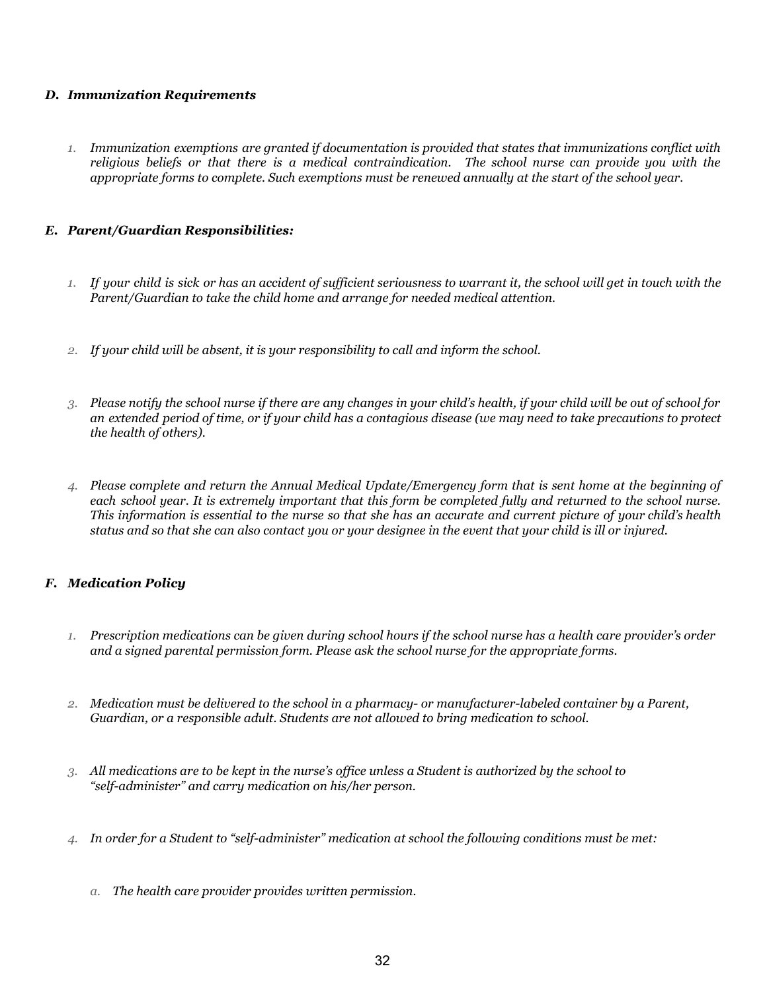## *D. Immunization Requirements*

appropriate forms to complete. Such exemptions must be renewed annually at the start of the school year. *1. Immunization exemptions are granted if documentation is provided that states that immunizations conflict with religious beliefs or that there is a medical contraindication. The school nurse can provide you with the*

# *E. Parent/Guardian Responsibilities:*

- *Parent/Guardian to take the child home and arrange for needed medical attention.* 1. If your child is sick or has an accident of sufficient seriousness to warrant it, the school will get in touch with the
- *2. If your child will be absent, it is your responsibility to call and inform the school.*
- *the health of others).* 3. Please notify the school nurse if there are any changes in your child's health, if your child will be out of school for an extended period of time, or if your child has a contagious disease (we may need to take precautions to protect
- status and so that she can also contact you or your designee in the event that your child is ill or injured. 4. Please complete and return the Annual Medical Update/Emergency form that is sent home at the beginning of each school year. It is extremely important that this form be completed fully and returned to the school nurse. This information is essential to the nurse so that she has an accurate and current picture of your child's health

# *F. Medication Policy*

- 1. Prescription medications can be given during school hours if the school nurse has a health care provider's order  *and a signed parental permission form. Please ask the school nurse for the appropriate forms.*
- 2. Medication must be delivered to the school in a pharmacy- or manufacturer-labeled container by a Parent,  *Guardian, or a responsible adult. Students are not allowed to bring medication to school.*
- $\emph{3.}$   $\emph{All medications}$  are to be kept in the nurse's office unless a Student is authorized by the school to  *"self-administer" and carry medication on his/her person.*
- 4. In order for a Student to "self-administer" medication at school the following conditions must be met:
	- *a. The health care provider provides written permission.*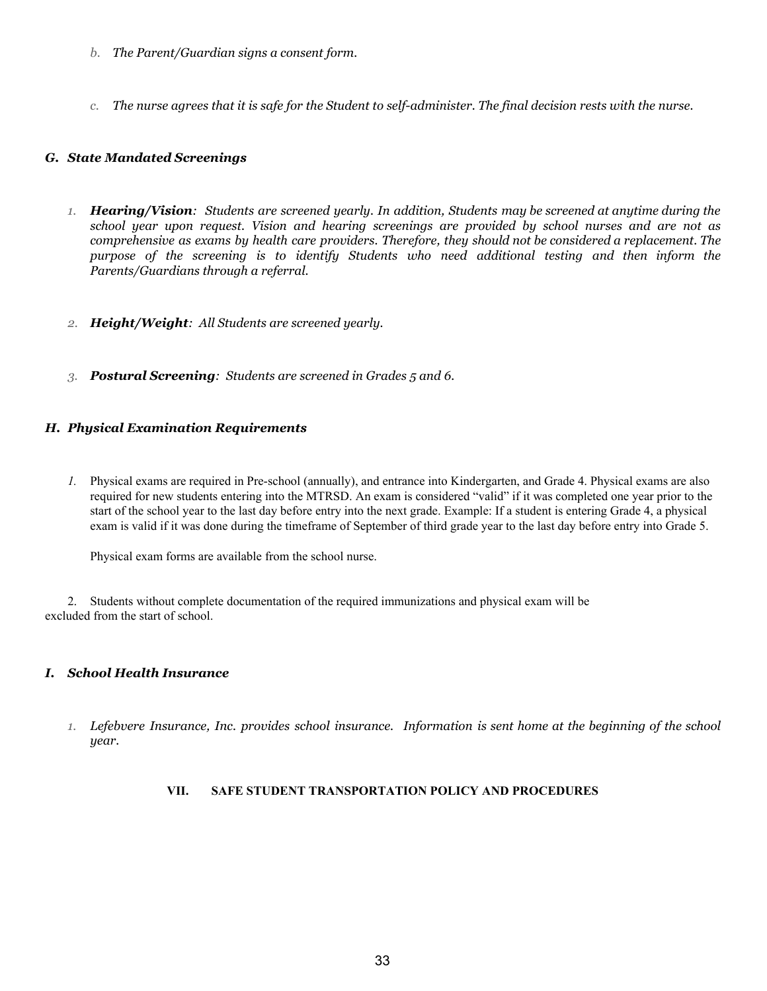- *b. The Parent/Guardian signs a consent form.*
- c. The nurse agrees that it is safe for the Student to self-administer. The final decision rests with the nurse.

## *G. State Mandated Screenings*

- *Parents/Guardians through a referral.* 1. **Hearing/Vision**: Students are screened yearly. In addition, Students may be screened at anytime during the *school year upon request. Vision and hearing screenings are provided by school nurses and are not as comprehensive as exams by health care providers. Therefore, they should not be considered a replacement. The purpose of the screening is to identify Students who need additional testing and then inform the*
- *2. Height/Weight: All Students are screened yearly.*
- *3. Postural Screening: Students are screened in Grades 5 and 6.*

## *H. Physical Examination Requirements*

 *1.* Physical exams are required in Pre-school (annually), and entrance into Kindergarten, and Grade 4. Physical exams are also required for new students entering into the MTRSD. An exam is considered "valid" if it was completed one year prior to the start of the school year to the last day before entry into the next grade. Example: If a student is entering Grade 4, a physical exam is valid if it was done during the timeframe of September of third grade year to the last day before entry into Grade 5.

Physical exam forms are available from the school nurse.

 2. Students without complete documentation of the required immunizations and physical exam will be excluded from the start of school.

## *I. School Health Insurance*

1. Lefebvere Insurance, Inc. provides school insurance. Information is sent home at the beginning of the school *year.*

## **VII. SAFE STUDENT TRANSPORTATION POLICY AND PROCEDURES**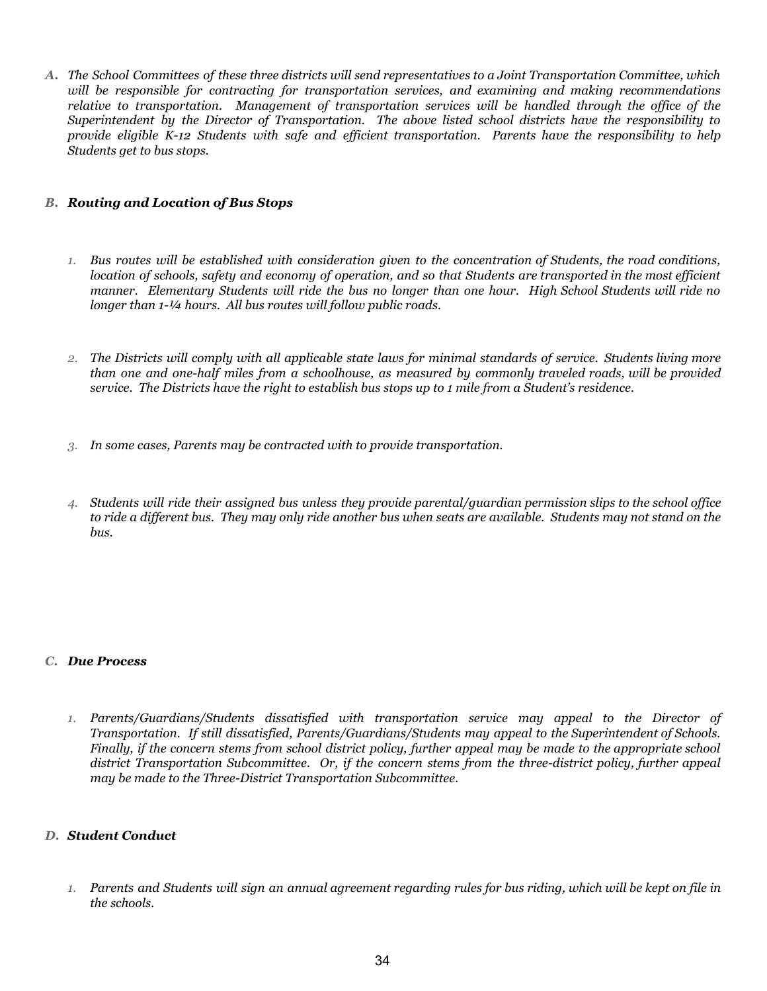*Students get to bus stops.* A. The School Committees of these three districts will send representatives to a Joint Transportation Committee, which *will be responsible for contracting for transportation services, and examining and making recommendations relative to transportation. Management of transportation services will be handled through the office of the Superintendent by the Director of Transportation. The above listed school districts have the responsibility to provide eligible K-12 Students with safe and efficient transportation. Parents have the responsibility to help*

## *B. Routing and Location of Bus Stops*

- *longer than 1-¼ hours. All bus routes will follow public roads.* 1. Bus routes will be established with consideration given to the concentration of Students, the road conditions, location of schools, safety and economy of operation, and so that Students are transported in the most efficient manner. Elementary Students will ride the bus no longer than one hour. High School Students will ride no
- service. The Districts have the right to establish bus stops up to 1 mile from a Student's residence. 2. The Districts will comply with all applicable state laws for minimal standards of service. Students living more *than one and one-half miles from a schoolhouse, as measured by commonly traveled roads, will be provided*
- *3. In some cases, Parents may be contracted with to provide transportation.*
- 4. Students will ride their assigned bus unless they provide parental/guardian permission slips to the school office to ride a different bus. They may only ride another bus when seats are available. Students may not stand on the *bus.*

## *C. Due Process*

 *may be made to the Three-District Transportation Subcommittee. 1. Parents/Guardians/Students dissatisfied with transportation service may appeal to the Director of Transportation. If still dissatisfied, Parents/Guardians/Students may appeal to the Superintendent of Schools.* Finally, if the concern stems from school district policy, further appeal may be made to the appropriate school *district Transportation Subcommittee. Or, if the concern stems from the three-district policy, further appeal*

#### *D. Student Conduct*

1. Parents and Students will sign an annual agreement regarding rules for bus riding, which will be kept on file in *the schools.*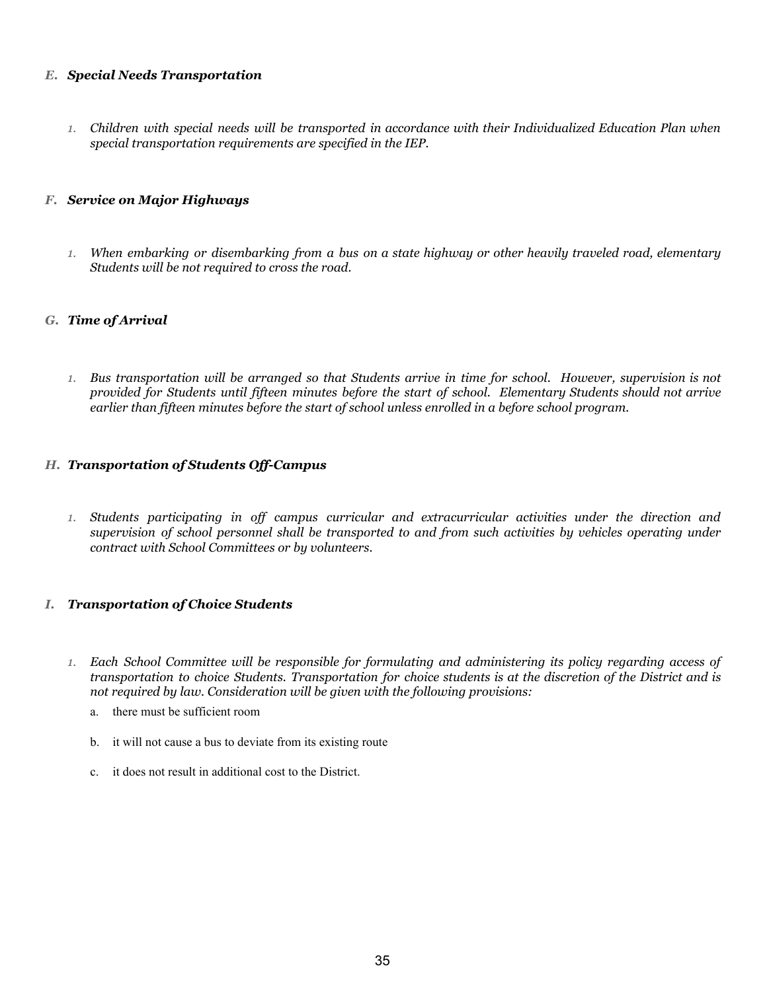## *E. Special Needs Transportation*

 *special transportation requirements are specified in the IEP. 1. Children with special needs will be transported in accordance with their Individualized Education Plan when*

## *F. Service on Major Highways*

 *Students will be not required to cross the road.* 1. When embarking or disembarking from a bus on a state highway or other heavily traveled road, elementary

#### *G. Time of Arrival*

 *earlier than fifteen minutes before the start of school unless enrolled in a before school program.* 1. Bus transportation will be arranged so that Students arrive in time for school. However, supervision is not *provided for Students until fifteen minutes before the start of school. Elementary Students should not arrive*

#### *H. Transportation of Students Off-Campus*

 *contract with School Committees or by volunteers. 1. Students participating in off campus curricular and extracurricular activities under the direction and supervision of school personnel shall be transported to and from such activities by vehicles operating under*

#### *I. Transportation of Choice Students*

- *not required by law. Consideration will be given with the following provisions: 1. Each School Committee will be responsible for formulating and administering its policy regarding access of* transportation to choice Students. Transportation for choice students is at the discretion of the District and is
	- a. there must be sufficient room
	- b. it will not cause a bus to deviate from its existing route
	- c. it does not result in additional cost to the District.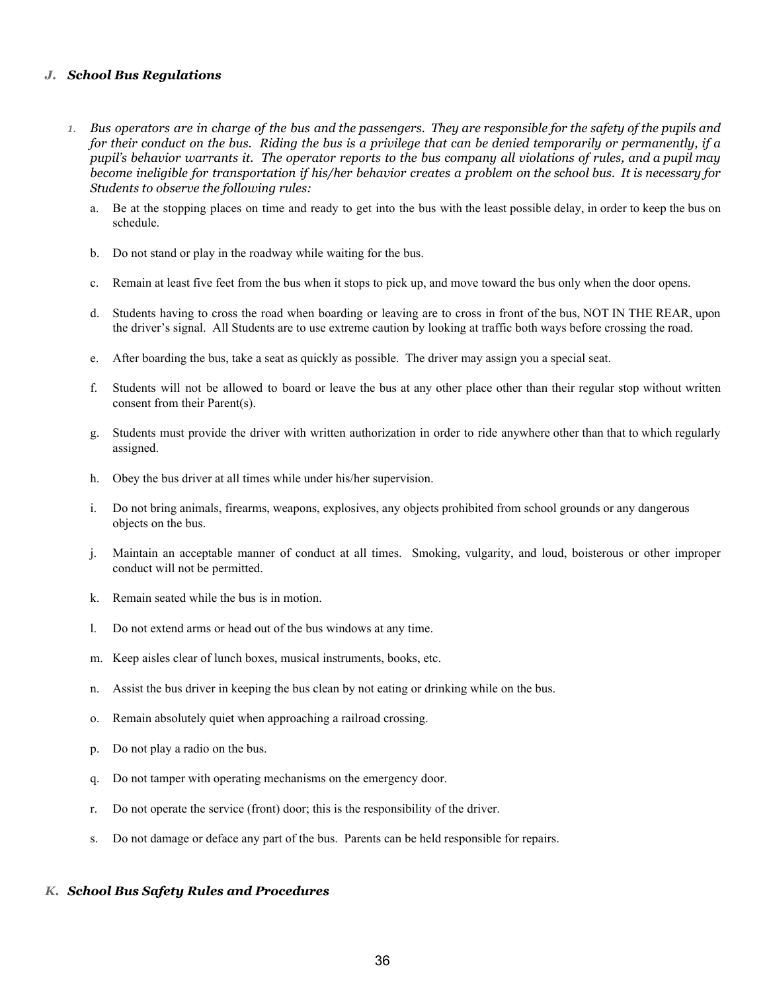#### *J. School Bus Regulations*

- *Students to observe the following rules:* 1. Bus operators are in charge of the bus and the passengers. They are responsible for the safety of the pupils and for their conduct on the bus. Riding the bus is a privilege that can be denied temporarily or permanently, if a pupil's behavior warrants it. The operator reports to the bus company all violations of rules, and a pupil may become ineligible for transportation if his/her behavior creates a problem on the school bus. It is necessary for
	- a. Be at the stopping places on time and ready to get into the bus with the least possible delay, in order to keep the bus on schedule.
	- b. Do not stand or play in the roadway while waiting for the bus.
	- c. Remain at least five feet from the bus when it stops to pick up, and move toward the bus only when the door opens.
	- the driver's signal. All Students are to use extreme caution by looking at traffic both ways before crossing the road. d. Students having to cross the road when boarding or leaving are to cross in front of the bus, NOT IN THE REAR, upon
	- e. After boarding the bus, take a seat as quickly as possible. The driver may assign you a special seat.
	- consent from their Parent(s). f. Students will not be allowed to board or leave the bus at any other place other than their regular stop without written
	- g. Students must provide the driver with written authorization in order to ride anywhere other than that to which regularly assigned.
	- h. Obey the bus driver at all times while under his/her supervision.
	- i. Do not bring animals, firearms, weapons, explosives, any objects prohibited from school grounds or any dangerous objects on the bus.
	- conduct will not be permitted. j. Maintain an acceptable manner of conduct at all times. Smoking, vulgarity, and loud, boisterous or other improper
	- k. Remain seated while the bus is in motion.
	- l. Do not extend arms or head out of the bus windows at any time.
	- m. Keep aisles clear of lunch boxes, musical instruments, books, etc.
	- n. Assist the bus driver in keeping the bus clean by not eating or drinking while on the bus.
	- o. Remain absolutely quiet when approaching a railroad crossing.
	- p. Do not play a radio on the bus.
	- q. Do not tamper with operating mechanisms on the emergency door.
	- r. Do not operate the service (front) door; this is the responsibility of the driver.
	- s. Do not damage or deface any part of the bus. Parents can be held responsible for repairs.

#### *K. School Bus Safety Rules and Procedures*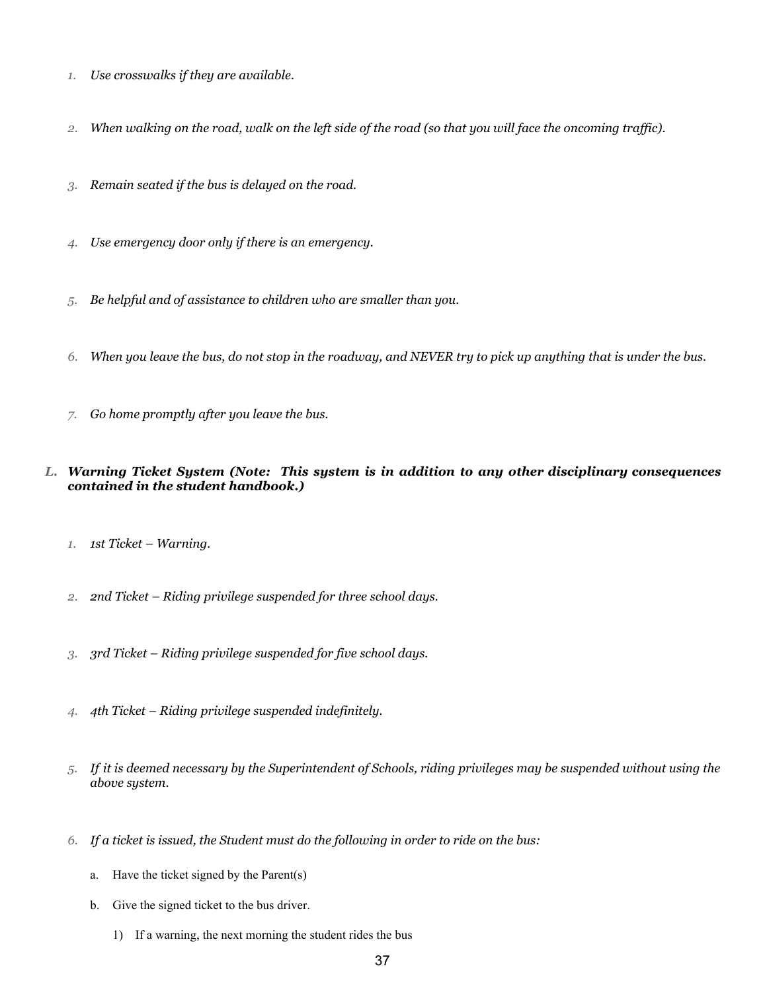- *1. Use crosswalks if they are available.*
- 2. When walking on the road, walk on the left side of the road (so that you will face the oncoming traffic).
- *3. Remain seated if the bus is delayed on the road.*
- *4. Use emergency door only if there is an emergency.*
- *5. Be helpful and of assistance to children who are smaller than you.*
- 6. When you leave the bus, do not stop in the roadway, and NEVER try to pick up anything that is under the bus.
- *7. Go home promptly after you leave the bus.*
- *contained in the student handbook.) L. Warning Ticket System (Note: This system is in addition to any other disciplinary consequences*
	- *1. 1st Ticket – Warning.*
	- *2. 2nd Ticket – Riding privilege suspended for three school days.*
	- *3. 3rd Ticket – Riding privilege suspended for five school days.*
	- *4. 4th Ticket – Riding privilege suspended indefinitely.*
	- $5.$  If it is deemed necessary by the Superintendent of Schools, riding privileges may be suspended without using the *above system.*
	- 6. If a ticket is issued, the Student must do the following in order to ride on the bus:
		- a. Have the ticket signed by the Parent(s)
		- b. Give the signed ticket to the bus driver.
			- 1) If a warning, the next morning the student rides the bus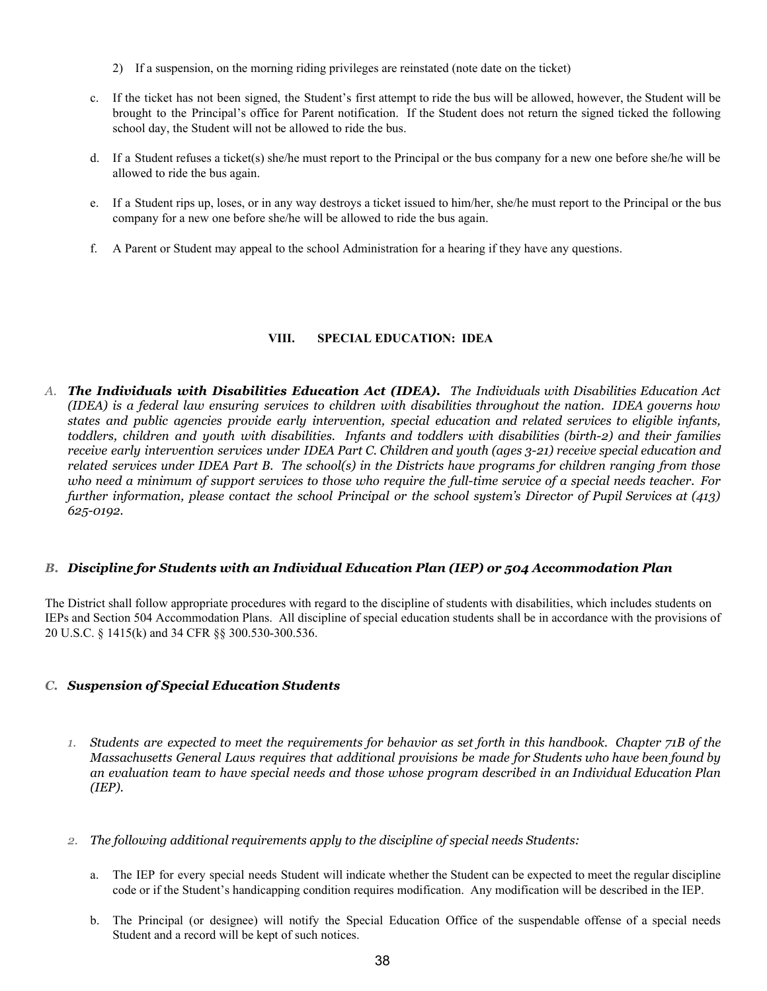- 2) If a suspension, on the morning riding privileges are reinstated (note date on the ticket)
- school day, the Student will not be allowed to ride the bus. c. If the ticket has not been signed, the Student's first attempt to ride the bus will be allowed, however, the Student will be brought to the Principal's office for Parent notification. If the Student does not return the signed ticked the following
- allowed to ride the bus again. d. If a Student refuses a ticket(s) she/he must report to the Principal or the bus company for a new one before she/he will be
- company for a new one before she/he will be allowed to ride the bus again. e. If a Student rips up, loses, or in any way destroys a ticket issued to him/her, she/he must report to the Principal or the bus
- f. A Parent or Student may appeal to the school Administration for a hearing if they have any questions.

#### **VIII. SPECIAL EDUCATION: IDEA**

*A. The Individuals with Disabilities Education Act (IDEA). The Individuals with Disabilities Education Act* (IDEA) is a federal law ensuring services to children with disabilities throughout the nation. IDEA governs how *states and public agencies provide early intervention, special education and related services to eligible infants, toddlers, children and youth with disabilities. Infants and toddlers with disabilities (birth-2) and their families* receive early intervention services under IDEA Part C. Children and youth (ages 3-21) receive special education and related services under IDEA Part B. The school(s) in the Districts have programs for children ranging from those who need a minimum of support services to those who require the full-time service of a special needs teacher. For further information, please contact the school Principal or the school system's Director of Pupil Services at (413) *625-0192.*

## *B. Discipline for Students with an Individual Education Plan (IEP) or 504 Accommodation Plan*

 The District shall follow appropriate procedures with regard to the discipline of students with disabilities, which includes students on IEPs and Section 504 Accommodation Plans. All discipline of special education students shall be in accordance with the provisions of 20 U.S.C. § 1415(k) and 34 CFR §§ 300.530-300.536.

## *C. Suspension of Special Education Students*

- 1. Students are expected to meet the requirements for behavior as set forth in this handbook. Chapter 71B of the *Massachusetts General Laws requires that additional provisions be made for Students who have been found by* an evaluation team to have special needs and those whose program described in an Individual Education Plan *(IEP).*
- *2. The following additional requirements apply to the discipline of special needs Students:*
	- code or if the Student's handicapping condition requires modification. Any modification will be described in the IEP. a. The IEP for every special needs Student will indicate whether the Student can be expected to meet the regular discipline
	- Student and a record will be kept of such notices. b. The Principal (or designee) will notify the Special Education Office of the suspendable offense of a special needs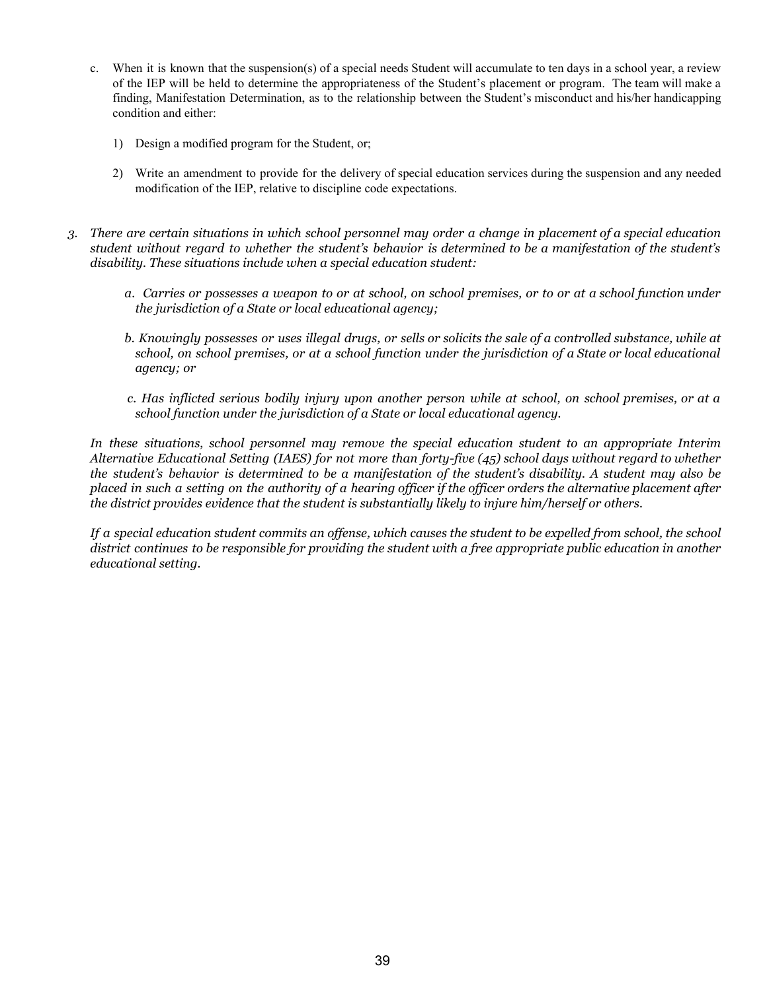- condition and either: c. When it is known that the suspension(s) of a special needs Student will accumulate to ten days in a school year, a review of the IEP will be held to determine the appropriateness of the Student's placement or program. The team will make a finding, Manifestation Determination, as to the relationship between the Student's misconduct and his/her handicapping
	- 1) Design a modified program for the Student, or;
	- modification of the IEP, relative to discipline code expectations. 2) Write an amendment to provide for the delivery of special education services during the suspension and any needed
- *disability. These situations include when a special education student:* 3. There are certain situations in which school personnel may order a change in placement of a special education student without regard to whether the student's behavior is determined to be a manifestation of the student's
	- *the jurisdiction of a State or local educational agency;* a. Carries or possesses a weapon to or at school, on school premises, or to or at a school function under
	- b. Knowingly possesses or uses illegal drugs, or sells or solicits the sale of a controlled substance, while at school, on school premises, or at a school function under the jurisdiction of a State or local educational *agency; or*
	- *school function under the jurisdiction of a State or local educational agency.* c. Has inflicted serious bodily injury upon another person while at school, on school premises, or at a

 *the district provides evidence that the student is substantially likely to injure him/herself or others. In these situations, school personnel may remove the special education student to an appropriate Interim Alternative Educational Setting (IAES) for not more than forty-five (45) school days without regard to whether* the student's behavior is determined to be a manifestation of the student's disability. A student may also be placed in such a setting on the authority of a hearing officer if the officer orders the alternative placement after

If a special education student commits an offense, which causes the student to be expelled from school, the school district continues to be responsible for providing the student with a free appropriate public education in another *educational setting.*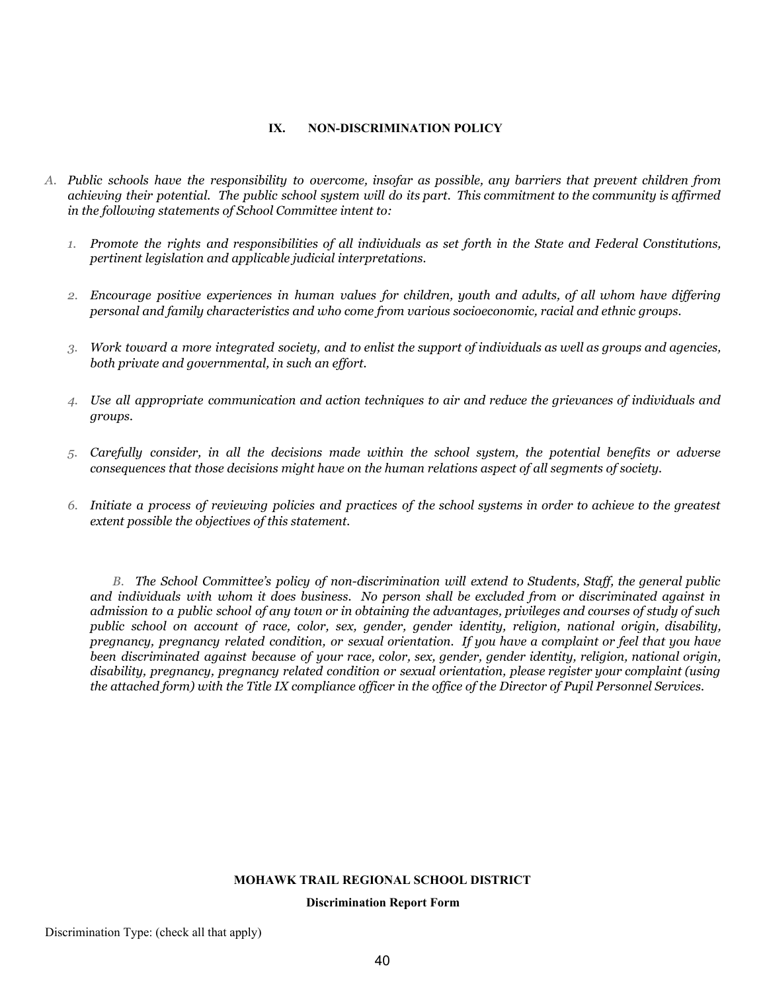#### **IX. NON-DISCRIMINATION POLICY**

- *in the following statements of School Committee intent to:* A. Public schools have the responsibility to overcome, insofar as possible, any barriers that prevent children from achieving their potential. The public school system will do its part. This commitment to the community is affirmed
	- *pertinent legislation and applicable judicial interpretations.* 1. Promote the rights and responsibilities of all individuals as set forth in the State and Federal Constitutions,
	- *personal and family characteristics and who come from various socioeconomic, racial and ethnic groups.* 2. Encourage positive experiences in human values for children, youth and adults, of all whom have differing
	- *both private and governmental, in such an effort.* 3. Work toward a more integrated society, and to enlist the support of individuals as well as groups and agencies,
	- 4. Use all appropriate communication and action techniques to air and reduce the grievances of individuals and *groups.*
	- *consequences that those decisions might have on the human relations aspect of all segments of society.* 5. Carefully consider, in all the decisions made within the school system, the potential benefits or adverse
	- *extent possible the objectives of this statement.* 6. Initiate a process of reviewing policies and practices of the school systems in order to achieve to the greatest

the attached form) with the Title IX compliance officer in the office of the Director of Pupil Personnel Services. *B. The School Committee's policy of non-discrimination will extend to Students, Staff, the general public and individuals with whom it does business. No person shall be excluded from or discriminated against in* admission to a public school of any town or in obtaining the advantages, privileges and courses of study of such *public school on account of race, color, sex, gender, gender identity, religion, national origin, disability,* pregnancy, pregnancy related condition, or sexual orientation. If you have a complaint or feel that you have *been discriminated against because of your race, color, sex, gender, gender identity, religion, national origin, disability, pregnancy, pregnancy related condition or sexual orientation, please register your complaint (using*

#### **MOHAWK TRAIL REGIONAL SCHOOL DISTRICT**

#### **Discrimination Report Form**

Discrimination Type: (check all that apply)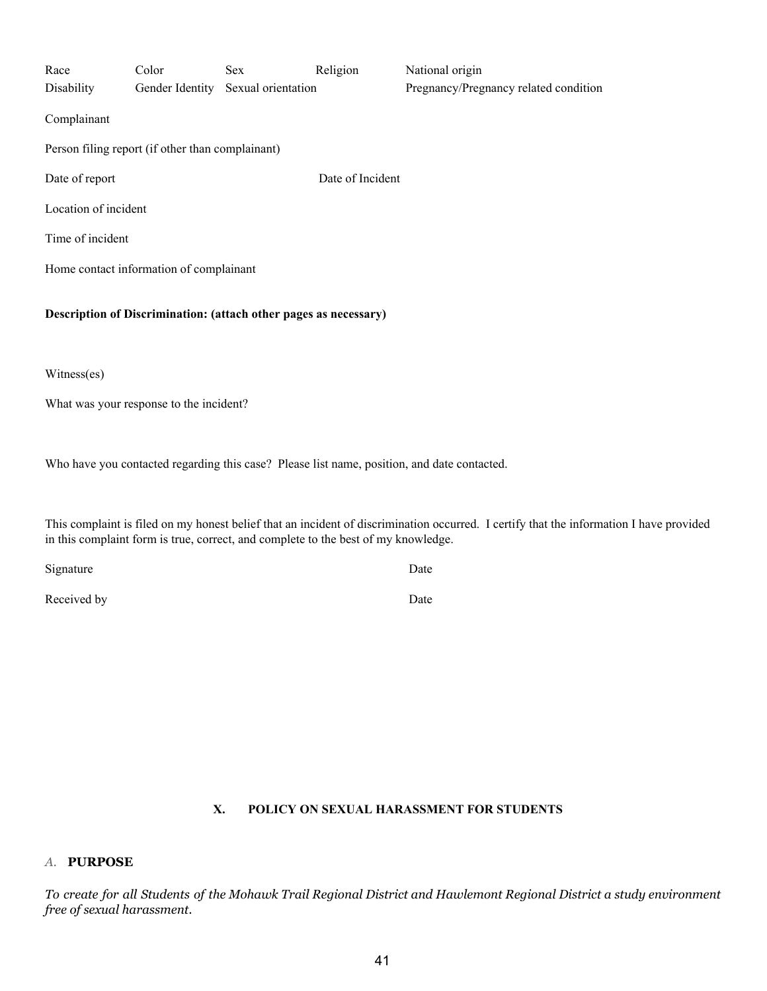| Race                 | Color                                                            | <b>Sex</b>                         | Religion         | National origin                       |
|----------------------|------------------------------------------------------------------|------------------------------------|------------------|---------------------------------------|
| Disability           |                                                                  | Gender Identity Sexual orientation |                  | Pregnancy/Pregnancy related condition |
| Complainant          |                                                                  |                                    |                  |                                       |
|                      | Person filing report (if other than complainant)                 |                                    |                  |                                       |
| Date of report       |                                                                  |                                    | Date of Incident |                                       |
| Location of incident |                                                                  |                                    |                  |                                       |
| Time of incident     |                                                                  |                                    |                  |                                       |
|                      | Home contact information of complainant                          |                                    |                  |                                       |
|                      | Description of Discrimination: (attach other pages as necessary) |                                    |                  |                                       |

Witness(es)

What was your response to the incident?

Who have you contacted regarding this case? Please list name, position, and date contacted.

 This complaint is filed on my honest belief that an incident of discrimination occurred. I certify that the information I have provided in this complaint form is true, correct, and complete to the best of my knowledge.

Signature Date

Received by Date

## **X. POLICY ON SEXUAL HARASSMENT FOR STUDENTS**

#### *A.* **PURPOSE**

 *free of sexual harassment.* To create for all Students of the Mohawk Trail Regional District and Hawlemont Regional District a study environment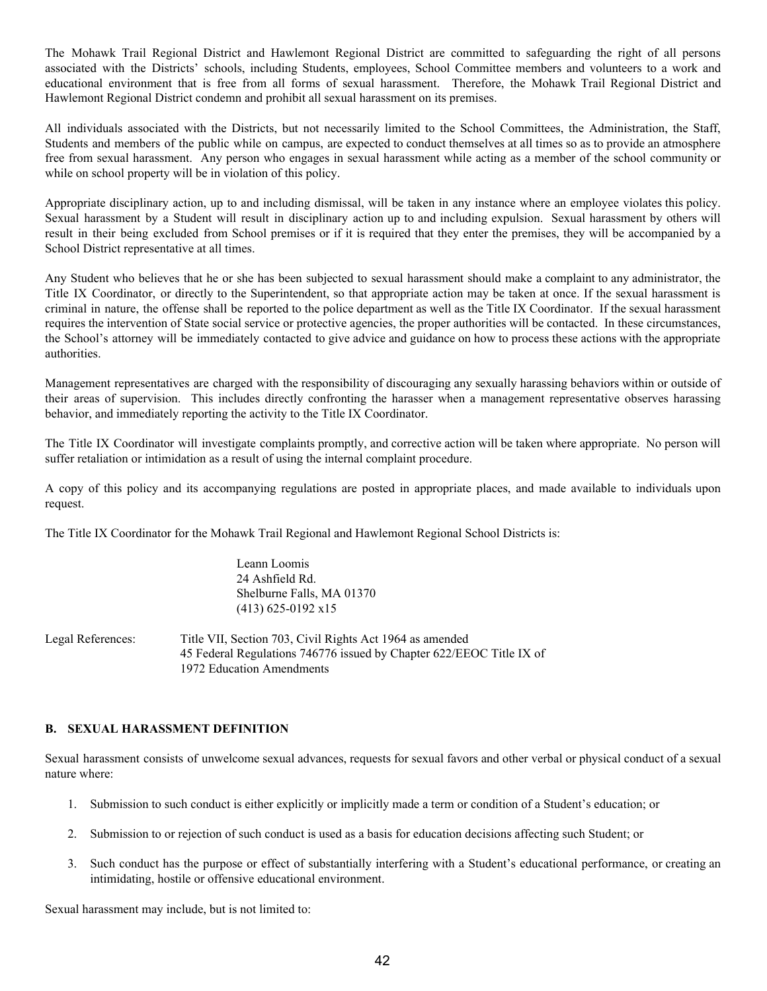Hawlemont Regional District condemn and prohibit all sexual harassment on its premises. The Mohawk Trail Regional District and Hawlemont Regional District are committed to safeguarding the right of all persons associated with the Districts' schools, including Students, employees, School Committee members and volunteers to a work and educational environment that is free from all forms of sexual harassment. Therefore, the Mohawk Trail Regional District and

 while on school property will be in violation of this policy. All individuals associated with the Districts, but not necessarily limited to the School Committees, the Administration, the Staff, Students and members of the public while on campus, are expected to conduct themselves at all times so as to provide an atmosphere free from sexual harassment. Any person who engages in sexual harassment while acting as a member of the school community or

 School District representative at all times. Appropriate disciplinary action, up to and including dismissal, will be taken in any instance where an employee violates this policy. Sexual harassment by a Student will result in disciplinary action up to and including expulsion. Sexual harassment by others will result in their being excluded from School premises or if it is required that they enter the premises, they will be accompanied by a

Any Student who believes that he or she has been subjected to sexual harassment should make a complaint to any administrator, the Title IX Coordinator, or directly to the Superintendent, so that appropriate action may be taken at once. If the sexual harassment is criminal in nature, the offense shall be reported to the police department as well as the Title IX Coordinator. If the sexual harassment requires the intervention of State social service or protective agencies, the proper authorities will be contacted. In these circumstances, the School's attorney will be immediately contacted to give advice and guidance on how to process these actions with the appropriate authorities.

 behavior, and immediately reporting the activity to the Title IX Coordinator. Management representatives are charged with the responsibility of discouraging any sexually harassing behaviors within or outside of their areas of supervision. This includes directly confronting the harasser when a management representative observes harassing

 suffer retaliation or intimidation as a result of using the internal complaint procedure. The Title IX Coordinator will investigate complaints promptly, and corrective action will be taken where appropriate. No person will

A copy of this policy and its accompanying regulations are posted in appropriate places, and made available to individuals upon request.

The Title IX Coordinator for the Mohawk Trail Regional and Hawlemont Regional School Districts is:

 24 Ashfield Rd. Shelburne Falls, MA 01370 (413) 625-0192 x15 Leann Loomis

 Legal References: Title VII, Section 703, Civil Rights Act 1964 as amended 45 Federal Regulations 746776 issued by Chapter 622/EEOC Title IX of 1972 Education Amendments

#### **B. SEXUAL HARASSMENT DEFINITION**

Sexual harassment consists of unwelcome sexual advances, requests for sexual favors and other verbal or physical conduct of a sexual nature where:

- 1. Submission to such conduct is either explicitly or implicitly made a term or condition of a Student's education; or
- 2. Submission to or rejection of such conduct is used as a basis for education decisions affecting such Student; or
- intimidating, hostile or offensive educational environment. 3. Such conduct has the purpose or effect of substantially interfering with a Student's educational performance, or creating an

Sexual harassment may include, but is not limited to: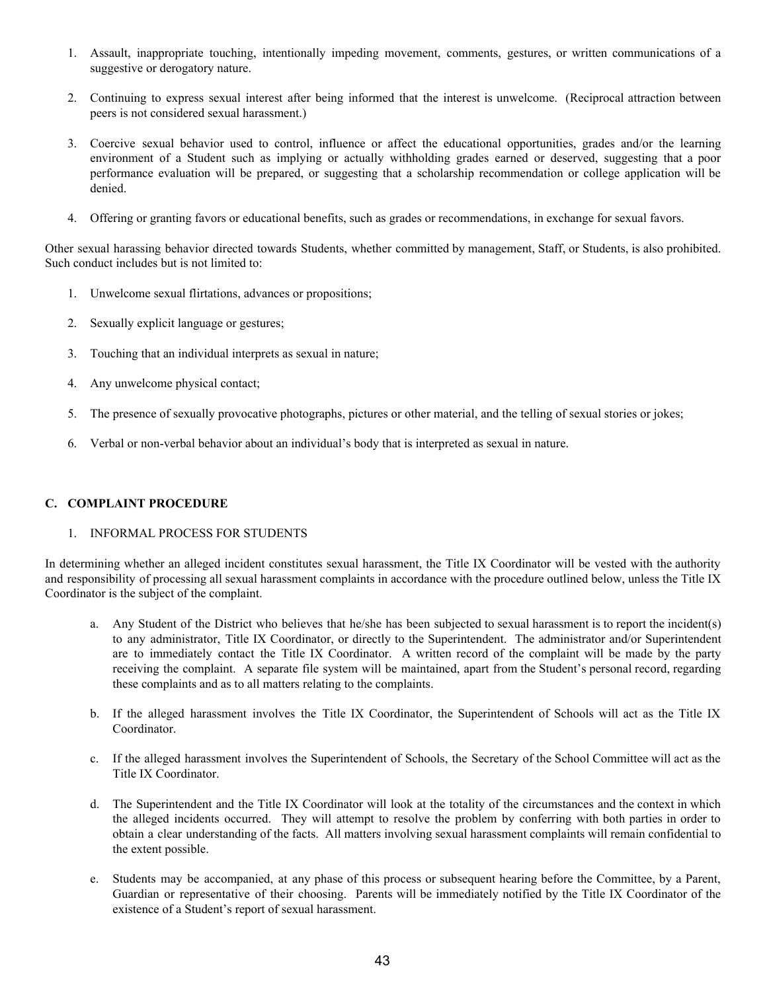- suggestive or derogatory nature. 1. Assault, inappropriate touching, intentionally impeding movement, comments, gestures, or written communications of a
- peers is not considered sexual harassment.) 2. Continuing to express sexual interest after being informed that the interest is unwelcome. (Reciprocal attraction between
- 3. Coercive sexual behavior used to control, influence or affect the educational opportunities, grades and/or the learning environment of a Student such as implying or actually withholding grades earned or deserved, suggesting that a poor performance evaluation will be prepared, or suggesting that a scholarship recommendation or college application will be denied.
- 4. Offering or granting favors or educational benefits, such as grades or recommendations, in exchange for sexual favors.

 Such conduct includes but is not limited to: Other sexual harassing behavior directed towards Students, whether committed by management, Staff, or Students, is also prohibited.

- 1. Unwelcome sexual flirtations, advances or propositions;
- 2. Sexually explicit language or gestures;
- 3. Touching that an individual interprets as sexual in nature;
- 4. Any unwelcome physical contact;
- 5. The presence of sexually provocative photographs, pictures or other material, and the telling of sexual stories or jokes;
- 6. Verbal or non-verbal behavior about an individual's body that is interpreted as sexual in nature.

#### **C. COMPLAINT PROCEDURE**

#### 1. INFORMAL PROCESS FOR STUDENTS

 Coordinator is the subject of the complaint. In determining whether an alleged incident constitutes sexual harassment, the Title IX Coordinator will be vested with the authority and responsibility of processing all sexual harassment complaints in accordance with the procedure outlined below, unless the Title IX

- these complaints and as to all matters relating to the complaints. a. Any Student of the District who believes that he/she has been subjected to sexual harassment is to report the incident(s) to any administrator, Title IX Coordinator, or directly to the Superintendent. The administrator and/or Superintendent are to immediately contact the Title IX Coordinator. A written record of the complaint will be made by the party receiving the complaint. A separate file system will be maintained, apart from the Student's personal record, regarding
- b. If the alleged harassment involves the Title IX Coordinator, the Superintendent of Schools will act as the Title IX Coordinator.
- Title IX Coordinator. c. If the alleged harassment involves the Superintendent of Schools, the Secretary of the School Committee will act as the
- the extent possible. d. The Superintendent and the Title IX Coordinator will look at the totality of the circumstances and the context in which the alleged incidents occurred. They will attempt to resolve the problem by conferring with both parties in order to obtain a clear understanding of the facts. All matters involving sexual harassment complaints will remain confidential to
- existence of a Student's report of sexual harassment. e. Students may be accompanied, at any phase of this process or subsequent hearing before the Committee, by a Parent, Guardian or representative of their choosing. Parents will be immediately notified by the Title IX Coordinator of the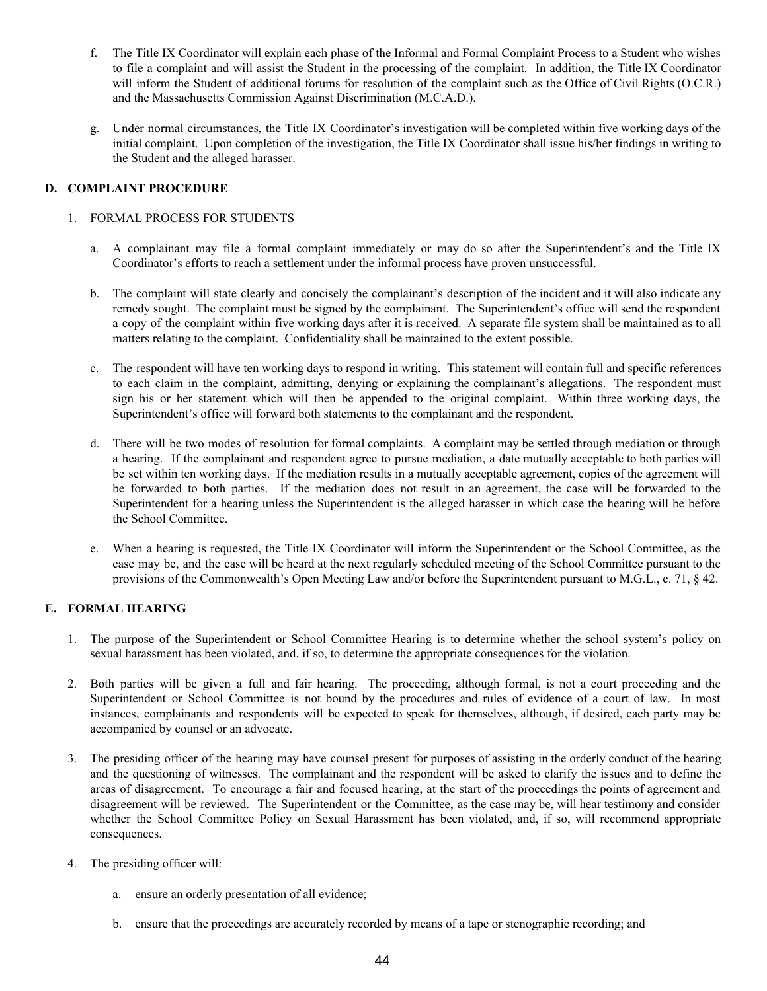- and the Massachusetts Commission Against Discrimination (M.C.A.D.). f. The Title IX Coordinator will explain each phase of the Informal and Formal Complaint Process to a Student who wishes to file a complaint and will assist the Student in the processing of the complaint. In addition, the Title IX Coordinator will inform the Student of additional forums for resolution of the complaint such as the Office of Civil Rights (O.C.R.)
- the Student and the alleged harasser. g. Under normal circumstances, the Title IX Coordinator's investigation will be completed within five working days of the initial complaint. Upon completion of the investigation, the Title IX Coordinator shall issue his/her findings in writing to

#### **D. COMPLAINT PROCEDURE**

#### 1. FORMAL PROCESS FOR STUDENTS

- Coordinator's efforts to reach a settlement under the informal process have proven unsuccessful. a. A complainant may file a formal complaint immediately or may do so after the Superintendent's and the Title IX
- matters relating to the complaint. Confidentiality shall be maintained to the extent possible. b. The complaint will state clearly and concisely the complainant's description of the incident and it will also indicate any remedy sought. The complaint must be signed by the complainant. The Superintendent's office will send the respondent a copy of the complaint within five working days after it is received. A separate file system shall be maintained as to all
- Superintendent's office will forward both statements to the complainant and the respondent. c. The respondent will have ten working days to respond in writing. This statement will contain full and specific references to each claim in the complaint, admitting, denying or explaining the complainant's allegations. The respondent must sign his or her statement which will then be appended to the original complaint. Within three working days, the
- the School Committee. d. There will be two modes of resolution for formal complaints. A complaint may be settled through mediation or through a hearing. If the complainant and respondent agree to pursue mediation, a date mutually acceptable to both parties will be set within ten working days. If the mediation results in a mutually acceptable agreement, copies of the agreement will be forwarded to both parties. If the mediation does not result in an agreement, the case will be forwarded to the Superintendent for a hearing unless the Superintendent is the alleged harasser in which case the hearing will be before
- provisions of the Commonwealth's Open Meeting Law and/or before the Superintendent pursuant to M.G.L., c. 71, § 42. e. When a hearing is requested, the Title IX Coordinator will inform the Superintendent or the School Committee, as the case may be, and the case will be heard at the next regularly scheduled meeting of the School Committee pursuant to the

## **E. FORMAL HEARING**

- sexual harassment has been violated, and, if so, to determine the appropriate consequences for the violation. 1. The purpose of the Superintendent or School Committee Hearing is to determine whether the school system's policy on
- accompanied by counsel or an advocate. 2. Both parties will be given a full and fair hearing. The proceeding, although formal, is not a court proceeding and the Superintendent or School Committee is not bound by the procedures and rules of evidence of a court of law. In most instances, complainants and respondents will be expected to speak for themselves, although, if desired, each party may be
- 3. The presiding officer of the hearing may have counsel present for purposes of assisting in the orderly conduct of the hearing and the questioning of witnesses. The complainant and the respondent will be asked to clarify the issues and to define the areas of disagreement. To encourage a fair and focused hearing, at the start of the proceedings the points of agreement and disagreement will be reviewed. The Superintendent or the Committee, as the case may be, will hear testimony and consider whether the School Committee Policy on Sexual Harassment has been violated, and, if so, will recommend appropriate consequences.
- 4. The presiding officer will:
	- a. ensure an orderly presentation of all evidence;
	- b. ensure that the proceedings are accurately recorded by means of a tape or stenographic recording; and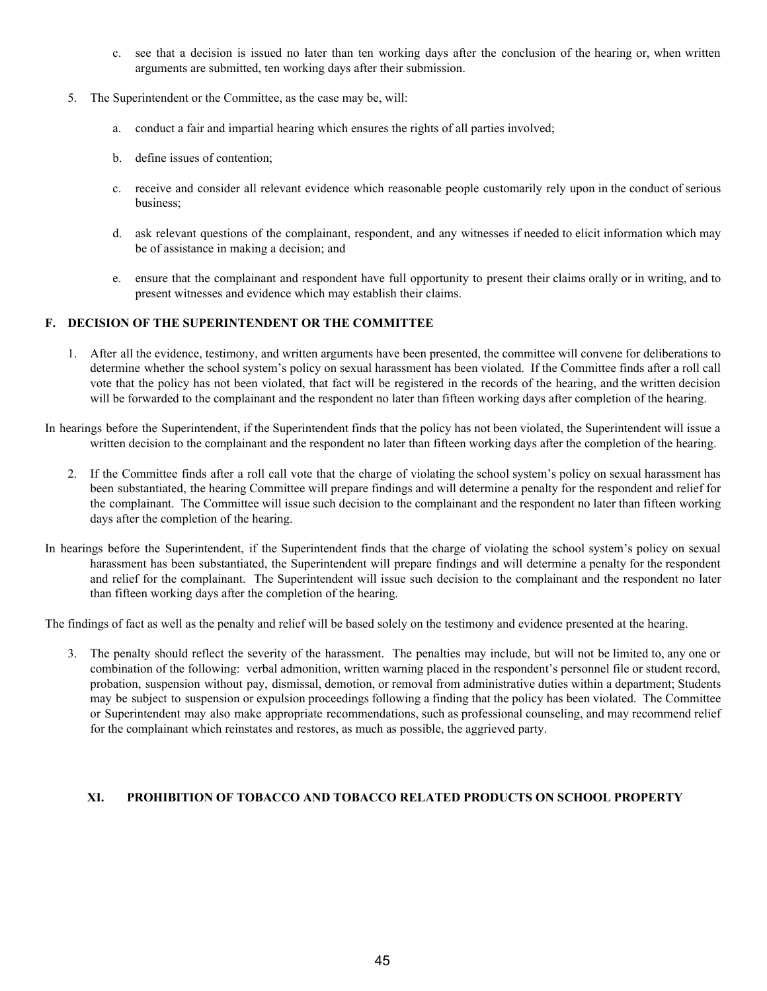- arguments are submitted, ten working days after their submission. c. see that a decision is issued no later than ten working days after the conclusion of the hearing or, when written
- 5. The Superintendent or the Committee, as the case may be, will:
	- a. conduct a fair and impartial hearing which ensures the rights of all parties involved;
	- b. define issues of contention;
	- c. receive and consider all relevant evidence which reasonable people customarily rely upon in the conduct of serious business;
	- be of assistance in making a decision; and d. ask relevant questions of the complainant, respondent, and any witnesses if needed to elicit information which may
	- present witnesses and evidence which may establish their claims. e. ensure that the complainant and respondent have full opportunity to present their claims orally or in writing, and to

#### **F. DECISION OF THE SUPERINTENDENT OR THE COMMITTEE**

- will be forwarded to the complainant and the respondent no later than fifteen working days after completion of the hearing. 1. After all the evidence, testimony, and written arguments have been presented, the committee will convene for deliberations to determine whether the school system's policy on sexual harassment has been violated. If the Committee finds after a roll call vote that the policy has not been violated, that fact will be registered in the records of the hearing, and the written decision
- written decision to the complainant and the respondent no later than fifteen working days after the completion of the hearing. In hearings before the Superintendent, if the Superintendent finds that the policy has not been violated, the Superintendent will issue a
	- days after the completion of the hearing. 2. If the Committee finds after a roll call vote that the charge of violating the school system's policy on sexual harassment has been substantiated, the hearing Committee will prepare findings and will determine a penalty for the respondent and relief for the complainant. The Committee will issue such decision to the complainant and the respondent no later than fifteen working
- than fifteen working days after the completion of the hearing. In hearings before the Superintendent, if the Superintendent finds that the charge of violating the school system's policy on sexual harassment has been substantiated, the Superintendent will prepare findings and will determine a penalty for the respondent and relief for the complainant. The Superintendent will issue such decision to the complainant and the respondent no later

The findings of fact as well as the penalty and relief will be based solely on the testimony and evidence presented at the hearing.

 for the complainant which reinstates and restores, as much as possible, the aggrieved party. 3. The penalty should reflect the severity of the harassment. The penalties may include, but will not be limited to, any one or combination of the following: verbal admonition, written warning placed in the respondent's personnel file or student record, probation, suspension without pay, dismissal, demotion, or removal from administrative duties within a department; Students may be subject to suspension or expulsion proceedings following a finding that the policy has been violated. The Committee or Superintendent may also make appropriate recommendations, such as professional counseling, and may recommend relief

## **XI. PROHIBITION OF TOBACCO AND TOBACCO RELATED PRODUCTS ON SCHOOL PROPERTY**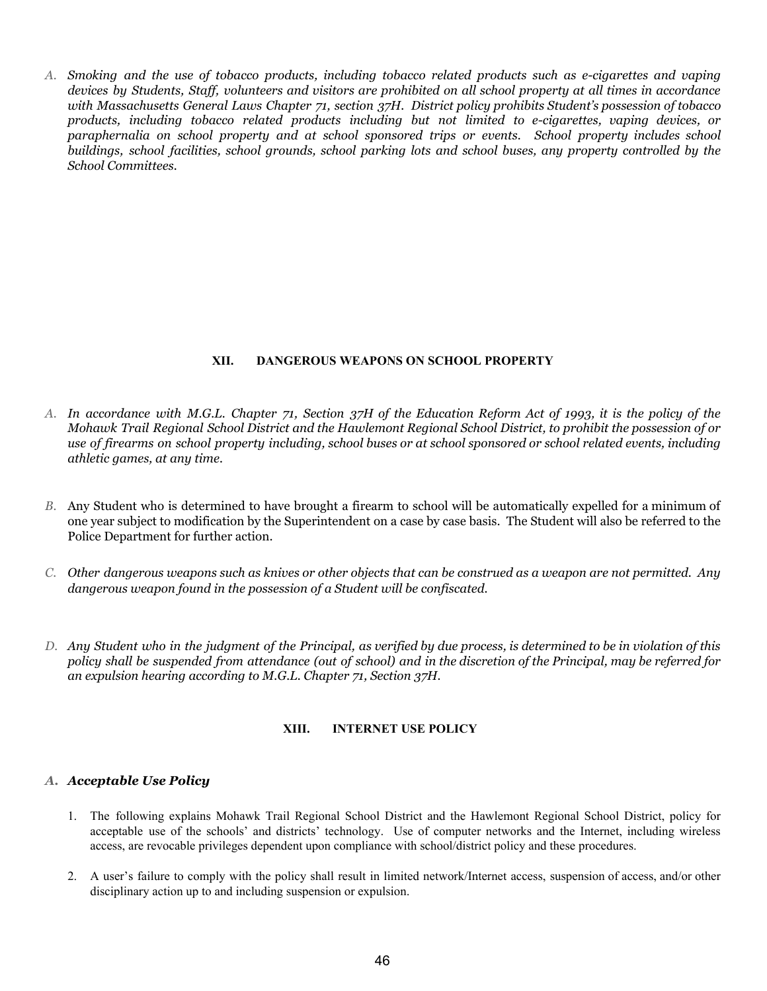A. Smoking and the use of tobacco products, including tobacco related products such as e-cigarettes and vaping devices by Students, Staff, volunteers and visitors are prohibited on all school property at all times in accordance *with Massachusetts General Laws Chapter 71, section 37H. District policy prohibits Student's possession of tobacco products, including tobacco related products including but not limited to e-cigarettes, vaping devices, or paraphernalia on school property and at school sponsored trips or events. School property includes school* buildings, school facilities, school grounds, school parking lots and school buses, any property controlled by the *School Committees.*

#### **XII. DANGEROUS WEAPONS ON SCHOOL PROPERTY**

- *athletic games, at any time.* A. In accordance with M.G.L. Chapter 71, Section 37H of the Education Reform Act of 1993, it is the policy of the Mohawk Trail Regional School District and the Hawlemont Regional School District, to prohibit the possession of or use of firearms on school property including, school buses or at school sponsored or school related events, including
- Police Department for further action. *B.* Any Student who is determined to have brought a firearm to school will be automatically expelled for a minimum of one year subject to modification by the Superintendent on a case by case basis. The Student will also be referred to the
- *dangerous weapon found in the possession of a Student will be confiscated.* C. Other dangerous weapons such as knives or other objects that can be construed as a weapon are not permitted. Any
- *an expulsion hearing according to M.G.L. Chapter 71, Section 37H.* D. Any Student who in the judgment of the Principal, as verified by due process, is determined to be in violation of this policy shall be suspended from attendance (out of school) and in the discretion of the Principal, may be referred for

#### **XIII. INTERNET USE POLICY**

#### *A. Acceptable Use Policy*

- access, are revocable privileges dependent upon compliance with school/district policy and these procedures. 1. The following explains Mohawk Trail Regional School District and the Hawlemont Regional School District, policy for acceptable use of the schools' and districts' technology. Use of computer networks and the Internet, including wireless
- disciplinary action up to and including suspension or expulsion. 2. A user's failure to comply with the policy shall result in limited network/Internet access, suspension of access, and/or other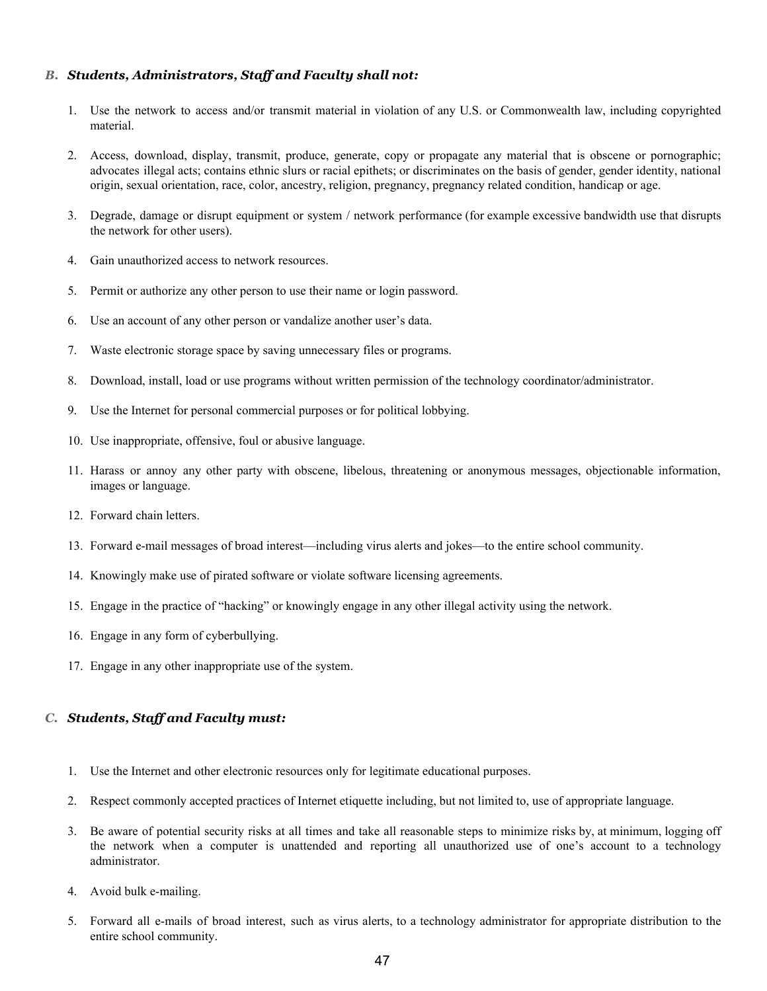#### *B. Students, Administrators, Staff and Faculty shall not:*

- 1. Use the network to access and/or transmit material in violation of any U.S. or Commonwealth law, including copyrighted material.
- origin, sexual orientation, race, color, ancestry, religion, pregnancy, pregnancy related condition, handicap or age. 2. Access, download, display, transmit, produce, generate, copy or propagate any material that is obscene or pornographic; advocates illegal acts; contains ethnic slurs or racial epithets; or discriminates on the basis of gender, gender identity, national
- the network for other users). 3. Degrade, damage or disrupt equipment or system / network performance (for example excessive bandwidth use that disrupts
- 4. Gain unauthorized access to network resources.
- 5. Permit or authorize any other person to use their name or login password.
- 6. Use an account of any other person or vandalize another user's data.
- 7. Waste electronic storage space by saving unnecessary files or programs.
- 8. Download, install, load or use programs without written permission of the technology coordinator/administrator.
- 9. Use the Internet for personal commercial purposes or for political lobbying.
- 10. Use inappropriate, offensive, foul or abusive language.
- images or language. 11. Harass or annoy any other party with obscene, libelous, threatening or anonymous messages, objectionable information,
- 12. Forward chain letters.
- 13. Forward e-mail messages of broad interest—including virus alerts and jokes—to the entire school community.
- 14. Knowingly make use of pirated software or violate software licensing agreements.
- 15. Engage in the practice of "hacking" or knowingly engage in any other illegal activity using the network.
- 16. Engage in any form of cyberbullying.
- 17. Engage in any other inappropriate use of the system.

#### *C. Students, Staff and Faculty must:*

- 1. Use the Internet and other electronic resources only for legitimate educational purposes.
- 2. Respect commonly accepted practices of Internet etiquette including, but not limited to, use of appropriate language.
- 3. Be aware of potential security risks at all times and take all reasonable steps to minimize risks by, at minimum, logging off the network when a computer is unattended and reporting all unauthorized use of one's account to a technology administrator.
- 4. Avoid bulk e-mailing.
- entire school community. 5. Forward all e-mails of broad interest, such as virus alerts, to a technology administrator for appropriate distribution to the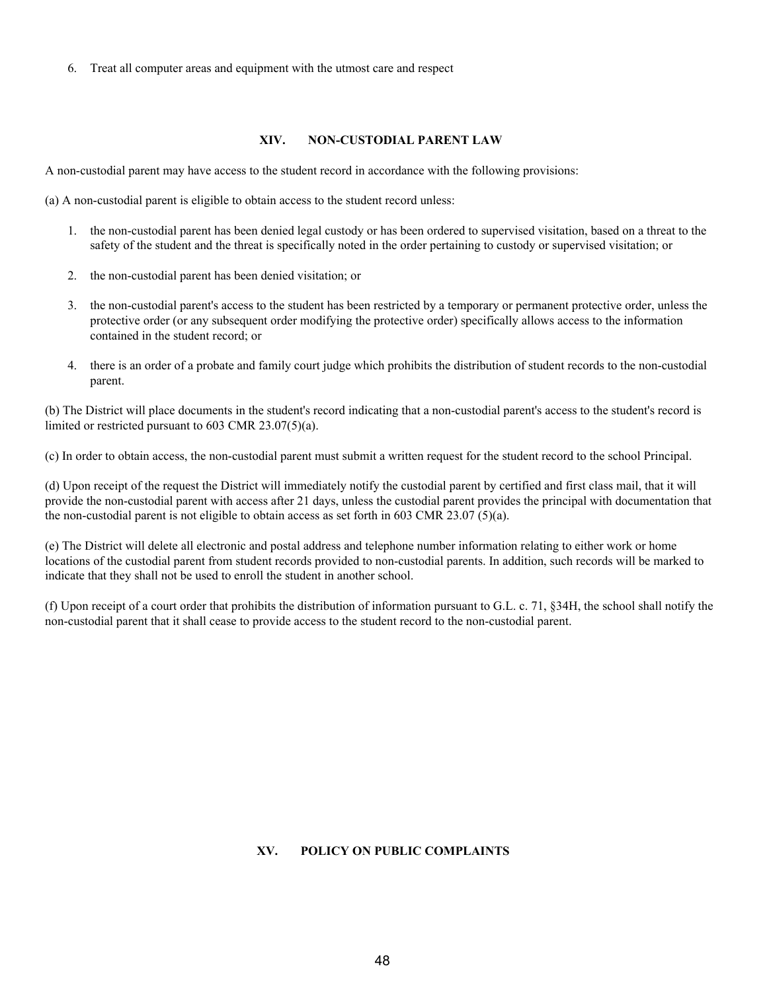6. Treat all computer areas and equipment with the utmost care and respect

#### **XIV. NON-CUSTODIAL PARENT LAW**

A non-custodial parent may have access to the student record in accordance with the following provisions:

(a) A non-custodial parent is eligible to obtain access to the student record unless:

- 1. the non-custodial parent has been denied legal custody or has been ordered to supervised visitation, based on a threat to the safety of the student and the threat is specifically noted in the order pertaining to custody or supervised visitation; or
- 2. the non-custodial parent has been denied visitation; or
- 3. the non-custodial parent's access to the student has been restricted by a temporary or permanent protective order, unless the protective order (or any subsequent order modifying the protective order) specifically allows access to the information contained in the student record; or
- 4. there is an order of a probate and family court judge which prohibits the distribution of student records to the non-custodial parent.

 (b) The District will place documents in the student's record indicating that a non-custodial parent's access to the student's record is limited or restricted pursuant to 603 CMR 23.07(5)(a).

(c) In order to obtain access, the non-custodial parent must submit a written request for the student record to the school Principal.

 (d) Upon receipt of the request the District will immediately notify the custodial parent by certified and first class mail, that it will provide the non-custodial parent with access after 21 days, unless the custodial parent provides the principal with documentation that the non-custodial parent is not eligible to obtain access as set forth in 603 CMR 23.07 (5)(a).

 (e) The District will delete all electronic and postal address and telephone number information relating to either work or home locations of the custodial parent from student records provided to non-custodial parents. In addition, such records will be marked to indicate that they shall not be used to enroll the student in another school.

 (f) Upon receipt of a court order that prohibits the distribution of information pursuant to G.L. c. 71, §34H, the school shall notify the non-custodial parent that it shall cease to provide access to the student record to the non-custodial parent.

#### **XV. POLICY ON PUBLIC COMPLAINTS**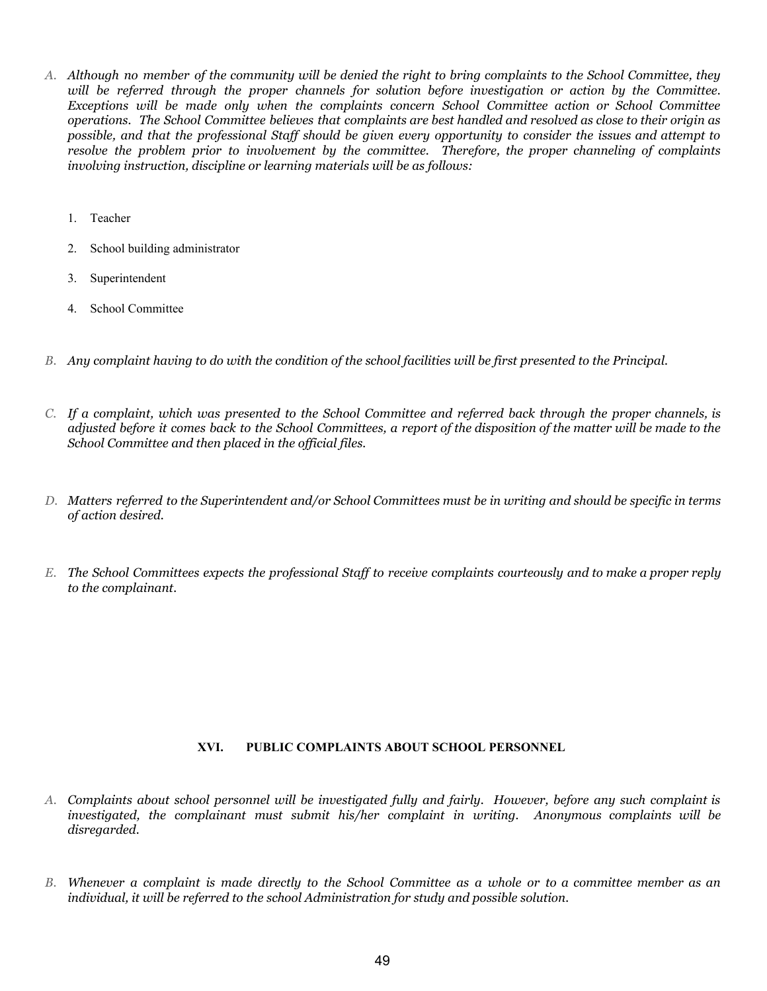- *involving instruction, discipline or learning materials will be as follows:* A. Although no member of the community will be denied the right to bring complaints to the School Committee, they *will be referred through the proper channels for solution before investigation or action by the Committee. Exceptions will be made only when the complaints concern School Committee action or School Committee* operations. The School Committee believes that complaints are best handled and resolved as close to their origin as possible, and that the professional Staff should be given every opportunity to consider the issues and attempt to *resolve the problem prior to involvement by the committee. Therefore, the proper channeling of complaints*
	- 1. Teacher
	- 2. School building administrator
	- 3. Superintendent
	- 4. School Committee
- B. Any complaint having to do with the condition of the school facilities will be first presented to the Principal.
- *School Committee and then placed in the official files.* C. If a complaint, which was presented to the School Committee and referred back through the proper channels, is adjusted before it comes back to the School Committees, a report of the disposition of the matter will be made to the
- *of action desired.* D. Matters referred to the Superintendent and/or School Committees must be in writing and should be specific in terms
- *to the complainant.* E. The School Committees expects the professional Staff to receive complaints courteously and to make a proper reply

## **XVI. PUBLIC COMPLAINTS ABOUT SCHOOL PERSONNEL**

- A. Complaints about school personnel will be investigated fully and fairly. However, before any such complaint is *investigated, the complainant must submit his/her complaint in writing. Anonymous complaints will be disregarded.*
- *individual, it will be referred to the school Administration for study and possible solution.* B. Whenever a complaint is made directly to the School Committee as a whole or to a committee member as an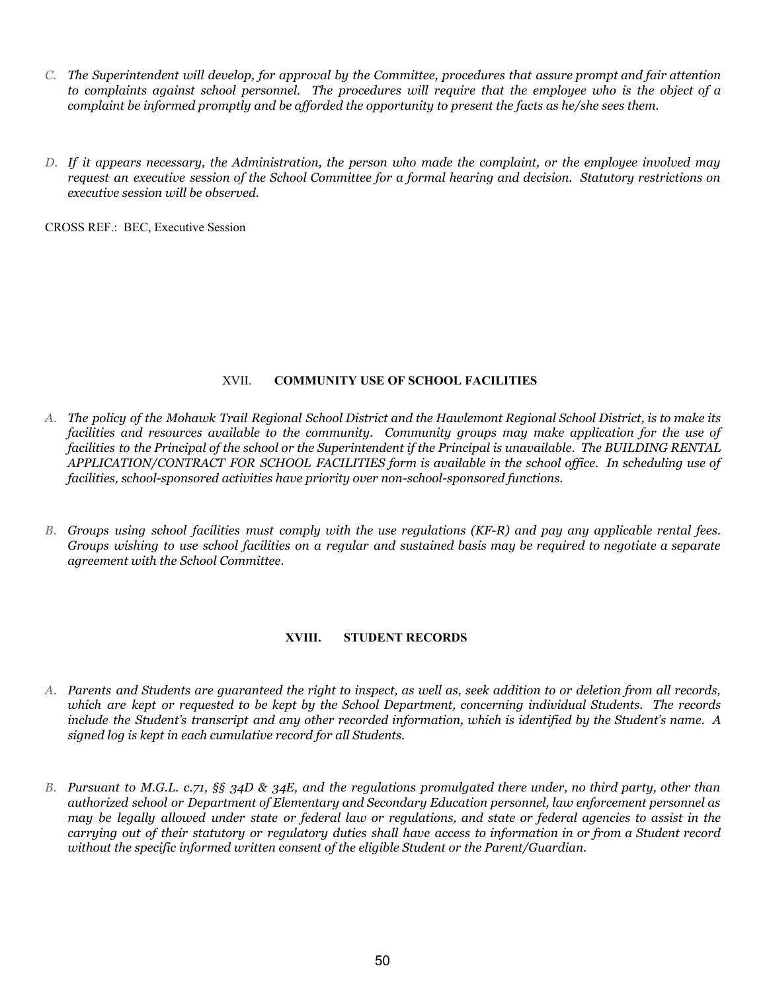- complaint be informed promptly and be afforded the opportunity to present the facts as he/she sees them. C. The Superintendent will develop, for approval by the Committee, procedures that assure prompt and fair attention to complaints against school personnel. The procedures will require that the employee who is the object of a
- *executive session will be observed.* D. If it appears necessary, the Administration, the person who made the complaint, or the employee involved may request an executive session of the School Committee for a formal hearing and decision. Statutory restrictions on

CROSS REF.: BEC, Executive Session

#### XVII. **COMMUNITY USE OF SCHOOL FACILITIES**

- *facilities, school-sponsored activities have priority over non-school-sponsored functions.* A. The policy of the Mohawk Trail Regional School District and the Hawlemont Regional School District, is to make its *facilities and resources available to the community. Community groups may make application for the use of* facilities to the Principal of the school or the Superintendent if the Principal is unavailable. The BUILDING RENTAL *APPLICATION/CONTRACT FOR SCHOOL FACILITIES form is available in the school office. In scheduling use of*
- *agreement with the School Committee.* B. Groups using school facilities must comply with the use regulations (KF-R) and pay any applicable rental fees. Groups wishing to use school facilities on a regular and sustained basis may be required to negotiate a separate

#### **XVIII. STUDENT RECORDS**

- *signed log is kept in each cumulative record for all Students.* A. Parents and Students are quaranteed the right to inspect, as well as, seek addition to or deletion from all records, which are kept or requested to be kept by the School Department, concerning individual Students. The records include the Student's transcript and any other recorded information, which is identified by the Student's name. A
- *without the specific informed written consent of the eligible Student or the Parent/Guardian.* B. Pursuant to M.G.L. c.71, §§ 34D & 34E, and the regulations promulgated there under, no third party, other than *authorized school or Department of Elementary and Secondary Education personnel, law enforcement personnel as* may be legally allowed under state or federal law or regulations, and state or federal agencies to assist in the carrying out of their statutory or regulatory duties shall have access to information in or from a Student record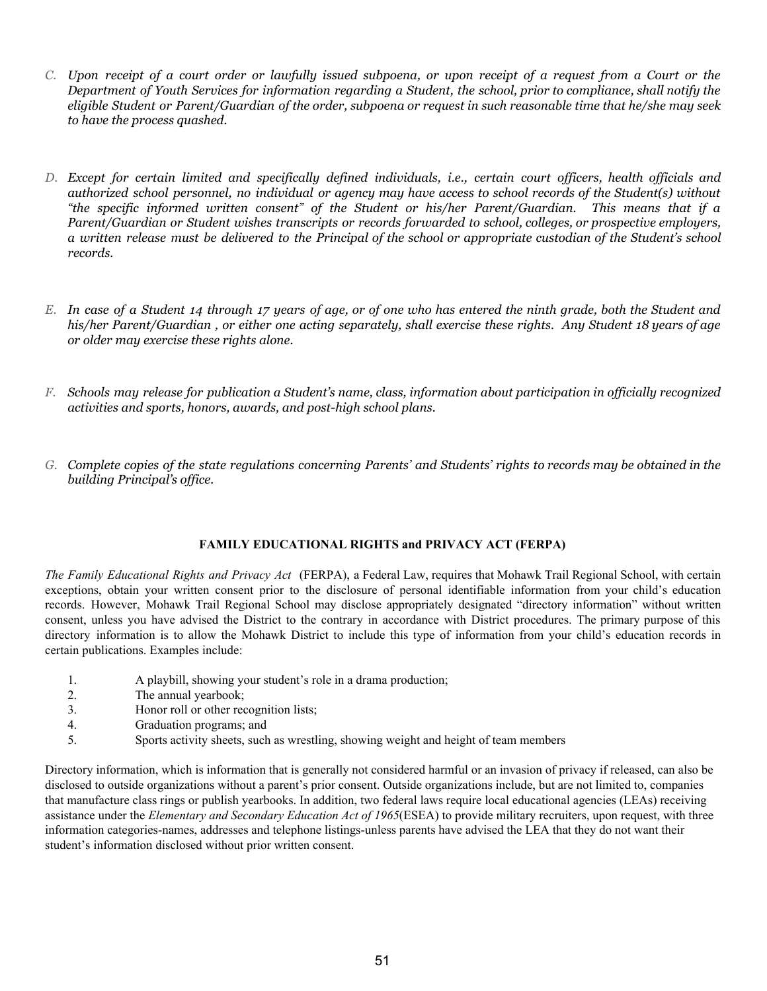- *to have the process quashed.* C. Upon receipt of a court order or lawfully issued subpoena, or upon receipt of a request from a Court or the Department of Youth Services for information regarding a Student, the school, prior to compliance, shall notify the eligible Student or Parent/Guardian of the order, subpoena or request in such reasonable time that he/she may seek
- D. Except for certain limited and specifically defined individuals, i.e., certain court officers, health officials and authorized school personnel, no individual or agency may have access to school records of the Student(s) without *"the specific informed written consent" of the Student or his/her Parent/Guardian. This means that if a Parent/Guardian or Student wishes transcripts or records forwarded to school, colleges, or prospective employers,* a written release must be delivered to the Principal of the school or appropriate custodian of the Student's school *records.*
- *or older may exercise these rights alone.* E. In case of a Student 14 through 17 years of age, or of one who has entered the ninth grade, both the Student and his/her Parent/Guardian, or either one acting separately, shall exercise these rights. Any Student 18 years of age
- *activities and sports, honors, awards, and post-high school plans.* F. Schools may release for publication a Student's name, class, information about participation in officially recognized
- *building Principal's office.* G. Complete copies of the state regulations concerning Parents' and Students' rights to records may be obtained in the

#### **FAMILY EDUCATIONAL RIGHTS and PRIVACY ACT (FERPA)**

 certain publications. Examples include: *The Family Educational Rights and Privacy Act* (FERPA), a Federal Law, requires that Mohawk Trail Regional School, with certain exceptions, obtain your written consent prior to the disclosure of personal identifiable information from your child's education records. However, Mohawk Trail Regional School may disclose appropriately designated "directory information" without written consent, unless you have advised the District to the contrary in accordance with District procedures. The primary purpose of this directory information is to allow the Mohawk District to include this type of information from your child's education records in

- 1. A playbill, showing your student's role in a drama production;
- 2. The annual yearbook;
- 3. Honor roll or other recognition lists;
- 4. Graduation programs; and
- 5. Sports activity sheets, such as wrestling, showing weight and height of team members

 Directory information, which is information that is generally not considered harmful or an invasion of privacy if released, can also be disclosed to outside organizations without a parent's prior consent. Outside organizations include, but are not limited to, companies that manufacture class rings or publish yearbooks. In addition, two federal laws require local educational agencies (LEAs) receiving assistance under the *Elementary and Secondary Education Act of 1965*(ESEA) to provide military recruiters, upon request, with three information categories-names, addresses and telephone listings-unless parents have advised the LEA that they do not want their student's information disclosed without prior written consent.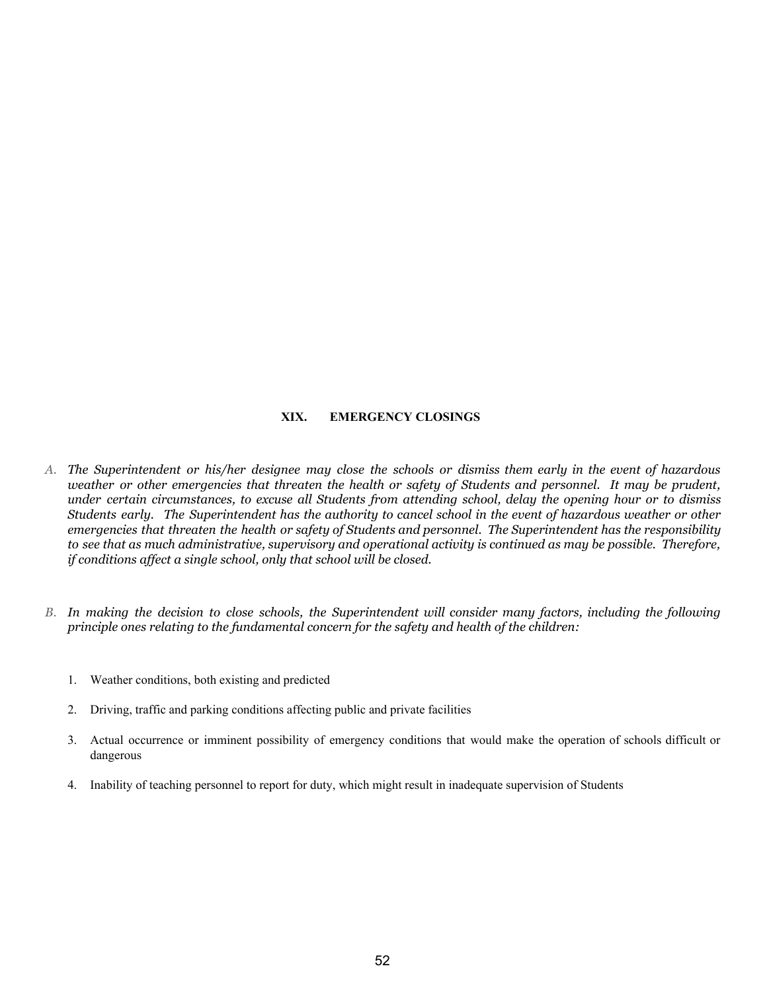#### **XIX. EMERGENCY CLOSINGS**

- *if conditions affect a single school, only that school will be closed.* A. The Superintendent or his/her designee may close the schools or dismiss them early in the event of hazardous weather or other emergencies that threaten the health or safety of Students and personnel. It may be prudent, under certain circumstances, to excuse all Students from attending school, delay the opening hour or to dismiss Students early. The Superintendent has the authority to cancel school in the event of hazardous weather or other emergencies that threaten the health or safety of Students and personnel. The Superintendent has the responsibility to see that as much administrative, supervisory and operational activity is continued as may be possible. Therefore,
- *principle ones relating to the fundamental concern for the safety and health of the children:* B. In making the decision to close schools, the Superintendent will consider many factors, including the following
	- 1. Weather conditions, both existing and predicted
	- 2. Driving, traffic and parking conditions affecting public and private facilities
	- 3. Actual occurrence or imminent possibility of emergency conditions that would make the operation of schools difficult or dangerous
	- 4. Inability of teaching personnel to report for duty, which might result in inadequate supervision of Students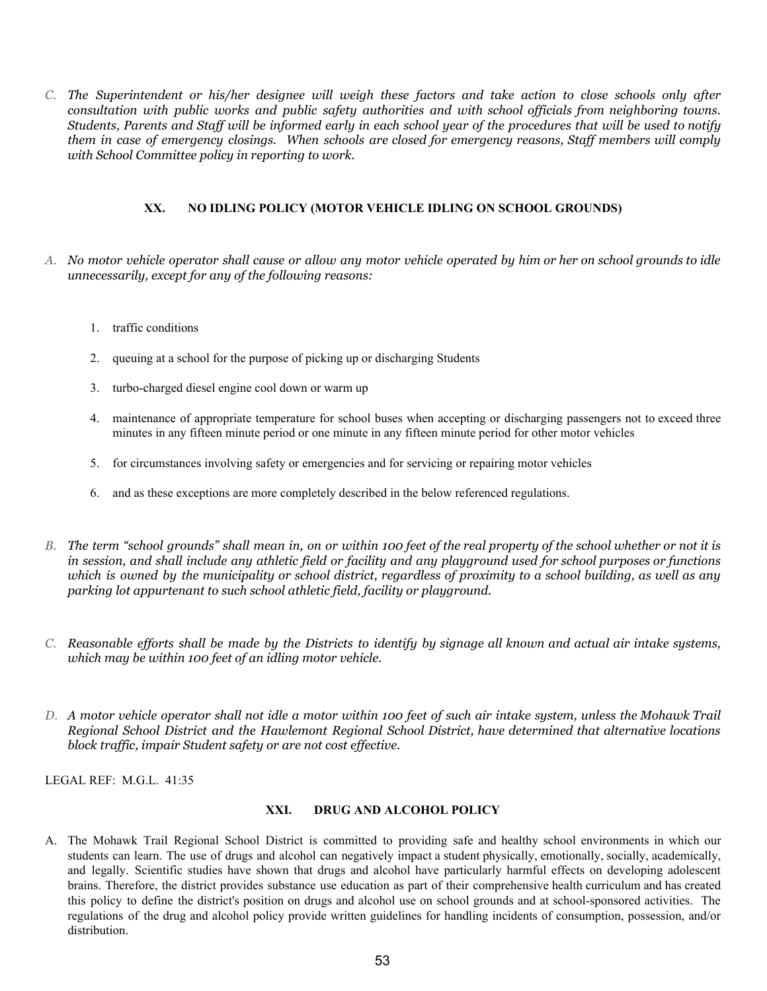*with School Committee policy in reporting to work.* C. The Superintendent or his/her designee will weigh these factors and take action to close schools only after *consultation with public works and public safety authorities and with school officials from neighboring towns.* Students, Parents and Staff will be informed early in each school year of the procedures that will be used to notify them in case of emergency closings. When schools are closed for emergency reasons, Staff members will comply

#### **XX. NO IDLING POLICY (MOTOR VEHICLE IDLING ON SCHOOL GROUNDS)**

- *unnecessarily, except for any of the following reasons:* A. No motor vehicle operator shall cause or allow any motor vehicle operated by him or her on school grounds to idle
	- 1. traffic conditions
	- 2. queuing at a school for the purpose of picking up or discharging Students
	- 3. turbo-charged diesel engine cool down or warm up
	- minutes in any fifteen minute period or one minute in any fifteen minute period for other motor vehicles 4. maintenance of appropriate temperature for school buses when accepting or discharging passengers not to exceed three
	- 5. for circumstances involving safety or emergencies and for servicing or repairing motor vehicles
	- 6. and as these exceptions are more completely described in the below referenced regulations.
- *parking lot appurtenant to such school athletic field, facility or playground.* B. The term "school grounds" shall mean in, on or within 100 feet of the real property of the school whether or not it is in session, and shall include any athletic field or facility and any playground used for school purposes or functions which is owned by the municipality or school district, regardless of proximity to a school building, as well as any
- *which may be within 100 feet of an idling motor vehicle.* C. Reasonable efforts shall be made by the Districts to identify by signage all known and actual air intake systems,
- *block traffic, impair Student safety or are not cost effective.* D. A motor vehicle operator shall not idle a motor within 100 feet of such air intake system, unless the Mohawk Trail *Regional School District and the Hawlemont Regional School District, have determined that alternative locations*

LEGAL REF: M.G.L. 41:35

#### **XXI. DRUG AND ALCOHOL POLICY**

A. The Mohawk Trail Regional School District is committed to providing safe and healthy school environments in which our students can learn. The use of drugs and alcohol can negatively impact a student physically, emotionally, socially, academically, and legally. Scientific studies have shown that drugs and alcohol have particularly harmful effects on developing adolescent brains. Therefore, the district provides substance use education as part of their comprehensive health curriculum and has created this policy to define the district's position on drugs and alcohol use on school grounds and at school-sponsored activities. The regulations of the drug and alcohol policy provide written guidelines for handling incidents of consumption, possession, and/or distribution.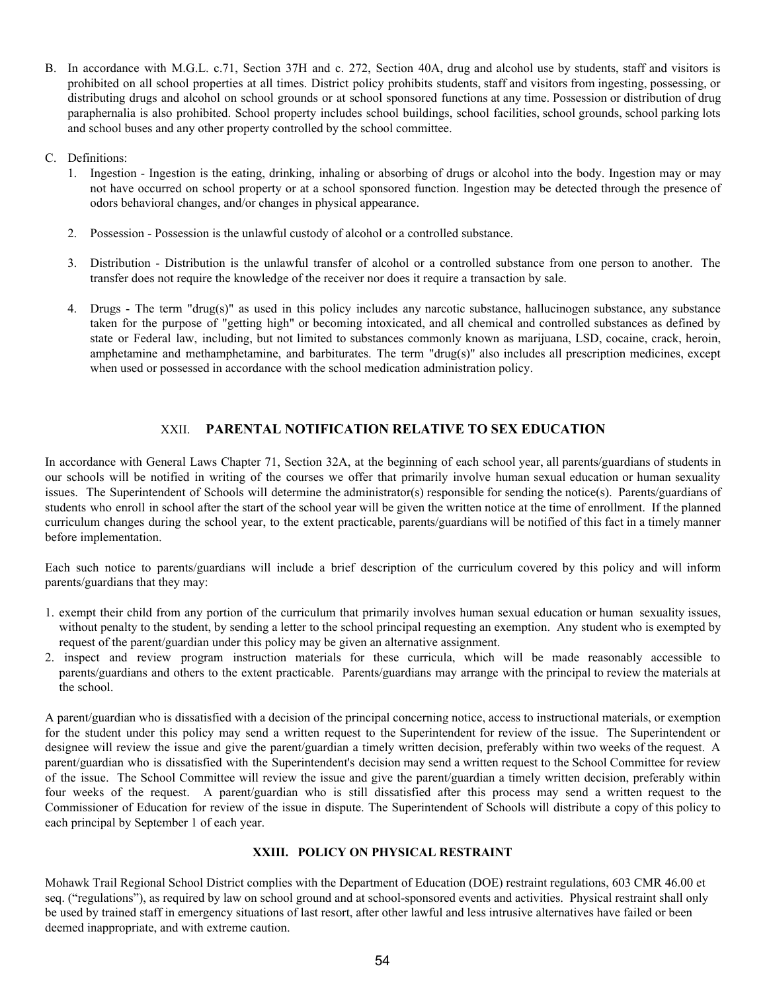- and school buses and any other property controlled by the school committee. B. In accordance with M.G.L. c.71, Section 37H and c. 272, Section 40A, drug and alcohol use by students, staff and visitors is prohibited on all school properties at all times. District policy prohibits students, staff and visitors from ingesting, possessing, or distributing drugs and alcohol on school grounds or at school sponsored functions at any time. Possession or distribution of drug paraphernalia is also prohibited. School property includes school buildings, school facilities, school grounds, school parking lots
- C. Definitions:
	- odors behavioral changes, and/or changes in physical appearance. 1. Ingestion - Ingestion is the eating, drinking, inhaling or absorbing of drugs or alcohol into the body. Ingestion may or may not have occurred on school property or at a school sponsored function. Ingestion may be detected through the presence of
	- 2. Possession Possession is the unlawful custody of alcohol or a controlled substance.
	- transfer does not require the knowledge of the receiver nor does it require a transaction by sale. 3. Distribution - Distribution is the unlawful transfer of alcohol or a controlled substance from one person to another. The
	- when used or possessed in accordance with the school medication administration policy. 4. Drugs - The term "drug(s)" as used in this policy includes any narcotic substance, hallucinogen substance, any substance taken for the purpose of "getting high" or becoming intoxicated, and all chemical and controlled substances as defined by state or Federal law, including, but not limited to substances commonly known as marijuana, LSD, cocaine, crack, heroin, amphetamine and methamphetamine, and barbiturates. The term "drug(s)" also includes all prescription medicines, except

## XXII. **PARENTAL NOTIFICATION RELATIVE TO SEX EDUCATION**

In accordance with General Laws Chapter 71, Section 32A, at the beginning of each school year, all parents/guardians of students in our schools will be notified in writing of the courses we offer that primarily involve human sexual education or human sexuality issues. The Superintendent of Schools will determine the administrator(s) responsible for sending the notice(s). Parents/guardians of students who enroll in school after the start of the school year will be given the written notice at the time of enrollment. If the planned curriculum changes during the school year, to the extent practicable, parents/guardians will be notified of this fact in a timely manner before implementation.

 parents/guardians that they may: Each such notice to parents/guardians will include a brief description of the curriculum covered by this policy and will inform

- request of the parent/guardian under this policy may be given an alternative assignment. 1. exempt their child from any portion of the curriculum that primarily involves human sexual education or human sexuality issues, without penalty to the student, by sending a letter to the school principal requesting an exemption. Any student who is exempted by
- 2. inspect and review program instruction materials for these curricula, which will be made reasonably accessible to parents/guardians and others to the extent practicable. Parents/guardians may arrange with the principal to review the materials at the school.

 each principal by September 1 of each year. A parent/guardian who is dissatisfied with a decision of the principal concerning notice, access to instructional materials, or exemption for the student under this policy may send a written request to the Superintendent for review of the issue. The Superintendent or designee will review the issue and give the parent/guardian a timely written decision, preferably within two weeks of the request. A parent/guardian who is dissatisfied with the Superintendent's decision may send a written request to the School Committee for review of the issue. The School Committee will review the issue and give the parent/guardian a timely written decision, preferably within four weeks of the request. A parent/guardian who is still dissatisfied after this process may send a written request to the Commissioner of Education for review of the issue in dispute. The Superintendent of Schools will distribute a copy of this policy to

#### **XXIII. POLICY ON PHYSICAL RESTRAINT**

 Mohawk Trail Regional School District complies with the Department of Education (DOE) restraint regulations, 603 CMR 46.00 et seq. ("regulations"), as required by law on school ground and at school-sponsored events and activities. Physical restraint shall only be used by trained staff in emergency situations of last resort, after other lawful and less intrusive alternatives have failed or been deemed inappropriate, and with extreme caution.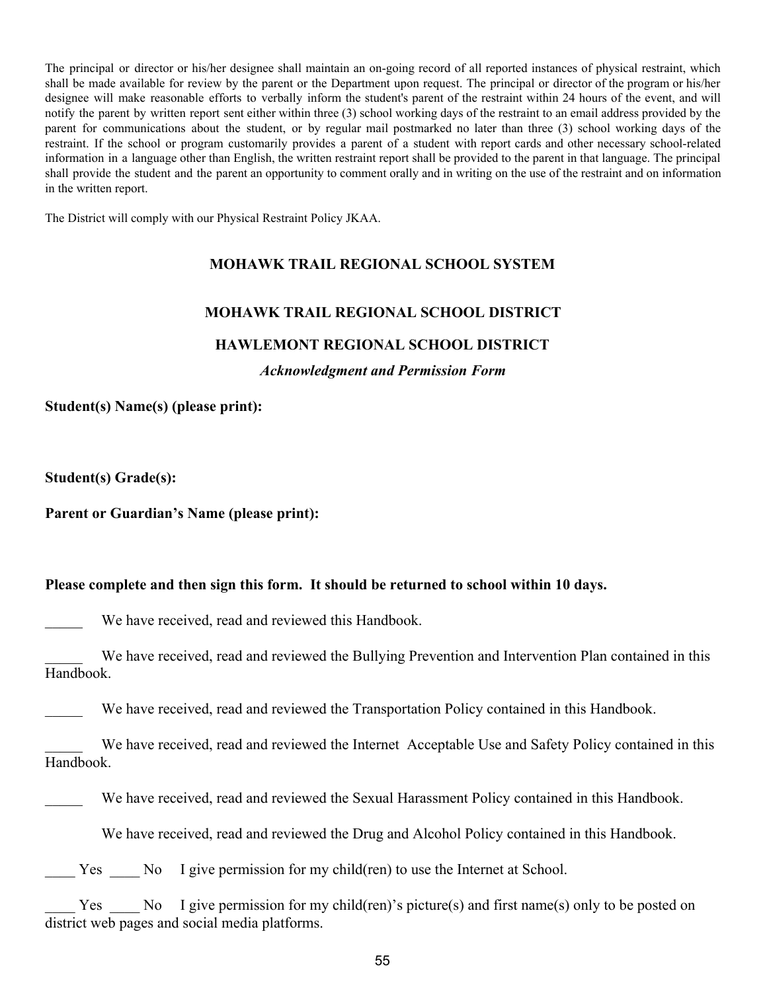in the written report. The principal or director or his/her designee shall maintain an on-going record of all reported instances of physical restraint, which shall be made available for review by the parent or the Department upon request. The principal or director of the program or his/her designee will make reasonable efforts to verbally inform the student's parent of the restraint within 24 hours of the event, and will notify the parent by written report sent either within three (3) school working days of the restraint to an email address provided by the parent for communications about the student, or by regular mail postmarked no later than three (3) school working days of the restraint. If the school or program customarily provides a parent of a student with report cards and other necessary school-related information in a language other than English, the written restraint report shall be provided to the parent in that language. The principal shall provide the student and the parent an opportunity to comment orally and in writing on the use of the restraint and on information

The District will comply with our Physical Restraint Policy JKAA.

# **MOHAWK TRAIL REGIONAL SCHOOL SYSTEM**

# **MOHAWK TRAIL REGIONAL SCHOOL DISTRICT**

## **HAWLEMONT REGIONAL SCHOOL DISTRICT**

## *Acknowledgment and Permission Form*

**Student(s) Name(s) (please print):**

**Student(s) Grade(s):**

**Parent or Guardian's Name (please print):**

## **Please complete and then sign this form. It should be returned to school within 10 days.**

We have received, read and reviewed this Handbook.

We have received, read and reviewed the Bullying Prevention and Intervention Plan contained in this Handbook.

We have received, read and reviewed the Transportation Policy contained in this Handbook.

We have received, read and reviewed the Internet Acceptable Use and Safety Policy contained in this Handbook.

We have received, read and reviewed the Sexual Harassment Policy contained in this Handbook.

We have received, read and reviewed the Drug and Alcohol Policy contained in this Handbook.

Yes No I give permission for my child(ren) to use the Internet at School.

Yes  $\quad$  No I give permission for my child(ren)'s picture(s) and first name(s) only to be posted on district web pages and social media platforms.